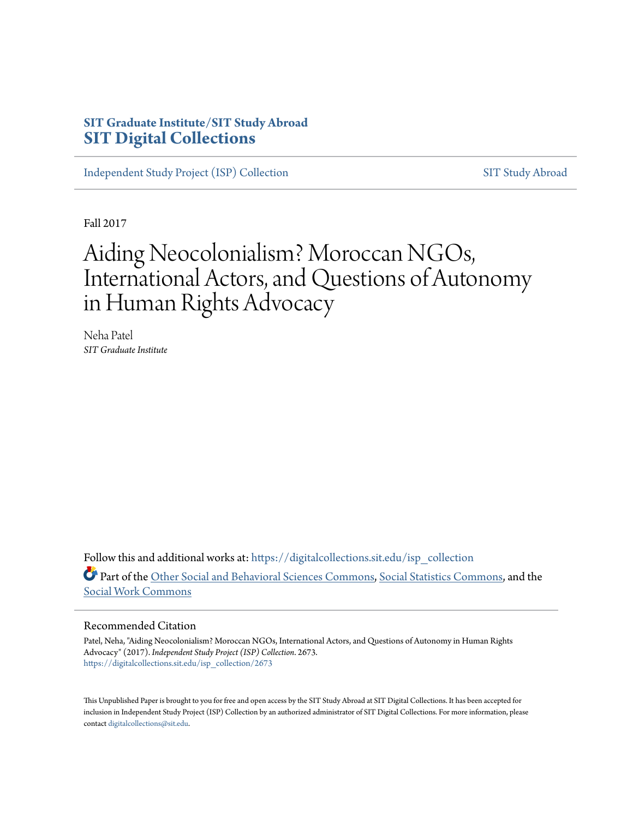### **SIT Graduate Institute/SIT Study Abroad [SIT Digital Collections](https://digitalcollections.sit.edu?utm_source=digitalcollections.sit.edu%2Fisp_collection%2F2673&utm_medium=PDF&utm_campaign=PDFCoverPages)**

[Independent Study Project \(ISP\) Collection](https://digitalcollections.sit.edu/isp_collection?utm_source=digitalcollections.sit.edu%2Fisp_collection%2F2673&utm_medium=PDF&utm_campaign=PDFCoverPages) [SIT Study Abroad](https://digitalcollections.sit.edu/study_abroad?utm_source=digitalcollections.sit.edu%2Fisp_collection%2F2673&utm_medium=PDF&utm_campaign=PDFCoverPages)

Fall 2017

# Aiding Neocolonialism? Moroccan NGOs, International Actors, and Questions of Autonomy in Human Rights Advocacy

Neha Patel *SIT Graduate Institute*

Follow this and additional works at: [https://digitalcollections.sit.edu/isp\\_collection](https://digitalcollections.sit.edu/isp_collection?utm_source=digitalcollections.sit.edu%2Fisp_collection%2F2673&utm_medium=PDF&utm_campaign=PDFCoverPages) Part of the [Other Social and Behavioral Sciences Commons](http://network.bepress.com/hgg/discipline/437?utm_source=digitalcollections.sit.edu%2Fisp_collection%2F2673&utm_medium=PDF&utm_campaign=PDFCoverPages), [Social Statistics Commons](http://network.bepress.com/hgg/discipline/1275?utm_source=digitalcollections.sit.edu%2Fisp_collection%2F2673&utm_medium=PDF&utm_campaign=PDFCoverPages), and the [Social Work Commons](http://network.bepress.com/hgg/discipline/713?utm_source=digitalcollections.sit.edu%2Fisp_collection%2F2673&utm_medium=PDF&utm_campaign=PDFCoverPages)

#### Recommended Citation

Patel, Neha, "Aiding Neocolonialism? Moroccan NGOs, International Actors, and Questions of Autonomy in Human Rights Advocacy" (2017). *Independent Study Project (ISP) Collection*. 2673. [https://digitalcollections.sit.edu/isp\\_collection/2673](https://digitalcollections.sit.edu/isp_collection/2673?utm_source=digitalcollections.sit.edu%2Fisp_collection%2F2673&utm_medium=PDF&utm_campaign=PDFCoverPages)

This Unpublished Paper is brought to you for free and open access by the SIT Study Abroad at SIT Digital Collections. It has been accepted for inclusion in Independent Study Project (ISP) Collection by an authorized administrator of SIT Digital Collections. For more information, please contact [digitalcollections@sit.edu](mailto:digitalcollections@sit.edu).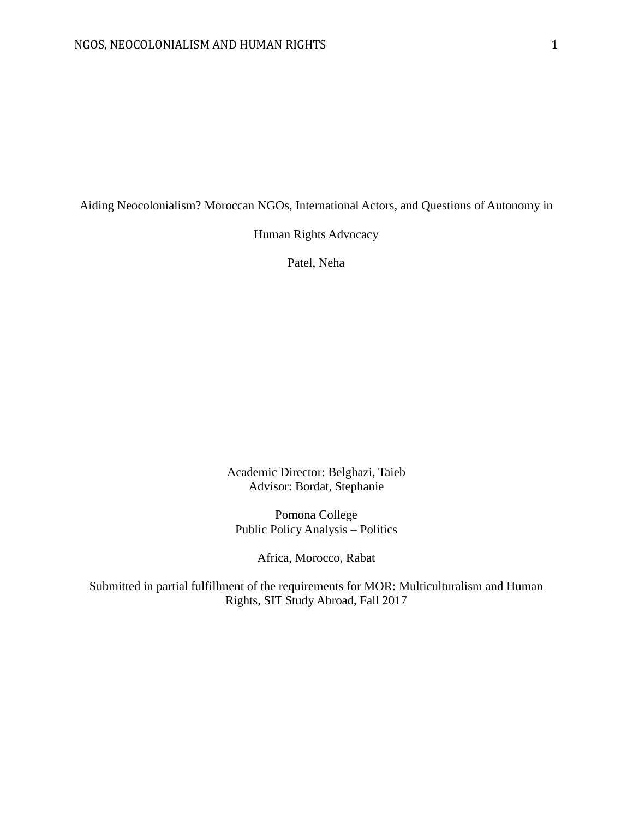Aiding Neocolonialism? Moroccan NGOs, International Actors, and Questions of Autonomy in

Human Rights Advocacy

Patel, Neha

Academic Director: Belghazi, Taieb Advisor: Bordat, Stephanie

Pomona College Public Policy Analysis – Politics

Africa, Morocco, Rabat

Submitted in partial fulfillment of the requirements for MOR: Multiculturalism and Human Rights, SIT Study Abroad, Fall 2017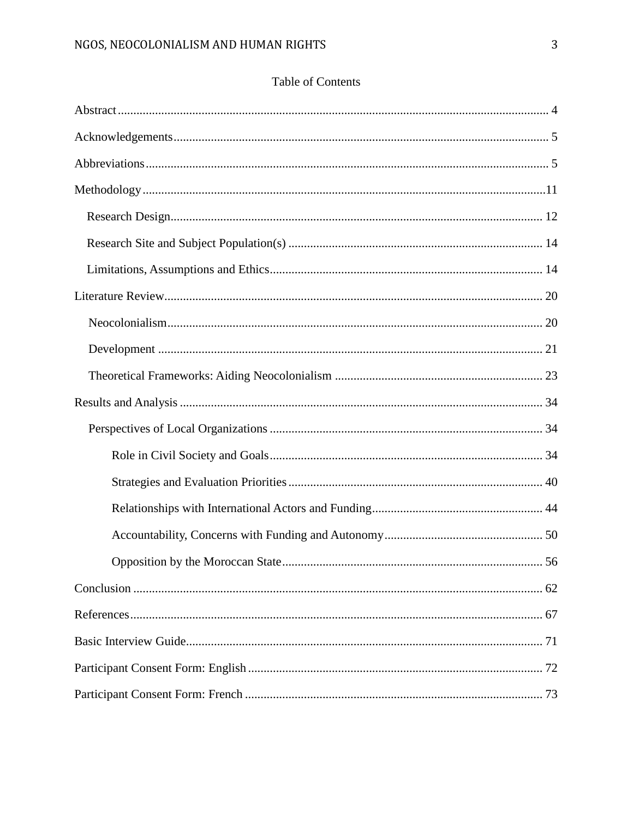## Table of Contents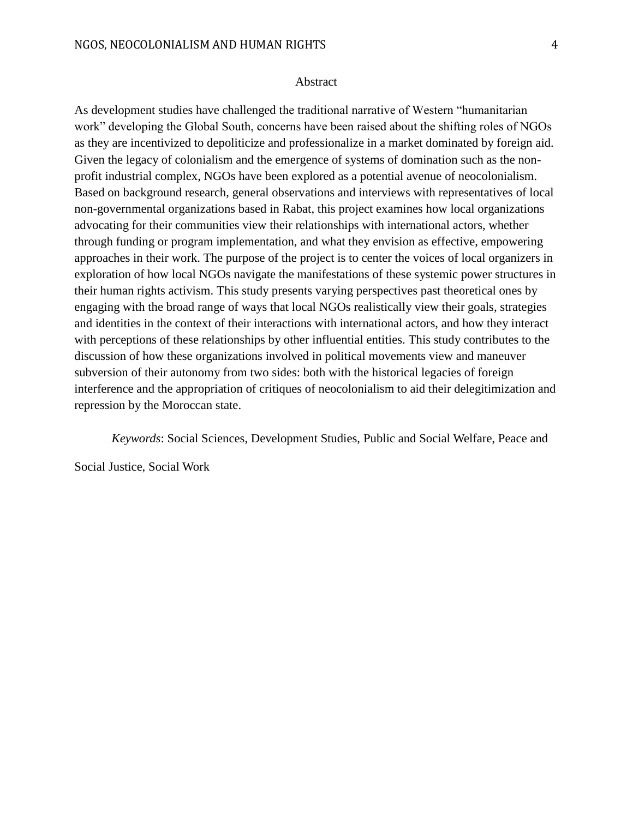#### Abstract

<span id="page-4-0"></span>As development studies have challenged the traditional narrative of Western "humanitarian work" developing the Global South, concerns have been raised about the shifting roles of NGOs as they are incentivized to depoliticize and professionalize in a market dominated by foreign aid. Given the legacy of colonialism and the emergence of systems of domination such as the nonprofit industrial complex, NGOs have been explored as a potential avenue of neocolonialism. Based on background research, general observations and interviews with representatives of local non-governmental organizations based in Rabat, this project examines how local organizations advocating for their communities view their relationships with international actors, whether through funding or program implementation, and what they envision as effective, empowering approaches in their work. The purpose of the project is to center the voices of local organizers in exploration of how local NGOs navigate the manifestations of these systemic power structures in their human rights activism. This study presents varying perspectives past theoretical ones by engaging with the broad range of ways that local NGOs realistically view their goals, strategies and identities in the context of their interactions with international actors, and how they interact with perceptions of these relationships by other influential entities. This study contributes to the discussion of how these organizations involved in political movements view and maneuver subversion of their autonomy from two sides: both with the historical legacies of foreign interference and the appropriation of critiques of neocolonialism to aid their delegitimization and repression by the Moroccan state.

*Keywords*: Social Sciences, Development Studies, Public and Social Welfare, Peace and

Social Justice, Social Work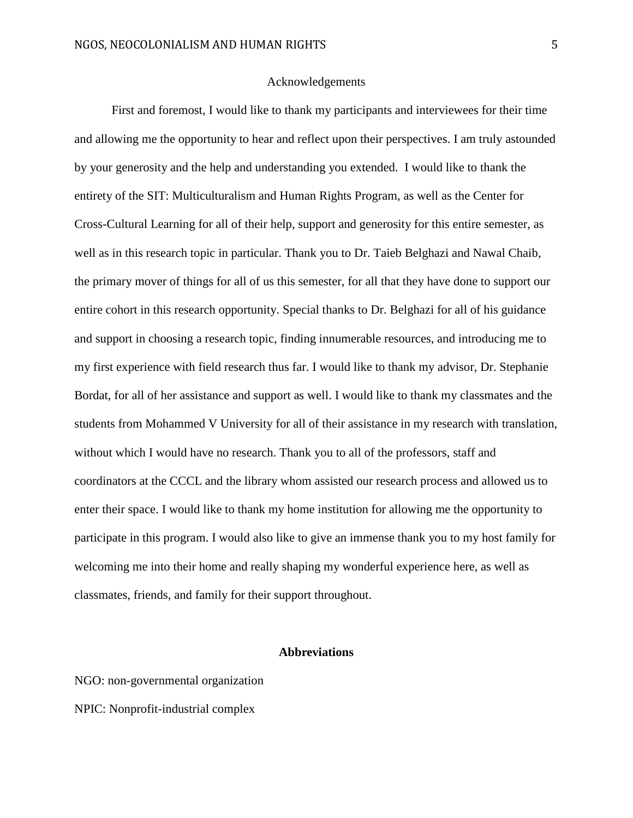#### Acknowledgements

<span id="page-5-0"></span>First and foremost, I would like to thank my participants and interviewees for their time and allowing me the opportunity to hear and reflect upon their perspectives. I am truly astounded by your generosity and the help and understanding you extended. I would like to thank the entirety of the SIT: Multiculturalism and Human Rights Program, as well as the Center for Cross-Cultural Learning for all of their help, support and generosity for this entire semester, as well as in this research topic in particular. Thank you to Dr. Taieb Belghazi and Nawal Chaib, the primary mover of things for all of us this semester, for all that they have done to support our entire cohort in this research opportunity. Special thanks to Dr. Belghazi for all of his guidance and support in choosing a research topic, finding innumerable resources, and introducing me to my first experience with field research thus far. I would like to thank my advisor, Dr. Stephanie Bordat, for all of her assistance and support as well. I would like to thank my classmates and the students from Mohammed V University for all of their assistance in my research with translation, without which I would have no research. Thank you to all of the professors, staff and coordinators at the CCCL and the library whom assisted our research process and allowed us to enter their space. I would like to thank my home institution for allowing me the opportunity to participate in this program. I would also like to give an immense thank you to my host family for welcoming me into their home and really shaping my wonderful experience here, as well as classmates, friends, and family for their support throughout.

#### **Abbreviations**

<span id="page-5-1"></span>NGO: non-governmental organization NPIC: Nonprofit-industrial complex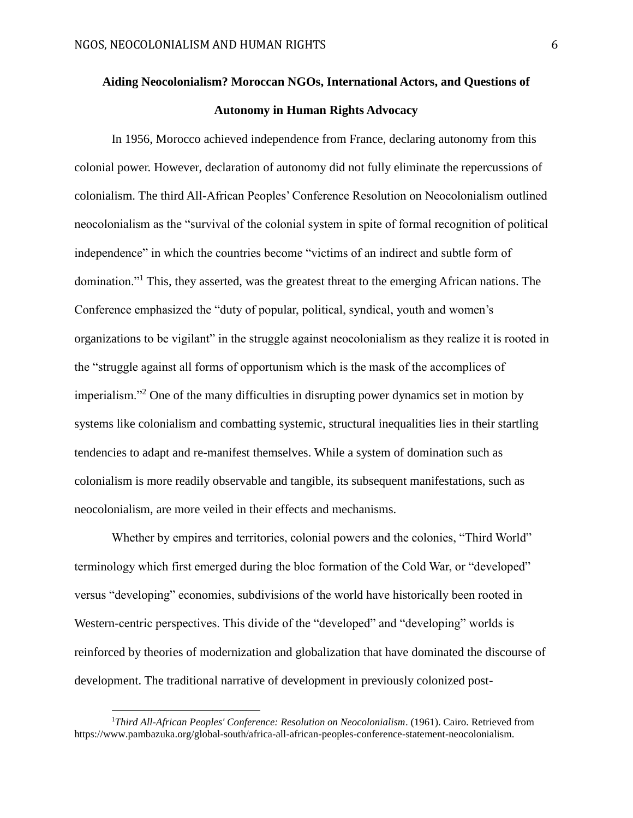## **Aiding Neocolonialism? Moroccan NGOs, International Actors, and Questions of Autonomy in Human Rights Advocacy**

In 1956, Morocco achieved independence from France, declaring autonomy from this colonial power. However, declaration of autonomy did not fully eliminate the repercussions of colonialism. The third All-African Peoples' Conference Resolution on Neocolonialism outlined neocolonialism as the "survival of the colonial system in spite of formal recognition of political independence" in which the countries become "victims of an indirect and subtle form of domination."<sup>1</sup> This, they asserted, was the greatest threat to the emerging African nations. The Conference emphasized the "duty of popular, political, syndical, youth and women's organizations to be vigilant" in the struggle against neocolonialism as they realize it is rooted in the "struggle against all forms of opportunism which is the mask of the accomplices of imperialism."<sup>2</sup> One of the many difficulties in disrupting power dynamics set in motion by systems like colonialism and combatting systemic, structural inequalities lies in their startling tendencies to adapt and re-manifest themselves. While a system of domination such as colonialism is more readily observable and tangible, its subsequent manifestations, such as neocolonialism, are more veiled in their effects and mechanisms.

Whether by empires and territories, colonial powers and the colonies, "Third World" terminology which first emerged during the bloc formation of the Cold War, or "developed" versus "developing" economies, subdivisions of the world have historically been rooted in Western-centric perspectives. This divide of the "developed" and "developing" worlds is reinforced by theories of modernization and globalization that have dominated the discourse of development. The traditional narrative of development in previously colonized post-

<sup>1</sup>*Third All-African Peoples' Conference: Resolution on Neocolonialism*. (1961). Cairo. Retrieved from https://www.pambazuka.org/global-south/africa-all-african-peoples-conference-statement-neocolonialism.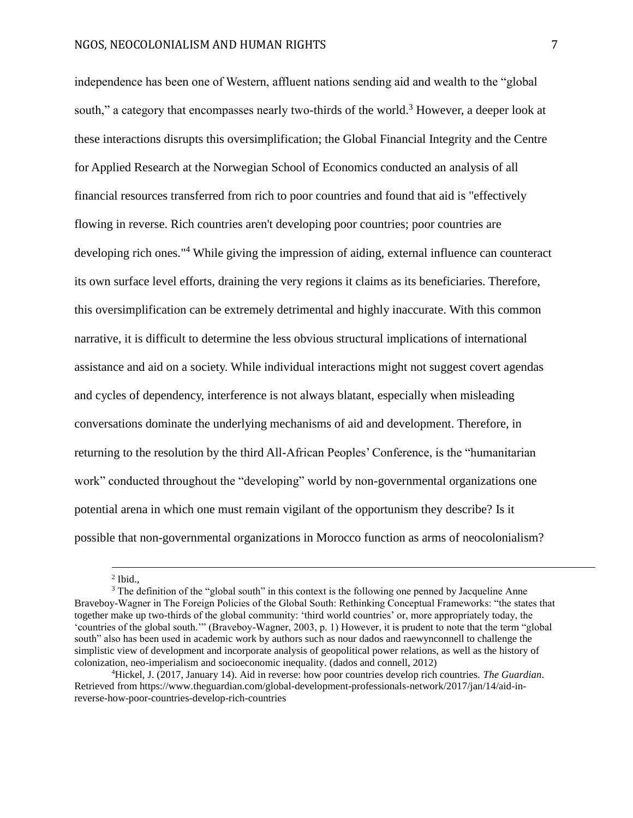independence has been one of Western, affluent nations sending aid and wealth to the "global south," a category that encompasses nearly two-thirds of the world.<sup>3</sup> However, a deeper look at these interactions disrupts this oversimplification; the Global Financial Integrity and the Centre for Applied Research at the Norwegian School of Economics conducted an analysis of all financial resources transferred from rich to poor countries and found that aid is "effectively flowing in reverse. Rich countries aren't developing poor countries; poor countries are developing rich ones."<sup>4</sup> While giving the impression of aiding, external influence can counteract its own surface level efforts, draining the very regions it claims as its beneficiaries. Therefore, this oversimplification can be extremely detrimental and highly inaccurate. With this common narrative, it is difficult to determine the less obvious structural implications of international assistance and aid on a society. While individual interactions might not suggest covert agendas and cycles of dependency, interference is not always blatant, especially when misleading conversations dominate the underlying mechanisms of aid and development. Therefore, in returning to the resolution by the third All-African Peoples' Conference, is the "humanitarian work" conducted throughout the "developing" world by non-governmental organizations one potential arena in which one must remain vigilant of the opportunism they describe? Is it possible that non-governmental organizations in Morocco function as arms of neocolonialism?

 2 Ibid.,

<sup>&</sup>lt;sup>3</sup> The definition of the "global south" in this context is the following one penned by Jacqueline Anne Braveboy-Wagner in The Foreign Policies of the Global South: Rethinking Conceptual Frameworks: "the states that together make up two-thirds of the global community: 'third world countries' or, more appropriately today, the 'countries of the global south.'" (Braveboy-Wagner, 2003, p. 1) However, it is prudent to note that the term "global south" also has been used in academic work by authors such as nour dados and raewynconnell to challenge the simplistic view of development and incorporate analysis of geopolitical power relations, as well as the history of colonization, neo-imperialism and socioeconomic inequality. (dados and connell, 2012)

<sup>4</sup>Hickel, J. (2017, January 14). Aid in reverse: how poor countries develop rich countries. *The Guardian*. Retrieved from https://www.theguardian.com/global-development-professionals-network/2017/jan/14/aid-inreverse-how-poor-countries-develop-rich-countries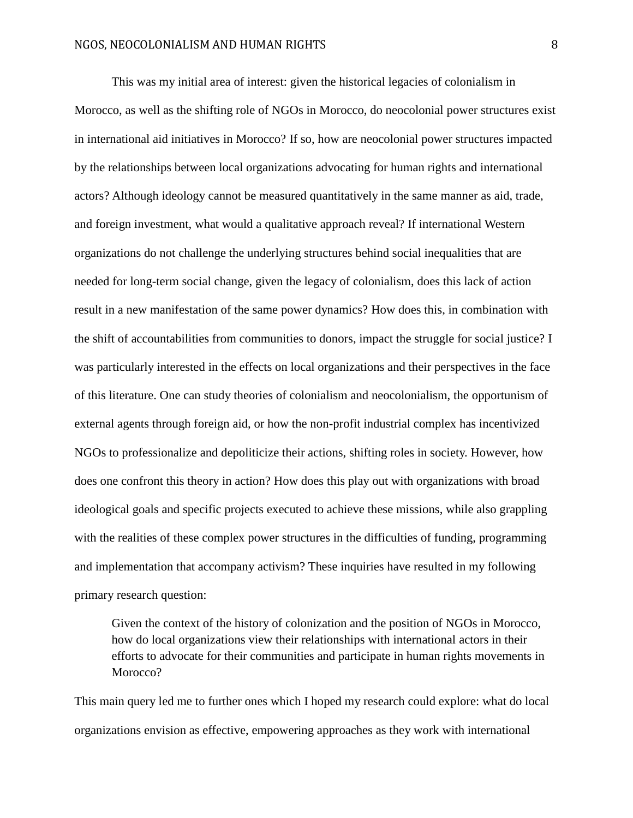This was my initial area of interest: given the historical legacies of colonialism in Morocco, as well as the shifting role of NGOs in Morocco, do neocolonial power structures exist in international aid initiatives in Morocco? If so, how are neocolonial power structures impacted by the relationships between local organizations advocating for human rights and international actors? Although ideology cannot be measured quantitatively in the same manner as aid, trade, and foreign investment, what would a qualitative approach reveal? If international Western organizations do not challenge the underlying structures behind social inequalities that are needed for long-term social change, given the legacy of colonialism, does this lack of action result in a new manifestation of the same power dynamics? How does this, in combination with the shift of accountabilities from communities to donors, impact the struggle for social justice? I was particularly interested in the effects on local organizations and their perspectives in the face of this literature. One can study theories of colonialism and neocolonialism, the opportunism of external agents through foreign aid, or how the non-profit industrial complex has incentivized NGOs to professionalize and depoliticize their actions, shifting roles in society. However, how does one confront this theory in action? How does this play out with organizations with broad ideological goals and specific projects executed to achieve these missions, while also grappling with the realities of these complex power structures in the difficulties of funding, programming and implementation that accompany activism? These inquiries have resulted in my following primary research question:

Given the context of the history of colonization and the position of NGOs in Morocco, how do local organizations view their relationships with international actors in their efforts to advocate for their communities and participate in human rights movements in Morocco?

This main query led me to further ones which I hoped my research could explore: what do local organizations envision as effective, empowering approaches as they work with international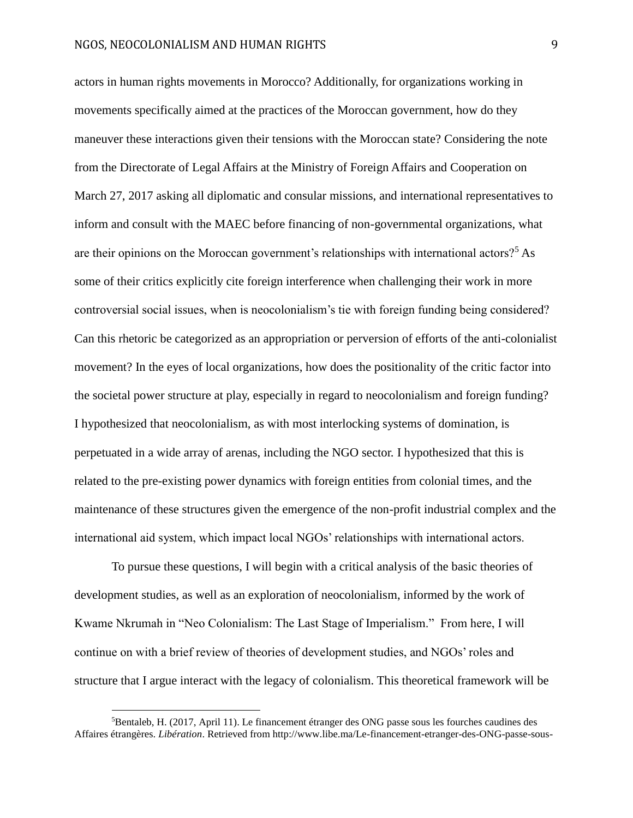actors in human rights movements in Morocco? Additionally, for organizations working in movements specifically aimed at the practices of the Moroccan government, how do they maneuver these interactions given their tensions with the Moroccan state? Considering the note from the Directorate of Legal Affairs at the Ministry of Foreign Affairs and Cooperation on March 27, 2017 asking all diplomatic and consular missions, and international representatives to inform and consult with the MAEC before financing of non-governmental organizations, what are their opinions on the Moroccan government's relationships with international actors?<sup>5</sup> As some of their critics explicitly cite foreign interference when challenging their work in more controversial social issues, when is neocolonialism's tie with foreign funding being considered? Can this rhetoric be categorized as an appropriation or perversion of efforts of the anti-colonialist movement? In the eyes of local organizations, how does the positionality of the critic factor into the societal power structure at play, especially in regard to neocolonialism and foreign funding? I hypothesized that neocolonialism, as with most interlocking systems of domination, is perpetuated in a wide array of arenas, including the NGO sector. I hypothesized that this is related to the pre-existing power dynamics with foreign entities from colonial times, and the maintenance of these structures given the emergence of the non-profit industrial complex and the international aid system, which impact local NGOs' relationships with international actors.

To pursue these questions, I will begin with a critical analysis of the basic theories of development studies, as well as an exploration of neocolonialism, informed by the work of Kwame Nkrumah in "Neo Colonialism: The Last Stage of Imperialism." From here, I will continue on with a brief review of theories of development studies, and NGOs' roles and structure that I argue interact with the legacy of colonialism. This theoretical framework will be

<sup>5</sup>Bentaleb, H. (2017, April 11). Le financement étranger des ONG passe sous les fourches caudines des Affaires étrangères. *Libération*. Retrieved from http://www.libe.ma/Le-financement-etranger-des-ONG-passe-sous-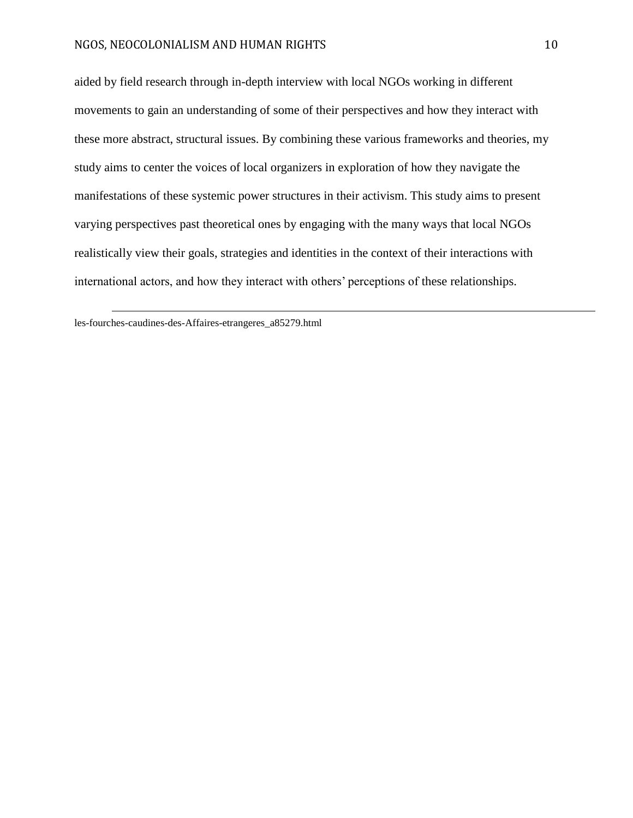aided by field research through in-depth interview with local NGOs working in different movements to gain an understanding of some of their perspectives and how they interact with these more abstract, structural issues. By combining these various frameworks and theories, my study aims to center the voices of local organizers in exploration of how they navigate the manifestations of these systemic power structures in their activism. This study aims to present varying perspectives past theoretical ones by engaging with the many ways that local NGOs realistically view their goals, strategies and identities in the context of their interactions with international actors, and how they interact with others' perceptions of these relationships.

les-fourches-caudines-des-Affaires-etrangeres\_a85279.html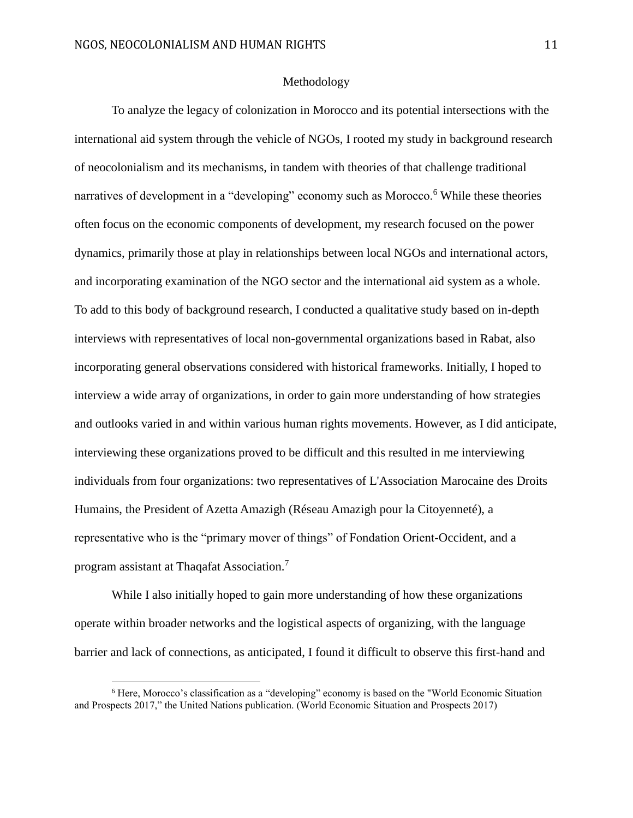#### Methodology

<span id="page-11-0"></span>To analyze the legacy of colonization in Morocco and its potential intersections with the international aid system through the vehicle of NGOs, I rooted my study in background research of neocolonialism and its mechanisms, in tandem with theories of that challenge traditional narratives of development in a "developing" economy such as Morocco.<sup>6</sup> While these theories often focus on the economic components of development, my research focused on the power dynamics, primarily those at play in relationships between local NGOs and international actors, and incorporating examination of the NGO sector and the international aid system as a whole. To add to this body of background research, I conducted a qualitative study based on in-depth interviews with representatives of local non-governmental organizations based in Rabat, also incorporating general observations considered with historical frameworks. Initially, I hoped to interview a wide array of organizations, in order to gain more understanding of how strategies and outlooks varied in and within various human rights movements. However, as I did anticipate, interviewing these organizations proved to be difficult and this resulted in me interviewing individuals from four organizations: two representatives of L'Association Marocaine des Droits Humains, the President of Azetta Amazigh (Réseau Amazigh pour la Citoyenneté), a representative who is the "primary mover of things" of Fondation Orient-Occident, and a program assistant at Thaqafat Association.<sup>7</sup>

While I also initially hoped to gain more understanding of how these organizations operate within broader networks and the logistical aspects of organizing, with the language barrier and lack of connections, as anticipated, I found it difficult to observe this first-hand and

<sup>6</sup> Here, Morocco's classification as a "developing" economy is based on the "World Economic Situation and Prospects 2017," the United Nations publication. (World Economic Situation and Prospects 2017)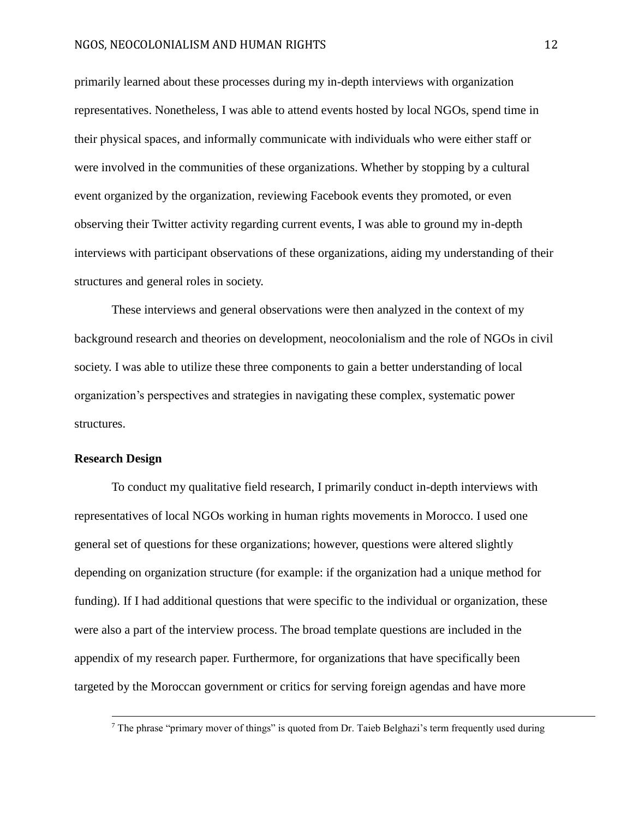primarily learned about these processes during my in-depth interviews with organization representatives. Nonetheless, I was able to attend events hosted by local NGOs, spend time in their physical spaces, and informally communicate with individuals who were either staff or were involved in the communities of these organizations. Whether by stopping by a cultural event organized by the organization, reviewing Facebook events they promoted, or even observing their Twitter activity regarding current events, I was able to ground my in-depth interviews with participant observations of these organizations, aiding my understanding of their structures and general roles in society.

These interviews and general observations were then analyzed in the context of my background research and theories on development, neocolonialism and the role of NGOs in civil society. I was able to utilize these three components to gain a better understanding of local organization's perspectives and strategies in navigating these complex, systematic power structures.

#### <span id="page-12-0"></span>**Research Design**

 $\overline{a}$ 

To conduct my qualitative field research, I primarily conduct in-depth interviews with representatives of local NGOs working in human rights movements in Morocco. I used one general set of questions for these organizations; however, questions were altered slightly depending on organization structure (for example: if the organization had a unique method for funding). If I had additional questions that were specific to the individual or organization, these were also a part of the interview process. The broad template questions are included in the appendix of my research paper. Furthermore, for organizations that have specifically been targeted by the Moroccan government or critics for serving foreign agendas and have more

<sup>&</sup>lt;sup>7</sup> The phrase "primary mover of things" is quoted from Dr. Taieb Belghazi's term frequently used during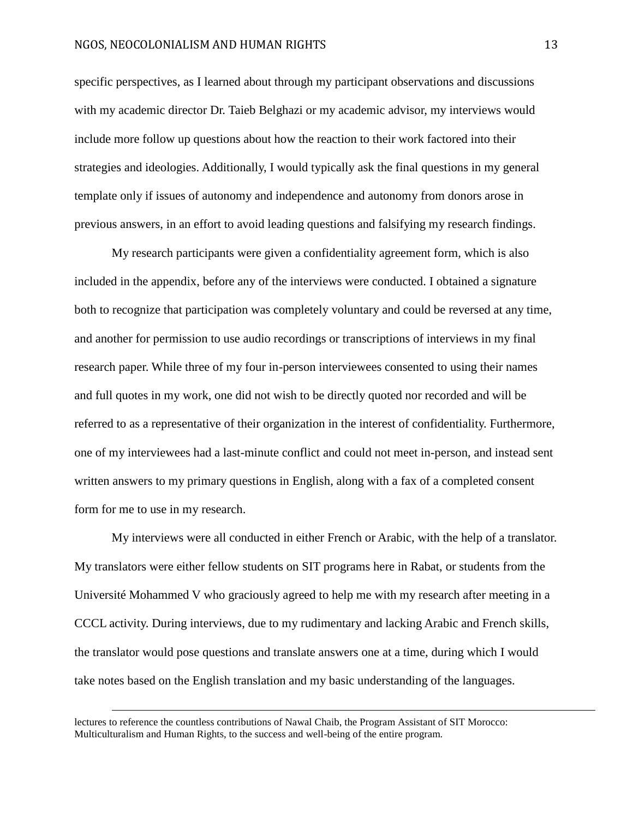specific perspectives, as I learned about through my participant observations and discussions with my academic director Dr. Taieb Belghazi or my academic advisor, my interviews would include more follow up questions about how the reaction to their work factored into their strategies and ideologies. Additionally, I would typically ask the final questions in my general template only if issues of autonomy and independence and autonomy from donors arose in previous answers, in an effort to avoid leading questions and falsifying my research findings.

My research participants were given a confidentiality agreement form, which is also included in the appendix, before any of the interviews were conducted. I obtained a signature both to recognize that participation was completely voluntary and could be reversed at any time, and another for permission to use audio recordings or transcriptions of interviews in my final research paper. While three of my four in-person interviewees consented to using their names and full quotes in my work, one did not wish to be directly quoted nor recorded and will be referred to as a representative of their organization in the interest of confidentiality. Furthermore, one of my interviewees had a last-minute conflict and could not meet in-person, and instead sent written answers to my primary questions in English, along with a fax of a completed consent form for me to use in my research.

My interviews were all conducted in either French or Arabic, with the help of a translator. My translators were either fellow students on SIT programs here in Rabat, or students from the Université Mohammed V who graciously agreed to help me with my research after meeting in a CCCL activity. During interviews, due to my rudimentary and lacking Arabic and French skills, the translator would pose questions and translate answers one at a time, during which I would take notes based on the English translation and my basic understanding of the languages.

lectures to reference the countless contributions of Nawal Chaib, the Program Assistant of SIT Morocco: Multiculturalism and Human Rights, to the success and well-being of the entire program.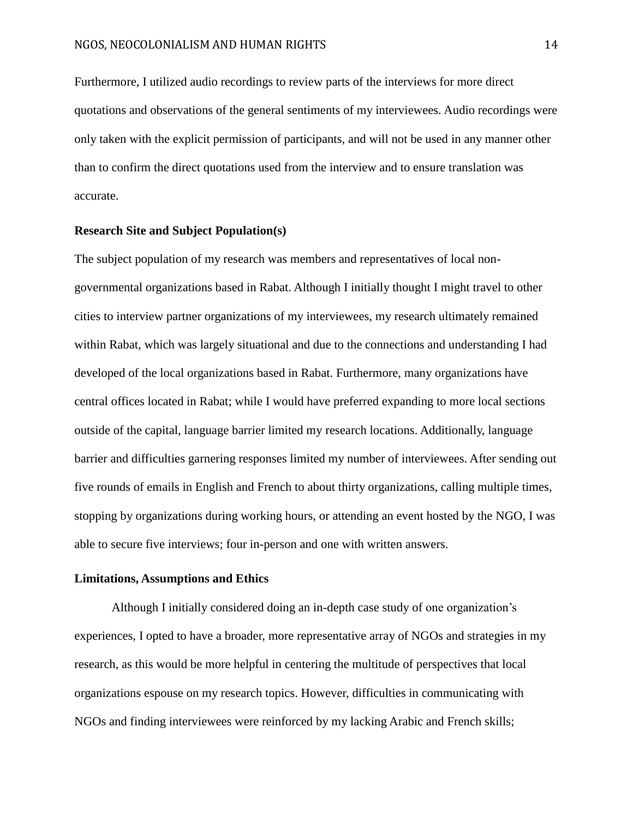Furthermore, I utilized audio recordings to review parts of the interviews for more direct quotations and observations of the general sentiments of my interviewees. Audio recordings were only taken with the explicit permission of participants, and will not be used in any manner other than to confirm the direct quotations used from the interview and to ensure translation was accurate.

#### <span id="page-14-0"></span>**Research Site and Subject Population(s)**

The subject population of my research was members and representatives of local nongovernmental organizations based in Rabat. Although I initially thought I might travel to other cities to interview partner organizations of my interviewees, my research ultimately remained within Rabat, which was largely situational and due to the connections and understanding I had developed of the local organizations based in Rabat. Furthermore, many organizations have central offices located in Rabat; while I would have preferred expanding to more local sections outside of the capital, language barrier limited my research locations. Additionally, language barrier and difficulties garnering responses limited my number of interviewees. After sending out five rounds of emails in English and French to about thirty organizations, calling multiple times, stopping by organizations during working hours, or attending an event hosted by the NGO, I was able to secure five interviews; four in-person and one with written answers.

#### <span id="page-14-1"></span>**Limitations, Assumptions and Ethics**

Although I initially considered doing an in-depth case study of one organization's experiences, I opted to have a broader, more representative array of NGOs and strategies in my research, as this would be more helpful in centering the multitude of perspectives that local organizations espouse on my research topics. However, difficulties in communicating with NGOs and finding interviewees were reinforced by my lacking Arabic and French skills;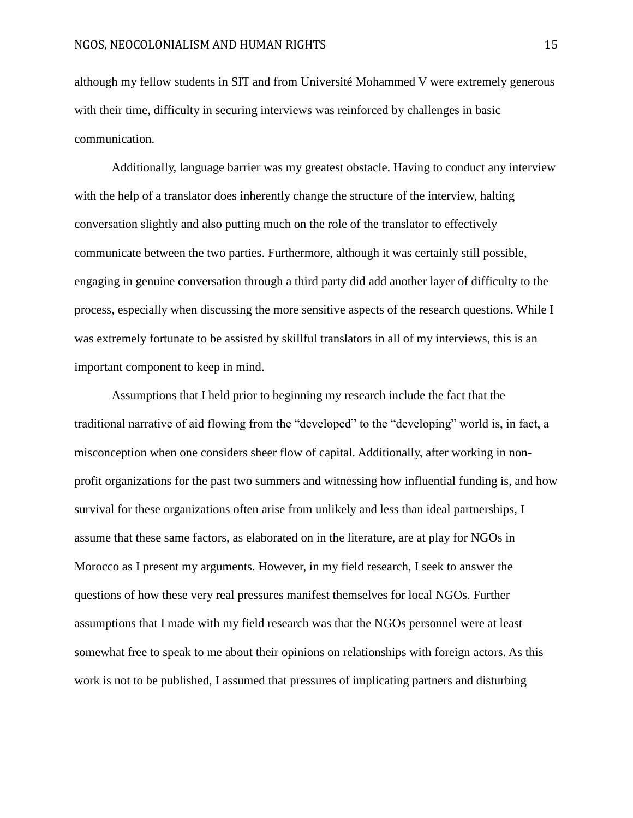although my fellow students in SIT and from Université Mohammed V were extremely generous with their time, difficulty in securing interviews was reinforced by challenges in basic communication.

Additionally, language barrier was my greatest obstacle. Having to conduct any interview with the help of a translator does inherently change the structure of the interview, halting conversation slightly and also putting much on the role of the translator to effectively communicate between the two parties. Furthermore, although it was certainly still possible, engaging in genuine conversation through a third party did add another layer of difficulty to the process, especially when discussing the more sensitive aspects of the research questions. While I was extremely fortunate to be assisted by skillful translators in all of my interviews, this is an important component to keep in mind.

Assumptions that I held prior to beginning my research include the fact that the traditional narrative of aid flowing from the "developed" to the "developing" world is, in fact, a misconception when one considers sheer flow of capital. Additionally, after working in nonprofit organizations for the past two summers and witnessing how influential funding is, and how survival for these organizations often arise from unlikely and less than ideal partnerships, I assume that these same factors, as elaborated on in the literature, are at play for NGOs in Morocco as I present my arguments. However, in my field research, I seek to answer the questions of how these very real pressures manifest themselves for local NGOs. Further assumptions that I made with my field research was that the NGOs personnel were at least somewhat free to speak to me about their opinions on relationships with foreign actors. As this work is not to be published, I assumed that pressures of implicating partners and disturbing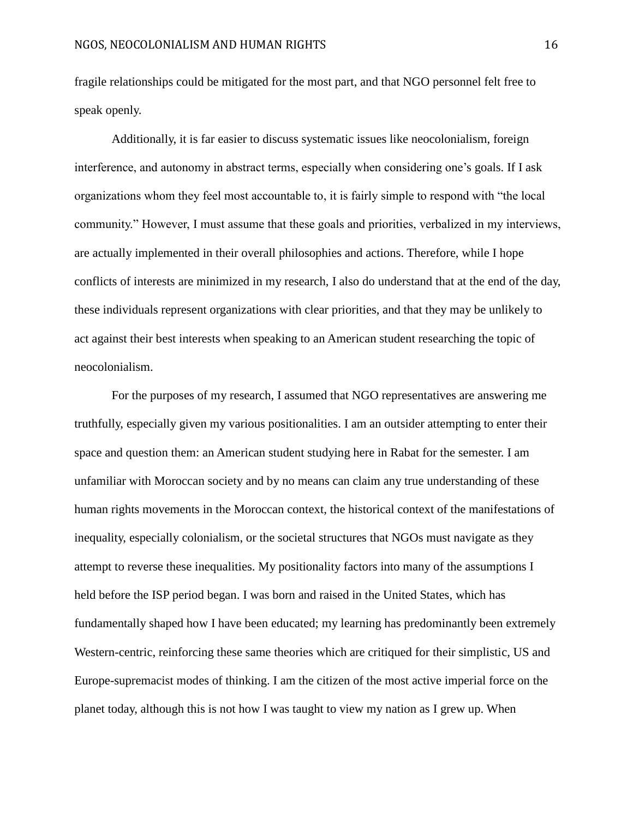fragile relationships could be mitigated for the most part, and that NGO personnel felt free to speak openly.

Additionally, it is far easier to discuss systematic issues like neocolonialism, foreign interference, and autonomy in abstract terms, especially when considering one's goals. If I ask organizations whom they feel most accountable to, it is fairly simple to respond with "the local community." However, I must assume that these goals and priorities, verbalized in my interviews, are actually implemented in their overall philosophies and actions. Therefore, while I hope conflicts of interests are minimized in my research, I also do understand that at the end of the day, these individuals represent organizations with clear priorities, and that they may be unlikely to act against their best interests when speaking to an American student researching the topic of neocolonialism.

For the purposes of my research, I assumed that NGO representatives are answering me truthfully, especially given my various positionalities. I am an outsider attempting to enter their space and question them: an American student studying here in Rabat for the semester. I am unfamiliar with Moroccan society and by no means can claim any true understanding of these human rights movements in the Moroccan context, the historical context of the manifestations of inequality, especially colonialism, or the societal structures that NGOs must navigate as they attempt to reverse these inequalities. My positionality factors into many of the assumptions I held before the ISP period began. I was born and raised in the United States, which has fundamentally shaped how I have been educated; my learning has predominantly been extremely Western-centric, reinforcing these same theories which are critiqued for their simplistic, US and Europe-supremacist modes of thinking. I am the citizen of the most active imperial force on the planet today, although this is not how I was taught to view my nation as I grew up. When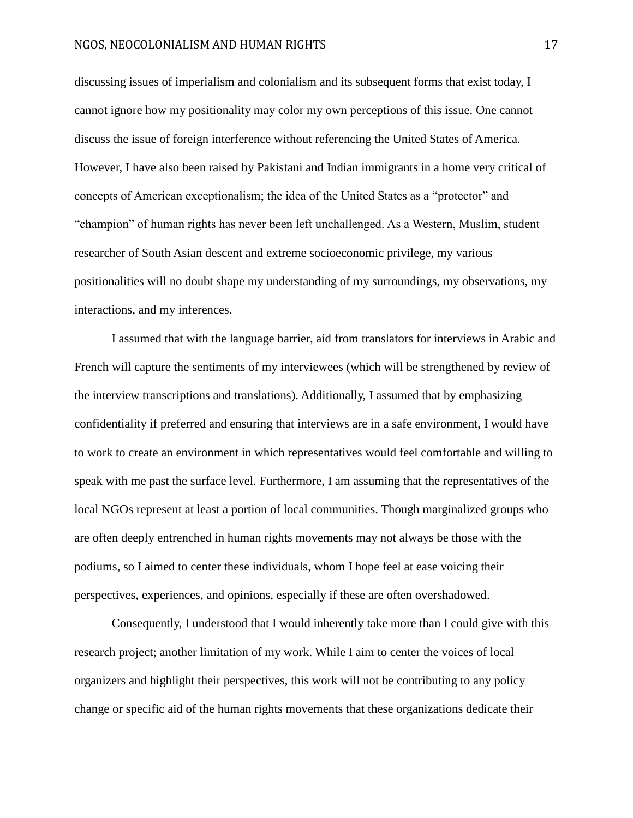discussing issues of imperialism and colonialism and its subsequent forms that exist today, I cannot ignore how my positionality may color my own perceptions of this issue. One cannot discuss the issue of foreign interference without referencing the United States of America. However, I have also been raised by Pakistani and Indian immigrants in a home very critical of concepts of American exceptionalism; the idea of the United States as a "protector" and "champion" of human rights has never been left unchallenged. As a Western, Muslim, student researcher of South Asian descent and extreme socioeconomic privilege, my various positionalities will no doubt shape my understanding of my surroundings, my observations, my interactions, and my inferences.

I assumed that with the language barrier, aid from translators for interviews in Arabic and French will capture the sentiments of my interviewees (which will be strengthened by review of the interview transcriptions and translations). Additionally, I assumed that by emphasizing confidentiality if preferred and ensuring that interviews are in a safe environment, I would have to work to create an environment in which representatives would feel comfortable and willing to speak with me past the surface level. Furthermore, I am assuming that the representatives of the local NGOs represent at least a portion of local communities. Though marginalized groups who are often deeply entrenched in human rights movements may not always be those with the podiums, so I aimed to center these individuals, whom I hope feel at ease voicing their perspectives, experiences, and opinions, especially if these are often overshadowed.

Consequently, I understood that I would inherently take more than I could give with this research project; another limitation of my work. While I aim to center the voices of local organizers and highlight their perspectives, this work will not be contributing to any policy change or specific aid of the human rights movements that these organizations dedicate their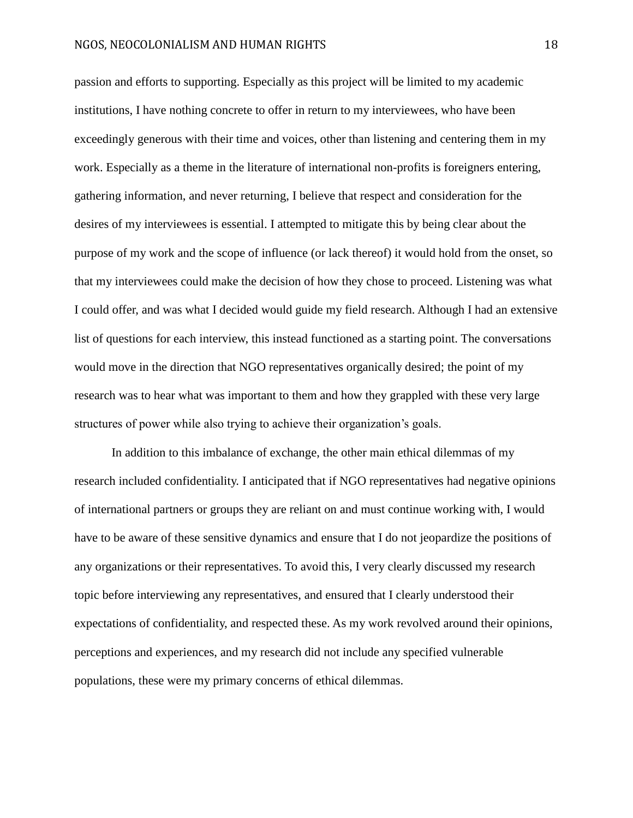passion and efforts to supporting. Especially as this project will be limited to my academic institutions, I have nothing concrete to offer in return to my interviewees, who have been exceedingly generous with their time and voices, other than listening and centering them in my work. Especially as a theme in the literature of international non-profits is foreigners entering, gathering information, and never returning, I believe that respect and consideration for the desires of my interviewees is essential. I attempted to mitigate this by being clear about the purpose of my work and the scope of influence (or lack thereof) it would hold from the onset, so that my interviewees could make the decision of how they chose to proceed. Listening was what I could offer, and was what I decided would guide my field research. Although I had an extensive list of questions for each interview, this instead functioned as a starting point. The conversations would move in the direction that NGO representatives organically desired; the point of my research was to hear what was important to them and how they grappled with these very large structures of power while also trying to achieve their organization's goals.

In addition to this imbalance of exchange, the other main ethical dilemmas of my research included confidentiality. I anticipated that if NGO representatives had negative opinions of international partners or groups they are reliant on and must continue working with, I would have to be aware of these sensitive dynamics and ensure that I do not jeopardize the positions of any organizations or their representatives. To avoid this, I very clearly discussed my research topic before interviewing any representatives, and ensured that I clearly understood their expectations of confidentiality, and respected these. As my work revolved around their opinions, perceptions and experiences, and my research did not include any specified vulnerable populations, these were my primary concerns of ethical dilemmas.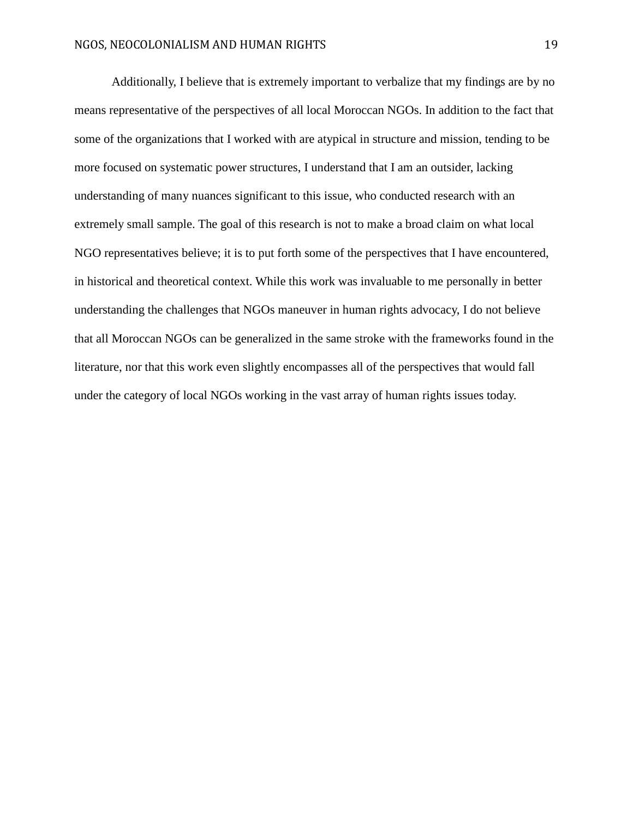Additionally, I believe that is extremely important to verbalize that my findings are by no means representative of the perspectives of all local Moroccan NGOs. In addition to the fact that some of the organizations that I worked with are atypical in structure and mission, tending to be more focused on systematic power structures, I understand that I am an outsider, lacking understanding of many nuances significant to this issue, who conducted research with an extremely small sample. The goal of this research is not to make a broad claim on what local NGO representatives believe; it is to put forth some of the perspectives that I have encountered, in historical and theoretical context. While this work was invaluable to me personally in better understanding the challenges that NGOs maneuver in human rights advocacy, I do not believe that all Moroccan NGOs can be generalized in the same stroke with the frameworks found in the literature, nor that this work even slightly encompasses all of the perspectives that would fall under the category of local NGOs working in the vast array of human rights issues today.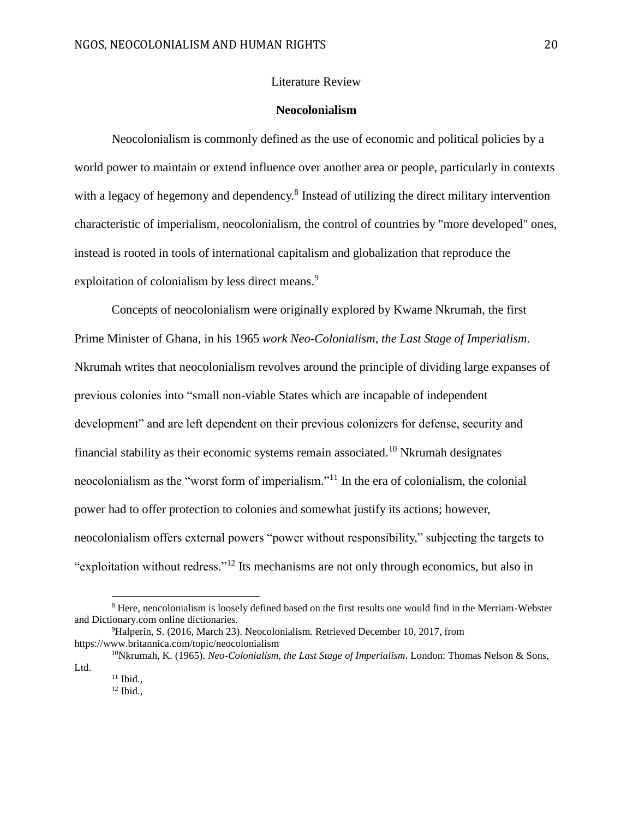#### Literature Review

#### **Neocolonialism**

<span id="page-20-1"></span><span id="page-20-0"></span>Neocolonialism is commonly defined as the use of economic and political policies by a world power to maintain or extend influence over another area or people, particularly in contexts with a legacy of hegemony and dependency.<sup>8</sup> Instead of utilizing the direct military intervention characteristic of imperialism, neocolonialism, the control of countries by "more developed" ones, instead is rooted in tools of international capitalism and globalization that reproduce the exploitation of colonialism by less direct means.<sup>9</sup>

Concepts of neocolonialism were originally explored by Kwame Nkrumah, the first Prime Minister of Ghana, in his 1965 *work Neo-Colonialism, the Last Stage of Imperialism*. Nkrumah writes that neocolonialism revolves around the principle of dividing large expanses of previous colonies into "small non-viable States which are incapable of independent development" and are left dependent on their previous colonizers for defense, security and financial stability as their economic systems remain associated.<sup>10</sup> Nkrumah designates neocolonialism as the "worst form of imperialism."<sup>11</sup> In the era of colonialism, the colonial power had to offer protection to colonies and somewhat justify its actions; however, neocolonialism offers external powers "power without responsibility," subjecting the targets to "exploitation without redress."<sup>12</sup> Its mechanisms are not only through economics, but also in

<sup>8</sup> Here, neocolonialism is loosely defined based on the first results one would find in the Merriam-Webster and Dictionary.com online dictionaries.

<sup>&</sup>lt;sup>9</sup>Halperin, S. (2016, March 23). Neocolonialism. Retrieved December 10, 2017, from https://www.britannica.com/topic/neocolonialism

<sup>10</sup>Nkrumah, K. (1965). *Neo-Colonialism, the Last Stage of Imperialism*. London: Thomas Nelson & Sons, Ltd.

 $11$  Ibid.,

 $12$  Ibid.,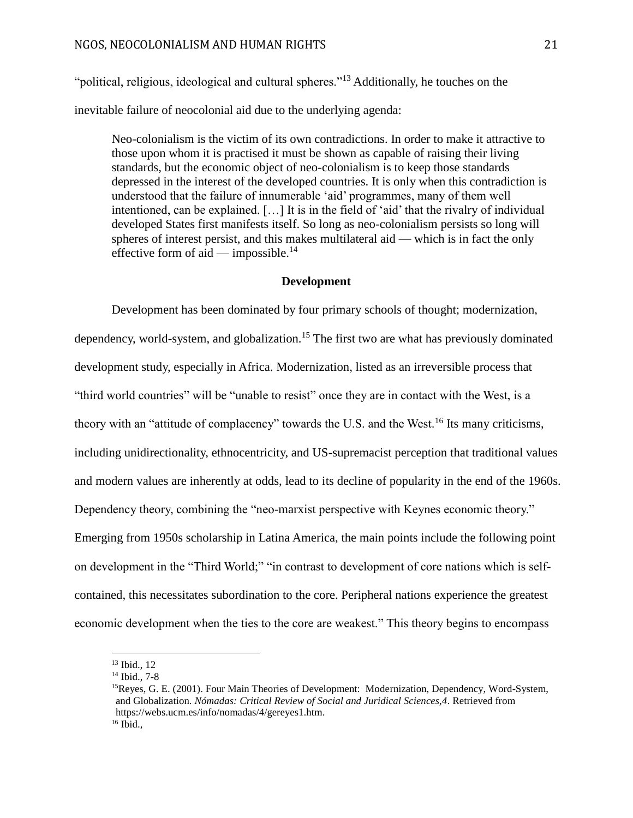"political, religious, ideological and cultural spheres."<sup>13</sup> Additionally, he touches on the inevitable failure of neocolonial aid due to the underlying agenda:

Neo-colonialism is the victim of its own contradictions. In order to make it attractive to those upon whom it is practised it must be shown as capable of raising their living standards, but the economic object of neo-colonialism is to keep those standards depressed in the interest of the developed countries. It is only when this contradiction is understood that the failure of innumerable 'aid' programmes, many of them well intentioned, can be explained. […] It is in the field of 'aid' that the rivalry of individual developed States first manifests itself. So long as neo-colonialism persists so long will spheres of interest persist, and this makes multilateral aid — which is in fact the only effective form of aid — impossible.<sup>14</sup>

#### **Development**

<span id="page-21-0"></span>Development has been dominated by four primary schools of thought; modernization, dependency, world-system, and globalization.<sup>15</sup> The first two are what has previously dominated development study, especially in Africa. Modernization, listed as an irreversible process that "third world countries" will be "unable to resist" once they are in contact with the West, is a theory with an "attitude of complacency" towards the U.S. and the West.<sup>16</sup> Its many criticisms, including unidirectionality, ethnocentricity, and US-supremacist perception that traditional values and modern values are inherently at odds, lead to its decline of popularity in the end of the 1960s. Dependency theory, combining the "neo-marxist perspective with Keynes economic theory." Emerging from 1950s scholarship in Latina America, the main points include the following point on development in the "Third World;" "in contrast to development of core nations which is selfcontained, this necessitates subordination to the core. Peripheral nations experience the greatest economic development when the ties to the core are weakest." This theory begins to encompass

<sup>13</sup> Ibid., 12

<sup>14</sup> Ibid., 7-8

<sup>15</sup>Reyes, G. E. (2001). Four Main Theories of Development: Modernization, Dependency, Word-System, and Globalization. *Nómadas: Critical Review of Social and Juridical Sciences,4*. Retrieved from https://webs.ucm.es/info/nomadas/4/gereyes1.htm.  $16$  Ibid.,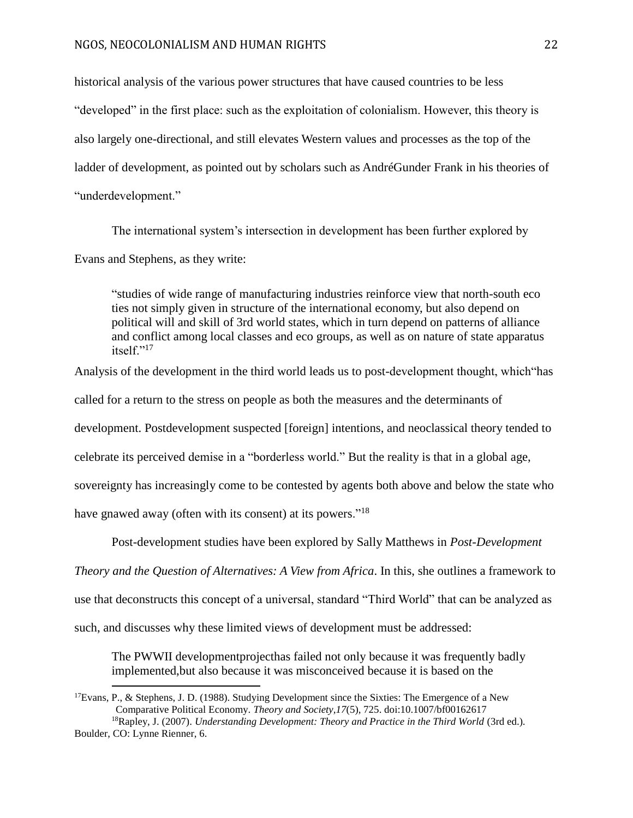historical analysis of the various power structures that have caused countries to be less "developed" in the first place: such as the exploitation of colonialism. However, this theory is also largely one-directional, and still elevates Western values and processes as the top of the ladder of development, as pointed out by scholars such as AndréGunder Frank in his theories of "underdevelopment."

The international system's intersection in development has been further explored by Evans and Stephens, as they write:

"studies of wide range of manufacturing industries reinforce view that north-south eco ties not simply given in structure of the international economy, but also depend on political will and skill of 3rd world states, which in turn depend on patterns of alliance and conflict among local classes and eco groups, as well as on nature of state apparatus itself."<sup>17</sup>

Analysis of the development in the third world leads us to post-development thought, which"has called for a return to the stress on people as both the measures and the determinants of development. Postdevelopment suspected [foreign] intentions, and neoclassical theory tended to celebrate its perceived demise in a "borderless world." But the reality is that in a global age, sovereignty has increasingly come to be contested by agents both above and below the state who have gnawed away (often with its consent) at its powers."<sup>18</sup>

Post-development studies have been explored by Sally Matthews in *Post-Development* 

*Theory and the Question of Alternatives: A View from Africa*. In this, she outlines a framework to

use that deconstructs this concept of a universal, standard "Third World" that can be analyzed as

such, and discusses why these limited views of development must be addressed:

 $\overline{a}$ 

The PWWII developmentprojecthas failed not only because it was frequently badly implemented,but also because it was misconceived because it is based on the

 $17$ Evans, P., & Stephens, J. D. (1988). Studying Development since the Sixties: The Emergence of a New Comparative Political Economy. *Theory and Society,17*(5), 725. doi:10.1007/bf00162617

<sup>&</sup>lt;sup>18</sup>Rapley, J. (2007). *Understanding Development: Theory and Practice in the Third World* (3rd ed.). Boulder, CO: Lynne Rienner, 6.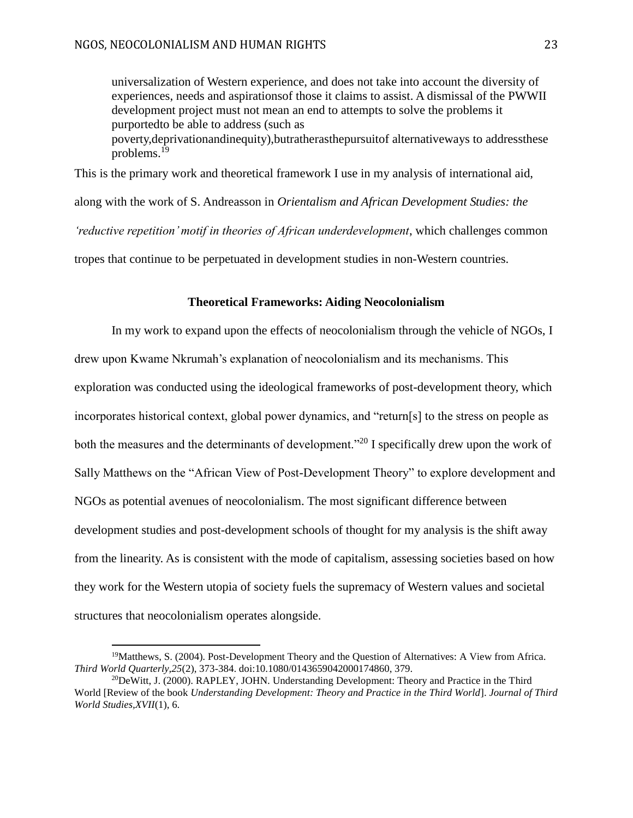universalization of Western experience, and does not take into account the diversity of experiences, needs and aspirationsof those it claims to assist. A dismissal of the PWWII development project must not mean an end to attempts to solve the problems it purportedto be able to address (such as poverty,deprivationandinequity),butratherasthepursuitof alternativeways to addressthese problems.<sup>19</sup>

This is the primary work and theoretical framework I use in my analysis of international aid,

along with the work of S. Andreasson in *Orientalism and African Development Studies: the* 

*'reductive repetition' motif in theories of African underdevelopment*, which challenges common

tropes that continue to be perpetuated in development studies in non-Western countries.

#### **Theoretical Frameworks: Aiding Neocolonialism**

<span id="page-23-0"></span>In my work to expand upon the effects of neocolonialism through the vehicle of NGOs, I drew upon Kwame Nkrumah's explanation of neocolonialism and its mechanisms. This exploration was conducted using the ideological frameworks of post-development theory, which incorporates historical context, global power dynamics, and "return[s] to the stress on people as both the measures and the determinants of development.<sup>"20</sup> I specifically drew upon the work of Sally Matthews on the "African View of Post-Development Theory" to explore development and NGOs as potential avenues of neocolonialism. The most significant difference between development studies and post-development schools of thought for my analysis is the shift away from the linearity. As is consistent with the mode of capitalism, assessing societies based on how they work for the Western utopia of society fuels the supremacy of Western values and societal structures that neocolonialism operates alongside.

<sup>19</sup>Matthews, S. (2004). Post-Development Theory and the Question of Alternatives: A View from Africa. *Third World Quarterly,25*(2), 373-384. doi:10.1080/0143659042000174860, 379.

 $20$ DeWitt, J. (2000). RAPLEY, JOHN. Understanding Development: Theory and Practice in the Third World [Review of the book *Understanding Development: Theory and Practice in the Third World*]. *Journal of Third World Studies,XVII*(1), 6.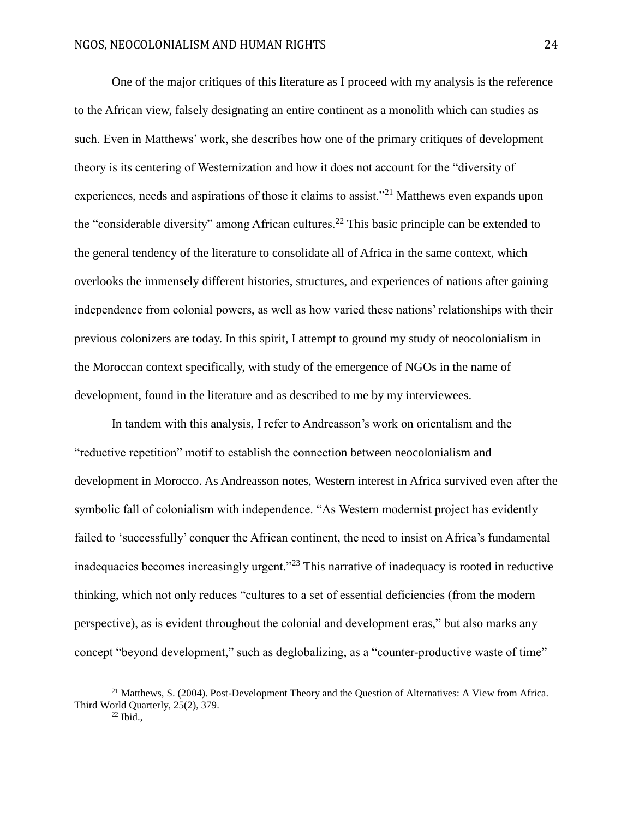One of the major critiques of this literature as I proceed with my analysis is the reference to the African view, falsely designating an entire continent as a monolith which can studies as such. Even in Matthews' work, she describes how one of the primary critiques of development theory is its centering of Westernization and how it does not account for the "diversity of experiences, needs and aspirations of those it claims to assist."<sup>21</sup> Matthews even expands upon the "considerable diversity" among African cultures.<sup>22</sup> This basic principle can be extended to the general tendency of the literature to consolidate all of Africa in the same context, which overlooks the immensely different histories, structures, and experiences of nations after gaining independence from colonial powers, as well as how varied these nations' relationships with their previous colonizers are today. In this spirit, I attempt to ground my study of neocolonialism in the Moroccan context specifically, with study of the emergence of NGOs in the name of development, found in the literature and as described to me by my interviewees.

In tandem with this analysis, I refer to Andreasson's work on orientalism and the "reductive repetition" motif to establish the connection between neocolonialism and development in Morocco. As Andreasson notes, Western interest in Africa survived even after the symbolic fall of colonialism with independence. "As Western modernist project has evidently failed to 'successfully' conquer the African continent, the need to insist on Africa's fundamental inadequacies becomes increasingly urgent."<sup>23</sup> This narrative of inadequacy is rooted in reductive thinking, which not only reduces "cultures to a set of essential deficiencies (from the modern perspective), as is evident throughout the colonial and development eras," but also marks any concept "beyond development," such as deglobalizing, as a "counter-productive waste of time"

<sup>&</sup>lt;sup>21</sup> Matthews, S. (2004). Post-Development Theory and the Question of Alternatives: A View from Africa. Third World Quarterly, 25(2), 379.

 $^{22}$  Ibid.,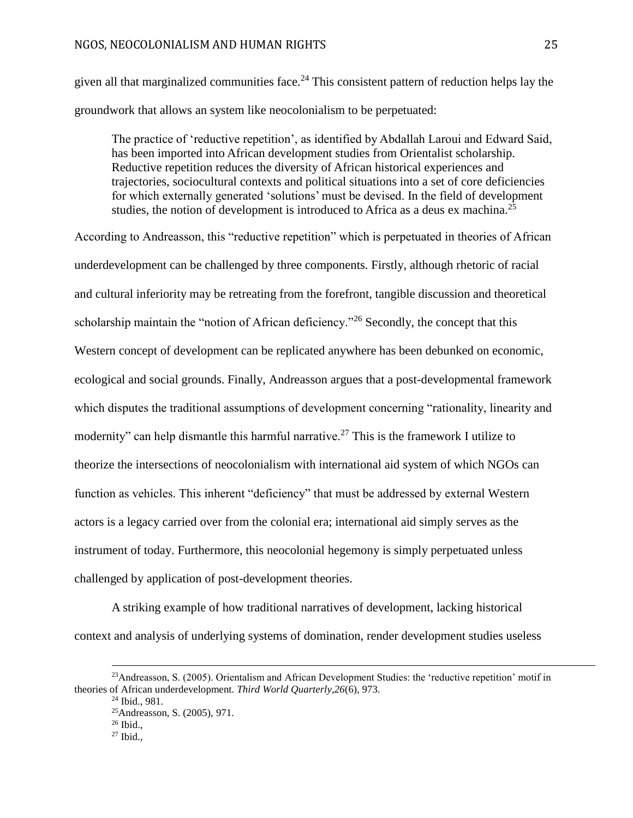#### NGOS, NEOCOLONIALISM AND HUMAN RIGHTS 25

given all that marginalized communities face.<sup>24</sup> This consistent pattern of reduction helps lay the groundwork that allows an system like neocolonialism to be perpetuated:

The practice of 'reductive repetition', as identified by Abdallah Laroui and Edward Said, has been imported into African development studies from Orientalist scholarship. Reductive repetition reduces the diversity of African historical experiences and trajectories, sociocultural contexts and political situations into a set of core deficiencies for which externally generated 'solutions' must be devised. In the field of development studies, the notion of development is introduced to Africa as a deus ex machina.<sup>25</sup>

According to Andreasson, this "reductive repetition" which is perpetuated in theories of African underdevelopment can be challenged by three components. Firstly, although rhetoric of racial and cultural inferiority may be retreating from the forefront, tangible discussion and theoretical scholarship maintain the "notion of African deficiency."<sup>26</sup> Secondly, the concept that this Western concept of development can be replicated anywhere has been debunked on economic, ecological and social grounds. Finally, Andreasson argues that a post-developmental framework which disputes the traditional assumptions of development concerning "rationality, linearity and modernity" can help dismantle this harmful narrative.<sup>27</sup> This is the framework I utilize to theorize the intersections of neocolonialism with international aid system of which NGOs can function as vehicles. This inherent "deficiency" that must be addressed by external Western actors is a legacy carried over from the colonial era; international aid simply serves as the instrument of today. Furthermore, this neocolonial hegemony is simply perpetuated unless challenged by application of post-development theories.

A striking example of how traditional narratives of development, lacking historical context and analysis of underlying systems of domination, render development studies useless

<sup>&</sup>lt;sup>23</sup>Andreasson, S. (2005). Orientalism and African Development Studies: the 'reductive repetition' motif in theories of African underdevelopment. *Third World Quarterly,26*(6), 973.

<sup>24</sup> Ibid., 981.

<sup>25</sup>Andreasson, S. (2005), 971.

 $26$  Ibid.,

 $27$  Ibid.,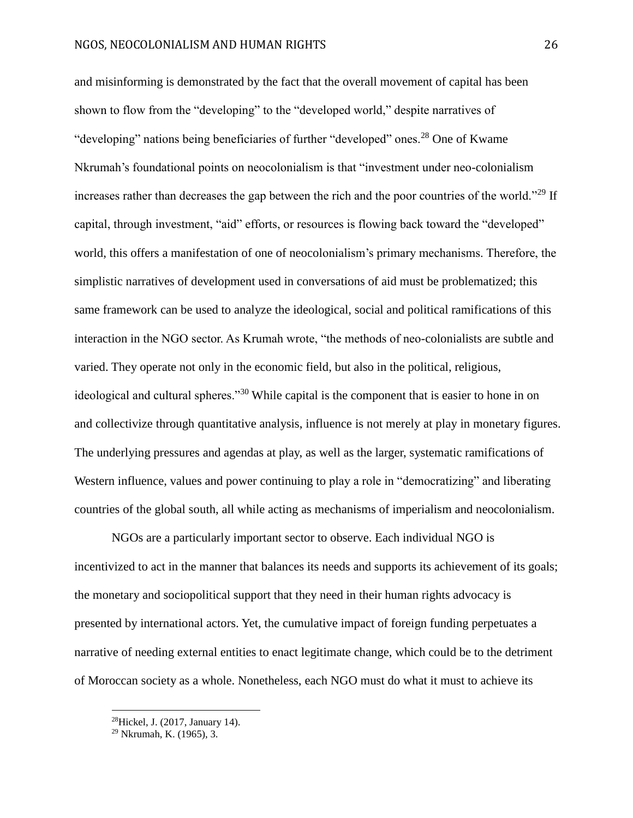and misinforming is demonstrated by the fact that the overall movement of capital has been shown to flow from the "developing" to the "developed world," despite narratives of "developing" nations being beneficiaries of further "developed" ones.<sup>28</sup> One of Kwame Nkrumah's foundational points on neocolonialism is that "investment under neo-colonialism increases rather than decreases the gap between the rich and the poor countries of the world."<sup>29</sup> If capital, through investment, "aid" efforts, or resources is flowing back toward the "developed" world, this offers a manifestation of one of neocolonialism's primary mechanisms. Therefore, the simplistic narratives of development used in conversations of aid must be problematized; this same framework can be used to analyze the ideological, social and political ramifications of this interaction in the NGO sector. As Krumah wrote, "the methods of neo-colonialists are subtle and varied. They operate not only in the economic field, but also in the political, religious, ideological and cultural spheres."<sup>30</sup> While capital is the component that is easier to hone in on and collectivize through quantitative analysis, influence is not merely at play in monetary figures. The underlying pressures and agendas at play, as well as the larger, systematic ramifications of Western influence, values and power continuing to play a role in "democratizing" and liberating countries of the global south, all while acting as mechanisms of imperialism and neocolonialism.

NGOs are a particularly important sector to observe. Each individual NGO is incentivized to act in the manner that balances its needs and supports its achievement of its goals; the monetary and sociopolitical support that they need in their human rights advocacy is presented by international actors. Yet, the cumulative impact of foreign funding perpetuates a narrative of needing external entities to enact legitimate change, which could be to the detriment of Moroccan society as a whole. Nonetheless, each NGO must do what it must to achieve its

<sup>28</sup>Hickel, J. (2017, January 14).

<sup>29</sup> Nkrumah, K. (1965), 3.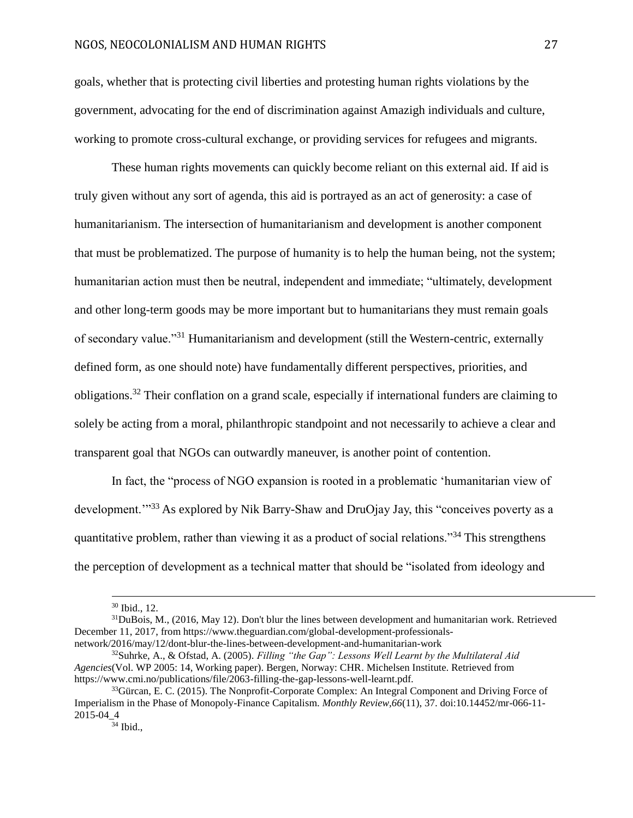goals, whether that is protecting civil liberties and protesting human rights violations by the government, advocating for the end of discrimination against Amazigh individuals and culture, working to promote cross-cultural exchange, or providing services for refugees and migrants.

These human rights movements can quickly become reliant on this external aid. If aid is truly given without any sort of agenda, this aid is portrayed as an act of generosity: a case of humanitarianism. The intersection of humanitarianism and development is another component that must be problematized. The purpose of humanity is to help the human being, not the system; humanitarian action must then be neutral, independent and immediate; "ultimately, development and other long-term goods may be more important but to humanitarians they must remain goals of secondary value."<sup>31</sup> Humanitarianism and development (still the Western-centric, externally defined form, as one should note) have fundamentally different perspectives, priorities, and obligations.<sup>32</sup> Their conflation on a grand scale, especially if international funders are claiming to solely be acting from a moral, philanthropic standpoint and not necessarily to achieve a clear and transparent goal that NGOs can outwardly maneuver, is another point of contention.

In fact, the "process of NGO expansion is rooted in a problematic 'humanitarian view of development."<sup>33</sup> As explored by Nik Barry-Shaw and DruOjay Jay, this "conceives poverty as a quantitative problem, rather than viewing it as a product of social relations."<sup>34</sup> This strengthens the perception of development as a technical matter that should be "isolated from ideology and

<sup>30</sup> Ibid., 12.

 $31$ DuBois, M., (2016, May 12). Don't blur the lines between development and humanitarian work. Retrieved December 11, 2017, from https://www.theguardian.com/global-development-professionalsnetwork/2016/may/12/dont-blur-the-lines-between-development-and-humanitarian-work

<sup>32</sup>Suhrke, A., & Ofstad, A. (2005). *Filling "the Gap": Lessons Well Learnt by the Multilateral Aid Agencies*(Vol. WP 2005: 14, Working paper). Bergen, Norway: CHR. Michelsen Institute. Retrieved from https://www.cmi.no/publications/file/2063-filling-the-gap-lessons-well-learnt.pdf.

<sup>&</sup>lt;sup>33</sup>Gürcan, E. C. (2015). The Nonprofit-Corporate Complex: An Integral Component and Driving Force of Imperialism in the Phase of Monopoly-Finance Capitalism. *Monthly Review,66*(11), 37. doi:10.14452/mr-066-11- 2015-04\_4

<sup>34</sup> Ibid.,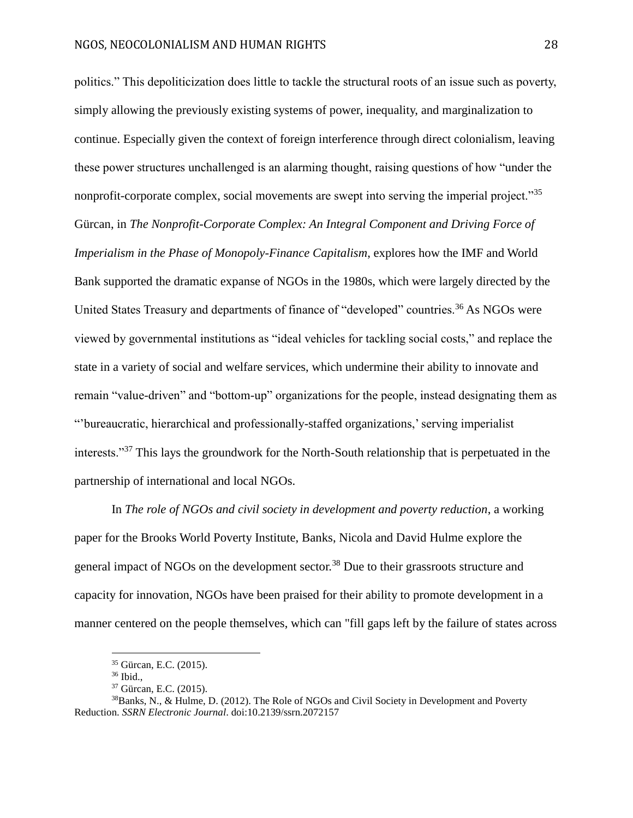politics." This depoliticization does little to tackle the structural roots of an issue such as poverty, simply allowing the previously existing systems of power, inequality, and marginalization to continue. Especially given the context of foreign interference through direct colonialism, leaving these power structures unchallenged is an alarming thought, raising questions of how "under the nonprofit-corporate complex, social movements are swept into serving the imperial project."<sup>35</sup> Gürcan, in *The Nonprofit-Corporate Complex: An Integral Component and Driving Force of Imperialism in the Phase of Monopoly-Finance Capitalism*, explores how the IMF and World Bank supported the dramatic expanse of NGOs in the 1980s, which were largely directed by the United States Treasury and departments of finance of "developed" countries.<sup>36</sup> As NGOs were viewed by governmental institutions as "ideal vehicles for tackling social costs," and replace the state in a variety of social and welfare services, which undermine their ability to innovate and remain "value-driven" and "bottom-up" organizations for the people, instead designating them as "'bureaucratic, hierarchical and professionally-staffed organizations,' serving imperialist interests."<sup>37</sup> This lays the groundwork for the North-South relationship that is perpetuated in the partnership of international and local NGOs.

In *The role of NGOs and civil society in development and poverty reduction*, a working paper for the Brooks World Poverty Institute, Banks, Nicola and David Hulme explore the general impact of NGOs on the development sector.<sup>38</sup> Due to their grassroots structure and capacity for innovation, NGOs have been praised for their ability to promote development in a manner centered on the people themselves, which can "fill gaps left by the failure of states across

<sup>35</sup> Gürcan, E.C. (2015).

<sup>36</sup> Ibid.,

<sup>37</sup> Gürcan, E.C. (2015).

<sup>&</sup>lt;sup>38</sup>Banks, N., & Hulme, D. (2012). The Role of NGOs and Civil Society in Development and Poverty Reduction. *SSRN Electronic Journal*. doi:10.2139/ssrn.2072157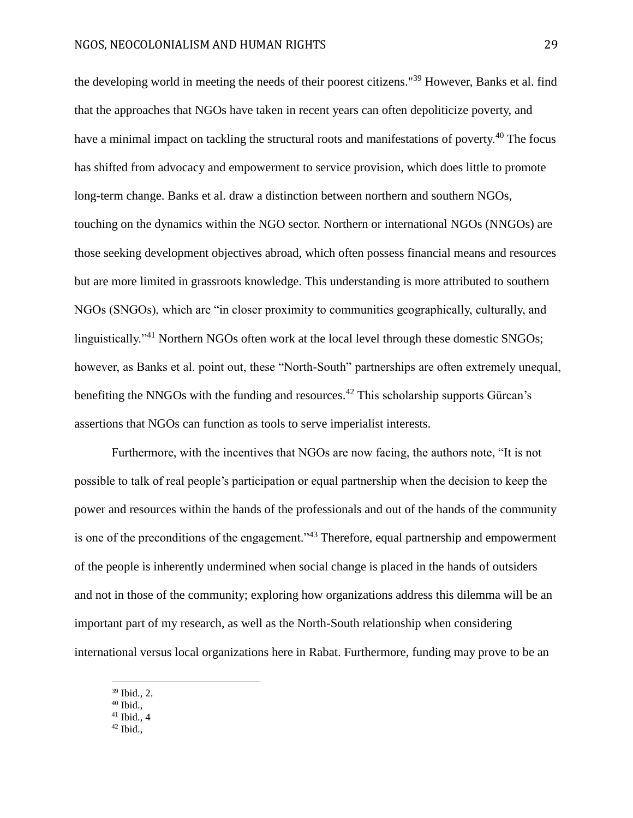the developing world in meeting the needs of their poorest citizens."<sup>39</sup> However, Banks et al. find that the approaches that NGOs have taken in recent years can often depoliticize poverty, and have a minimal impact on tackling the structural roots and manifestations of poverty.<sup>40</sup> The focus has shifted from advocacy and empowerment to service provision, which does little to promote long-term change. Banks et al. draw a distinction between northern and southern NGOs, touching on the dynamics within the NGO sector. Northern or international NGOs (NNGOs) are those seeking development objectives abroad, which often possess financial means and resources but are more limited in grassroots knowledge. This understanding is more attributed to southern NGOs (SNGOs), which are "in closer proximity to communities geographically, culturally, and linguistically."<sup>41</sup> Northern NGOs often work at the local level through these domestic SNGOs; however, as Banks et al. point out, these "North-South" partnerships are often extremely unequal, benefiting the NNGOs with the funding and resources.<sup>42</sup> This scholarship supports Gürcan's assertions that NGOs can function as tools to serve imperialist interests.

Furthermore, with the incentives that NGOs are now facing, the authors note, "It is not possible to talk of real people's participation or equal partnership when the decision to keep the power and resources within the hands of the professionals and out of the hands of the community is one of the preconditions of the engagement."<sup>43</sup> Therefore, equal partnership and empowerment of the people is inherently undermined when social change is placed in the hands of outsiders and not in those of the community; exploring how organizations address this dilemma will be an important part of my research, as well as the North-South relationship when considering international versus local organizations here in Rabat. Furthermore, funding may prove to be an

<sup>39</sup> Ibid., 2.

 $40$  Ibid.,

 $41$  Ibid., 4

 $42$  Ibid.,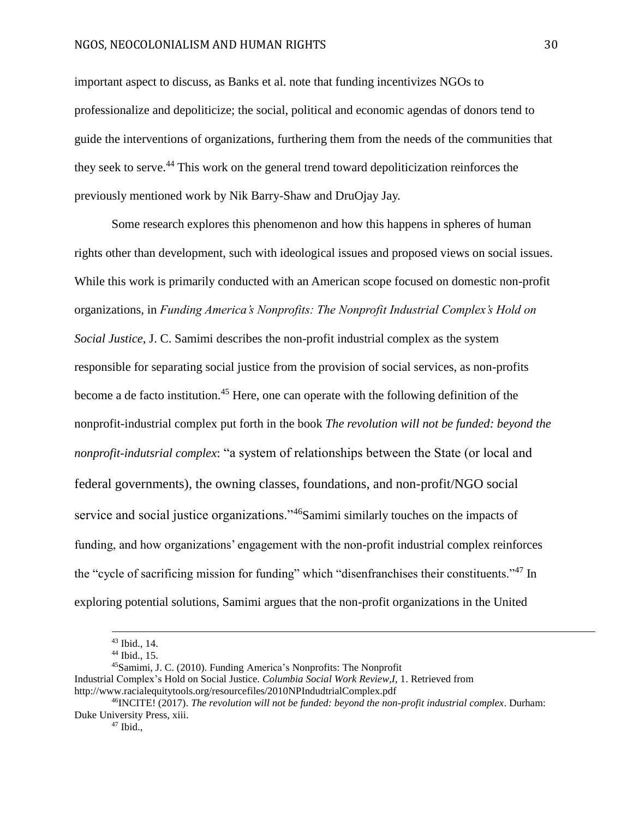#### NGOS, NEOCOLONIALISM AND HUMAN RIGHTS 30

important aspect to discuss, as Banks et al. note that funding incentivizes NGOs to professionalize and depoliticize; the social, political and economic agendas of donors tend to guide the interventions of organizations, furthering them from the needs of the communities that they seek to serve.<sup>44</sup> This work on the general trend toward depoliticization reinforces the previously mentioned work by Nik Barry-Shaw and DruOjay Jay.

Some research explores this phenomenon and how this happens in spheres of human rights other than development, such with ideological issues and proposed views on social issues. While this work is primarily conducted with an American scope focused on domestic non-profit organizations, in *Funding America's Nonprofits: The Nonprofit Industrial Complex's Hold on Social Justice*, J. C. Samimi describes the non-profit industrial complex as the system responsible for separating social justice from the provision of social services, as non-profits become a de facto institution.<sup>45</sup> Here, one can operate with the following definition of the nonprofit-industrial complex put forth in the book *The revolution will not be funded: beyond the nonprofit-indutsrial complex*: "a system of relationships between the State (or local and federal governments), the owning classes, foundations, and non-profit/NGO social service and social justice organizations."<sup>46</sup>Samimi similarly touches on the impacts of funding, and how organizations' engagement with the non-profit industrial complex reinforces the "cycle of sacrificing mission for funding" which "disenfranchises their constituents."<sup>47</sup> In exploring potential solutions, Samimi argues that the non-profit organizations in the United

<sup>43</sup> Ibid., 14.

<sup>44</sup> Ibid., 15.

<sup>45</sup>Samimi, J. C. (2010). Funding America's Nonprofits: The Nonprofit

Industrial Complex's Hold on Social Justice. *Columbia Social Work Review,I*, 1. Retrieved from http://www.racialequitytools.org/resourcefiles/2010NPIndudtrialComplex.pdf

<sup>46</sup>INCITE! (2017). *The revolution will not be funded: beyond the non-profit industrial complex*. Durham: Duke University Press, xiii.

 $47$  Ibid.,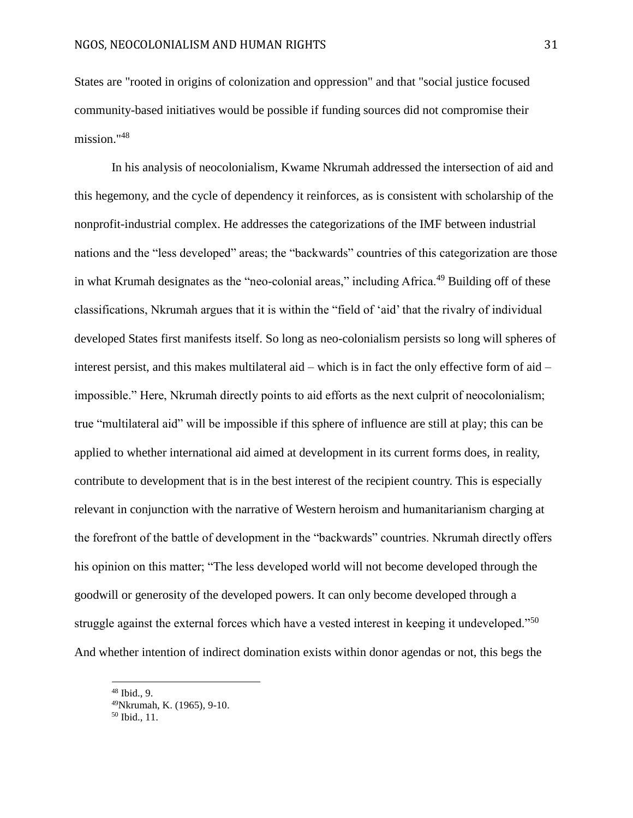States are "rooted in origins of colonization and oppression" and that "social justice focused community-based initiatives would be possible if funding sources did not compromise their mission."<sup>48</sup>

In his analysis of neocolonialism, Kwame Nkrumah addressed the intersection of aid and this hegemony, and the cycle of dependency it reinforces, as is consistent with scholarship of the nonprofit-industrial complex. He addresses the categorizations of the IMF between industrial nations and the "less developed" areas; the "backwards" countries of this categorization are those in what Krumah designates as the "neo-colonial areas," including Africa.<sup>49</sup> Building off of these classifications, Nkrumah argues that it is within the "field of 'aid' that the rivalry of individual developed States first manifests itself. So long as neo-colonialism persists so long will spheres of interest persist, and this makes multilateral aid – which is in fact the only effective form of aid – impossible." Here, Nkrumah directly points to aid efforts as the next culprit of neocolonialism; true "multilateral aid" will be impossible if this sphere of influence are still at play; this can be applied to whether international aid aimed at development in its current forms does, in reality, contribute to development that is in the best interest of the recipient country. This is especially relevant in conjunction with the narrative of Western heroism and humanitarianism charging at the forefront of the battle of development in the "backwards" countries. Nkrumah directly offers his opinion on this matter; "The less developed world will not become developed through the goodwill or generosity of the developed powers. It can only become developed through a struggle against the external forces which have a vested interest in keeping it undeveloped."<sup>50</sup> And whether intention of indirect domination exists within donor agendas or not, this begs the

<sup>48</sup> Ibid., 9.

<sup>49</sup>Nkrumah, K. (1965), 9-10.

 $50$  Ibid., 11.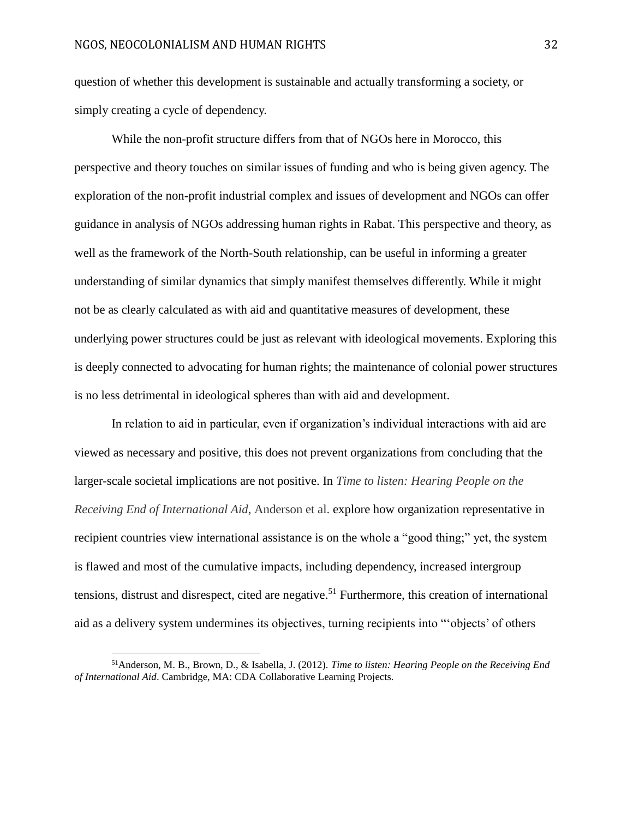question of whether this development is sustainable and actually transforming a society, or simply creating a cycle of dependency.

While the non-profit structure differs from that of NGOs here in Morocco, this perspective and theory touches on similar issues of funding and who is being given agency. The exploration of the non-profit industrial complex and issues of development and NGOs can offer guidance in analysis of NGOs addressing human rights in Rabat. This perspective and theory, as well as the framework of the North-South relationship, can be useful in informing a greater understanding of similar dynamics that simply manifest themselves differently. While it might not be as clearly calculated as with aid and quantitative measures of development, these underlying power structures could be just as relevant with ideological movements. Exploring this is deeply connected to advocating for human rights; the maintenance of colonial power structures is no less detrimental in ideological spheres than with aid and development.

In relation to aid in particular, even if organization's individual interactions with aid are viewed as necessary and positive, this does not prevent organizations from concluding that the larger-scale societal implications are not positive. In *Time to listen: Hearing People on the Receiving End of International Aid*, Anderson et al. explore how organization representative in recipient countries view international assistance is on the whole a "good thing;" yet, the system is flawed and most of the cumulative impacts, including dependency, increased intergroup tensions, distrust and disrespect, cited are negative.<sup>51</sup> Furthermore, this creation of international aid as a delivery system undermines its objectives, turning recipients into "'objects' of others

<sup>51</sup>Anderson, M. B., Brown, D., & Isabella, J. (2012). *Time to listen: Hearing People on the Receiving End of International Aid*. Cambridge, MA: CDA Collaborative Learning Projects.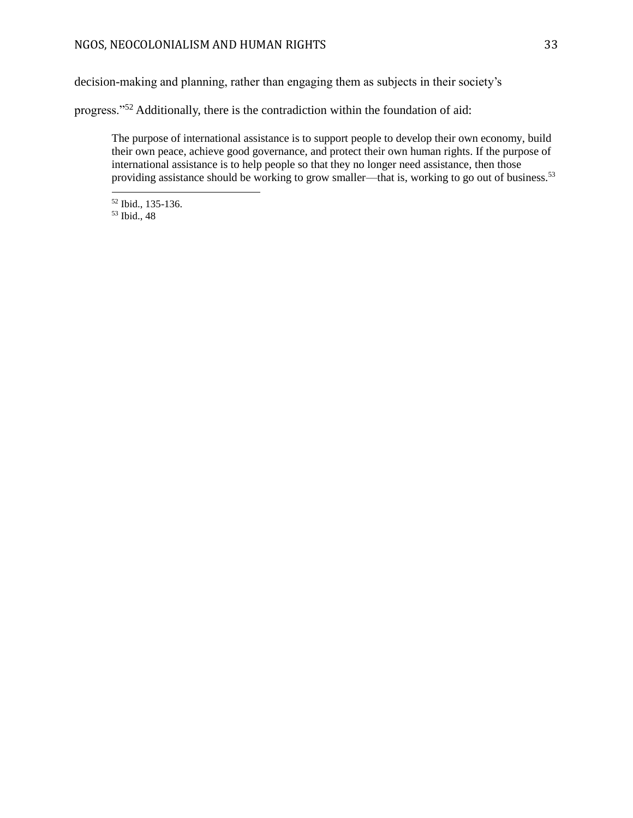decision-making and planning, rather than engaging them as subjects in their society's

progress."<sup>52</sup> Additionally, there is the contradiction within the foundation of aid:

The purpose of international assistance is to support people to develop their own economy, build their own peace, achieve good governance, and protect their own human rights. If the purpose of international assistance is to help people so that they no longer need assistance, then those providing assistance should be working to grow smaller—that is, working to go out of business.<sup>53</sup>

<sup>52</sup> Ibid., 135-136.

<sup>53</sup> Ibid., 48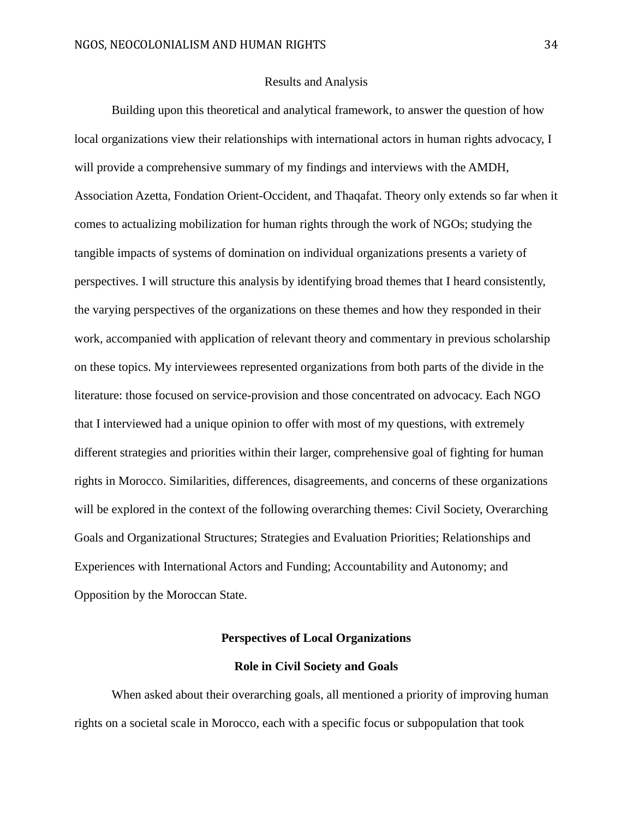#### Results and Analysis

<span id="page-34-0"></span>Building upon this theoretical and analytical framework, to answer the question of how local organizations view their relationships with international actors in human rights advocacy, I will provide a comprehensive summary of my findings and interviews with the AMDH, Association Azetta, Fondation Orient-Occident, and Thaqafat. Theory only extends so far when it comes to actualizing mobilization for human rights through the work of NGOs; studying the tangible impacts of systems of domination on individual organizations presents a variety of perspectives. I will structure this analysis by identifying broad themes that I heard consistently, the varying perspectives of the organizations on these themes and how they responded in their work, accompanied with application of relevant theory and commentary in previous scholarship on these topics. My interviewees represented organizations from both parts of the divide in the literature: those focused on service-provision and those concentrated on advocacy. Each NGO that I interviewed had a unique opinion to offer with most of my questions, with extremely different strategies and priorities within their larger, comprehensive goal of fighting for human rights in Morocco. Similarities, differences, disagreements, and concerns of these organizations will be explored in the context of the following overarching themes: Civil Society, Overarching Goals and Organizational Structures; Strategies and Evaluation Priorities; Relationships and Experiences with International Actors and Funding; Accountability and Autonomy; and Opposition by the Moroccan State.

#### **Perspectives of Local Organizations**

#### **Role in Civil Society and Goals**

<span id="page-34-2"></span><span id="page-34-1"></span>When asked about their overarching goals, all mentioned a priority of improving human rights on a societal scale in Morocco, each with a specific focus or subpopulation that took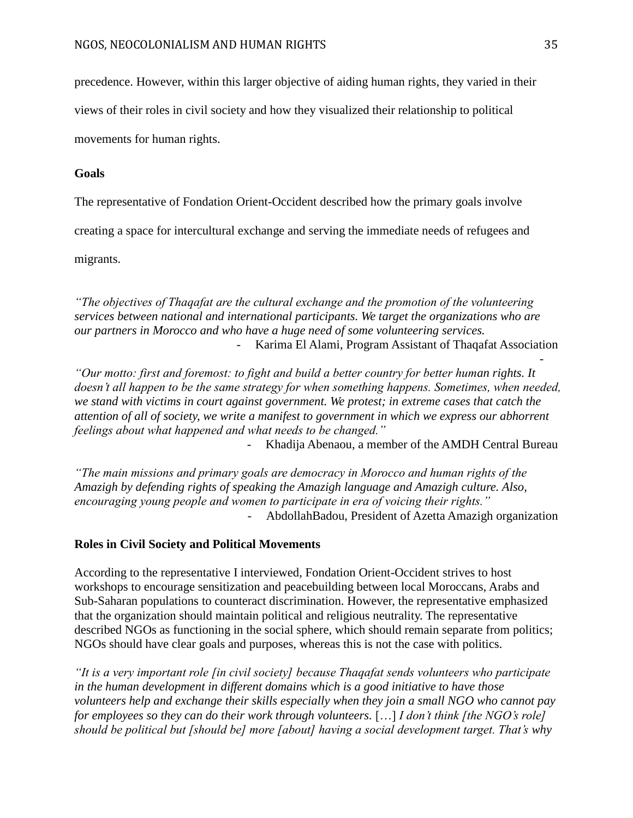precedence. However, within this larger objective of aiding human rights, they varied in their

views of their roles in civil society and how they visualized their relationship to political

movements for human rights.

#### **Goals**

The representative of Fondation Orient-Occident described how the primary goals involve

creating a space for intercultural exchange and serving the immediate needs of refugees and

migrants.

*"The objectives of Thaqafat are the cultural exchange and the promotion of the volunteering services between national and international participants. We target the organizations who are our partners in Morocco and who have a huge need of some volunteering services.*  - Karima El Alami, Program Assistant of Thaqafat Association

*"Our motto: first and foremost: to fight and build a better country for better human rights. It doesn't all happen to be the same strategy for when something happens. Sometimes, when needed, we stand with victims in court against government. We protest; in extreme cases that catch the attention of all of society, we write a manifest to government in which we express our abhorrent feelings about what happened and what needs to be changed."*

Khadija Abenaou, a member of the AMDH Central Bureau

*"The main missions and primary goals are democracy in Morocco and human rights of the Amazigh by defending rights of speaking the Amazigh language and Amazigh culture. Also, encouraging young people and women to participate in era of voicing their rights."* - AbdollahBadou, President of Azetta Amazigh organization

#### **Roles in Civil Society and Political Movements**

According to the representative I interviewed, Fondation Orient-Occident strives to host workshops to encourage sensitization and peacebuilding between local Moroccans, Arabs and Sub-Saharan populations to counteract discrimination. However, the representative emphasized that the organization should maintain political and religious neutrality. The representative described NGOs as functioning in the social sphere, which should remain separate from politics; NGOs should have clear goals and purposes, whereas this is not the case with politics.

*"It is a very important role [in civil society] because Thaqafat sends volunteers who participate in the human development in different domains which is a good initiative to have those volunteers help and exchange their skills especially when they join a small NGO who cannot pay for employees so they can do their work through volunteers.* […] *I don't think [the NGO's role] should be political but [should be] more [about] having a social development target. That's why* 

-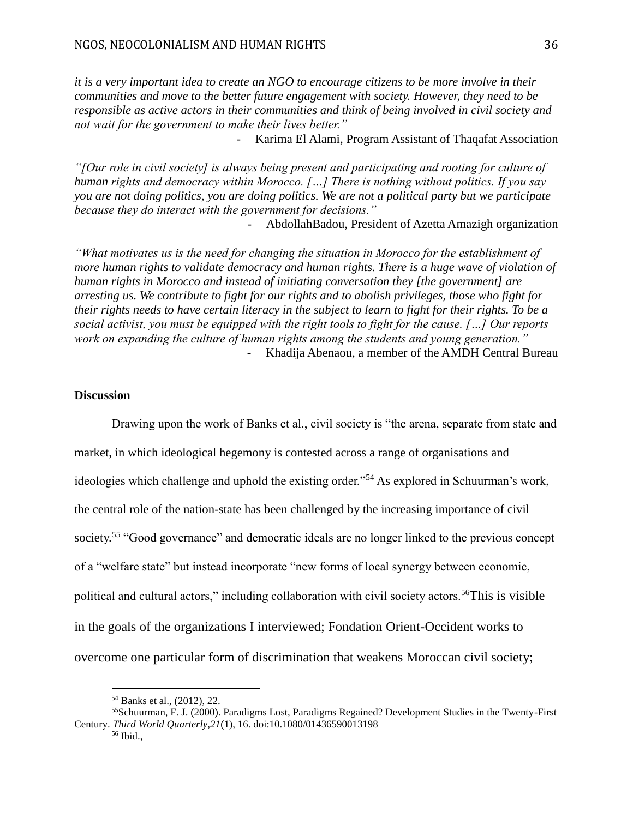*it is a very important idea to create an NGO to encourage citizens to be more involve in their communities and move to the better future engagement with society. However, they need to be responsible as active actors in their communities and think of being involved in civil society and not wait for the government to make their lives better."*

- Karima El Alami, Program Assistant of Thaqafat Association

*"[Our role in civil society] is always being present and participating and rooting for culture of human rights and democracy within Morocco. […] There is nothing without politics. If you say you are not doing politics, you are doing politics. We are not a political party but we participate because they do interact with the government for decisions."*

- AbdollahBadou, President of Azetta Amazigh organization

*"What motivates us is the need for changing the situation in Morocco for the establishment of more human rights to validate democracy and human rights. There is a huge wave of violation of human rights in Morocco and instead of initiating conversation they [the government] are arresting us. We contribute to fight for our rights and to abolish privileges, those who fight for their rights needs to have certain literacy in the subject to learn to fight for their rights. To be a social activist, you must be equipped with the right tools to fight for the cause. […] Our reports work on expanding the culture of human rights among the students and young generation."* Khadija Abenaou, a member of the AMDH Central Bureau

## **Discussion**

Drawing upon the work of Banks et al., civil society is "the arena, separate from state and market, in which ideological hegemony is contested across a range of organisations and ideologies which challenge and uphold the existing order."<sup>54</sup> As explored in Schuurman's work, the central role of the nation-state has been challenged by the increasing importance of civil society.<sup>55</sup> "Good governance" and democratic ideals are no longer linked to the previous concept of a "welfare state" but instead incorporate "new forms of local synergy between economic, political and cultural actors," including collaboration with civil society actors.<sup>56</sup>This is visible in the goals of the organizations I interviewed; Fondation Orient-Occident works to overcome one particular form of discrimination that weakens Moroccan civil society;

<sup>54</sup> Banks et al., (2012), 22.

<sup>55</sup>Schuurman, F. J. (2000). Paradigms Lost, Paradigms Regained? Development Studies in the Twenty-First Century. *Third World Quarterly,21*(1), 16. doi:10.1080/01436590013198

<sup>56</sup> Ibid.,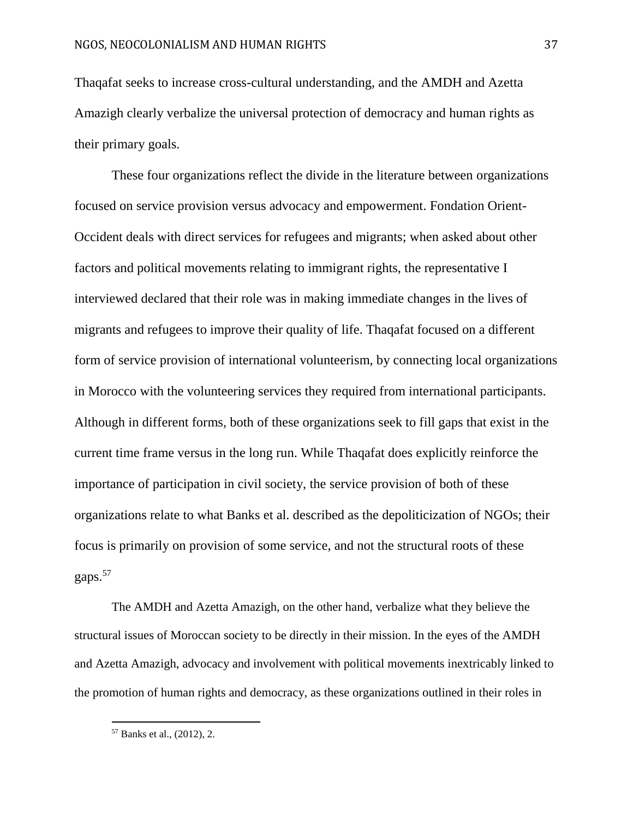Thaqafat seeks to increase cross-cultural understanding, and the AMDH and Azetta Amazigh clearly verbalize the universal protection of democracy and human rights as their primary goals.

These four organizations reflect the divide in the literature between organizations focused on service provision versus advocacy and empowerment. Fondation Orient-Occident deals with direct services for refugees and migrants; when asked about other factors and political movements relating to immigrant rights, the representative I interviewed declared that their role was in making immediate changes in the lives of migrants and refugees to improve their quality of life. Thaqafat focused on a different form of service provision of international volunteerism, by connecting local organizations in Morocco with the volunteering services they required from international participants. Although in different forms, both of these organizations seek to fill gaps that exist in the current time frame versus in the long run. While Thaqafat does explicitly reinforce the importance of participation in civil society, the service provision of both of these organizations relate to what Banks et al. described as the depoliticization of NGOs; their focus is primarily on provision of some service, and not the structural roots of these gaps.<sup>57</sup>

The AMDH and Azetta Amazigh, on the other hand, verbalize what they believe the structural issues of Moroccan society to be directly in their mission. In the eyes of the AMDH and Azetta Amazigh, advocacy and involvement with political movements inextricably linked to the promotion of human rights and democracy, as these organizations outlined in their roles in

<sup>57</sup> Banks et al., (2012), 2.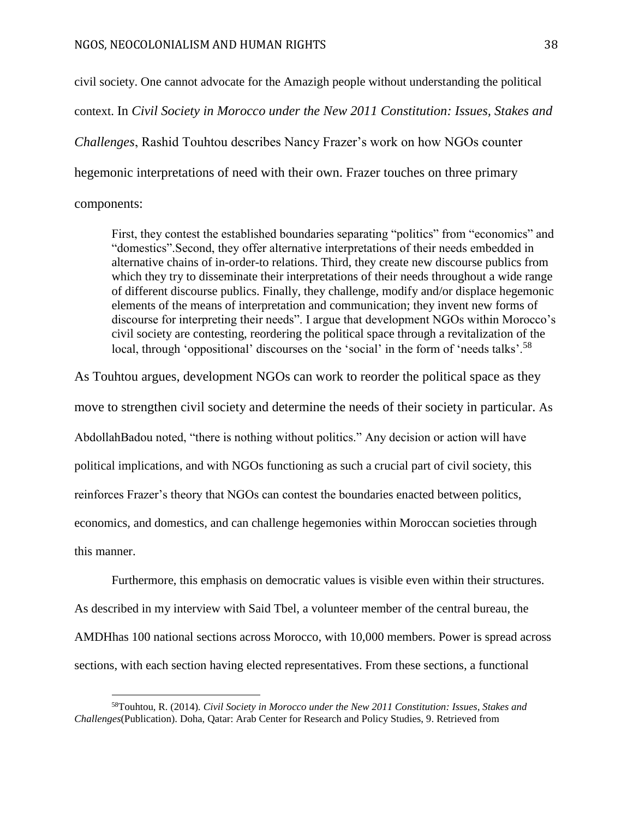civil society. One cannot advocate for the Amazigh people without understanding the political context. In *Civil Society in Morocco under the New 2011 Constitution: Issues, Stakes and Challenges*, Rashid Touhtou describes Nancy Frazer's work on how NGOs counter hegemonic interpretations of need with their own. Frazer touches on three primary components:

First, they contest the established boundaries separating "politics" from "economics" and "domestics".Second, they offer alternative interpretations of their needs embedded in alternative chains of in-order-to relations. Third, they create new discourse publics from which they try to disseminate their interpretations of their needs throughout a wide range of different discourse publics. Finally, they challenge, modify and/or displace hegemonic elements of the means of interpretation and communication; they invent new forms of discourse for interpreting their needs". I argue that development NGOs within Morocco's civil society are contesting, reordering the political space through a revitalization of the local, through 'oppositional' discourses on the 'social' in the form of 'needs talks'.<sup>58</sup>

As Touhtou argues, development NGOs can work to reorder the political space as they move to strengthen civil society and determine the needs of their society in particular. As AbdollahBadou noted, "there is nothing without politics." Any decision or action will have political implications, and with NGOs functioning as such a crucial part of civil society, this reinforces Frazer's theory that NGOs can contest the boundaries enacted between politics, economics, and domestics, and can challenge hegemonies within Moroccan societies through this manner.

Furthermore, this emphasis on democratic values is visible even within their structures. As described in my interview with Said Tbel, a volunteer member of the central bureau, the AMDHhas 100 national sections across Morocco, with 10,000 members. Power is spread across sections, with each section having elected representatives. From these sections, a functional

<sup>58</sup>Touhtou, R. (2014). *Civil Society in Morocco under the New 2011 Constitution: Issues, Stakes and Challenges*(Publication). Doha, Qatar: Arab Center for Research and Policy Studies, 9. Retrieved from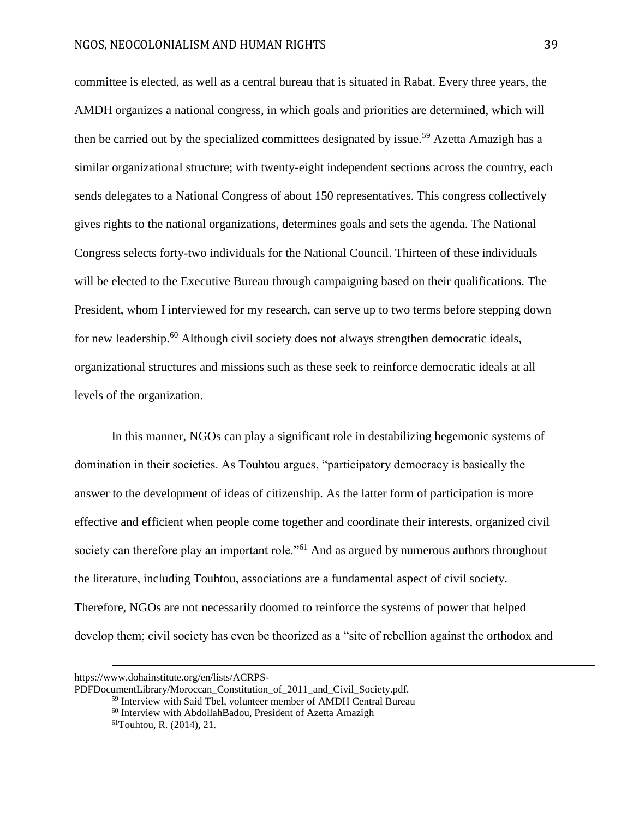committee is elected, as well as a central bureau that is situated in Rabat. Every three years, the AMDH organizes a national congress, in which goals and priorities are determined, which will then be carried out by the specialized committees designated by issue.<sup>59</sup> Azetta Amazigh has a similar organizational structure; with twenty-eight independent sections across the country, each sends delegates to a National Congress of about 150 representatives. This congress collectively gives rights to the national organizations, determines goals and sets the agenda. The National Congress selects forty-two individuals for the National Council. Thirteen of these individuals will be elected to the Executive Bureau through campaigning based on their qualifications. The President, whom I interviewed for my research, can serve up to two terms before stepping down for new leadership.<sup>60</sup> Although civil society does not always strengthen democratic ideals, organizational structures and missions such as these seek to reinforce democratic ideals at all levels of the organization.

In this manner, NGOs can play a significant role in destabilizing hegemonic systems of domination in their societies. As Touhtou argues, "participatory democracy is basically the answer to the development of ideas of citizenship. As the latter form of participation is more effective and efficient when people come together and coordinate their interests, organized civil society can therefore play an important role."<sup>61</sup> And as argued by numerous authors throughout the literature, including Touhtou, associations are a fundamental aspect of civil society. Therefore, NGOs are not necessarily doomed to reinforce the systems of power that helped develop them; civil society has even be theorized as a "site of rebellion against the orthodox and

https://www.dohainstitute.org/en/lists/ACRPS-

PDFDocumentLibrary/Moroccan\_Constitution\_of\_2011\_and\_Civil\_Society.pdf.

<sup>59</sup> Interview with Said Tbel, volunteer member of AMDH Central Bureau

<sup>60</sup> Interview with AbdollahBadou, President of Azetta Amazigh

 $61$ Touhtou, R. (2014), 21.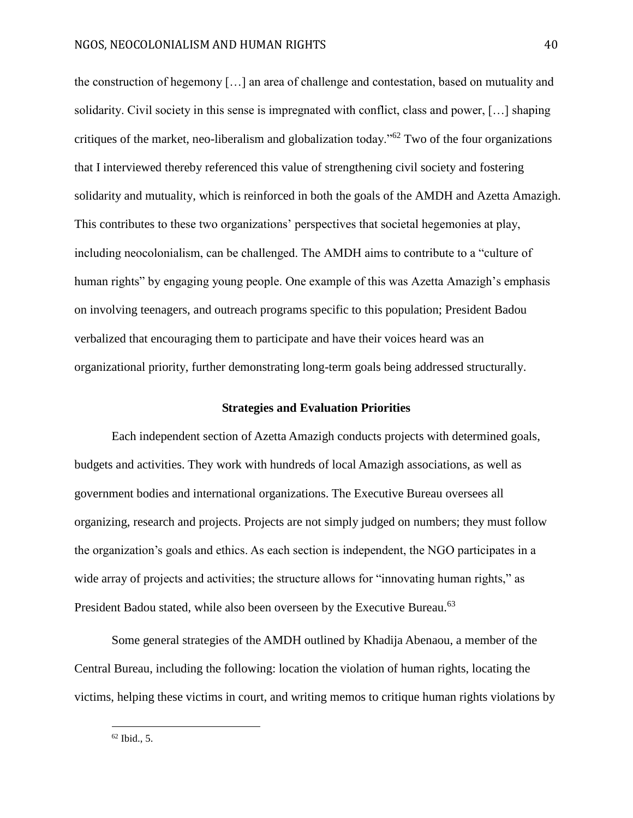the construction of hegemony […] an area of challenge and contestation, based on mutuality and solidarity. Civil society in this sense is impregnated with conflict, class and power, […] shaping critiques of the market, neo-liberalism and globalization today."<sup>62</sup> Two of the four organizations that I interviewed thereby referenced this value of strengthening civil society and fostering solidarity and mutuality, which is reinforced in both the goals of the AMDH and Azetta Amazigh. This contributes to these two organizations' perspectives that societal hegemonies at play, including neocolonialism, can be challenged. The AMDH aims to contribute to a "culture of human rights" by engaging young people. One example of this was Azetta Amazigh's emphasis on involving teenagers, and outreach programs specific to this population; President Badou verbalized that encouraging them to participate and have their voices heard was an organizational priority, further demonstrating long-term goals being addressed structurally.

#### **Strategies and Evaluation Priorities**

Each independent section of Azetta Amazigh conducts projects with determined goals, budgets and activities. They work with hundreds of local Amazigh associations, as well as government bodies and international organizations. The Executive Bureau oversees all organizing, research and projects. Projects are not simply judged on numbers; they must follow the organization's goals and ethics. As each section is independent, the NGO participates in a wide array of projects and activities; the structure allows for "innovating human rights," as President Badou stated, while also been overseen by the Executive Bureau.<sup>63</sup>

Some general strategies of the AMDH outlined by Khadija Abenaou, a member of the Central Bureau, including the following: location the violation of human rights, locating the victims, helping these victims in court, and writing memos to critique human rights violations by

 $62$  Ibid., 5.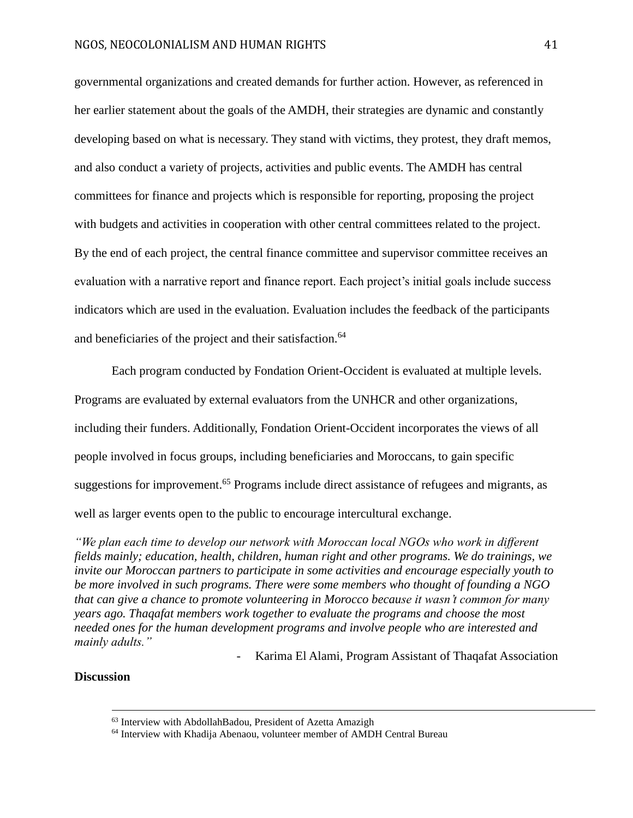governmental organizations and created demands for further action. However, as referenced in her earlier statement about the goals of the AMDH, their strategies are dynamic and constantly developing based on what is necessary. They stand with victims, they protest, they draft memos, and also conduct a variety of projects, activities and public events. The AMDH has central committees for finance and projects which is responsible for reporting, proposing the project with budgets and activities in cooperation with other central committees related to the project. By the end of each project, the central finance committee and supervisor committee receives an evaluation with a narrative report and finance report. Each project's initial goals include success indicators which are used in the evaluation. Evaluation includes the feedback of the participants and beneficiaries of the project and their satisfaction.<sup>64</sup>

Each program conducted by Fondation Orient-Occident is evaluated at multiple levels. Programs are evaluated by external evaluators from the UNHCR and other organizations, including their funders. Additionally, Fondation Orient-Occident incorporates the views of all people involved in focus groups, including beneficiaries and Moroccans, to gain specific suggestions for improvement.<sup>65</sup> Programs include direct assistance of refugees and migrants, as well as larger events open to the public to encourage intercultural exchange.

*"We plan each time to develop our network with Moroccan local NGOs who work in different fields mainly; education, health, children, human right and other programs. We do trainings, we invite our Moroccan partners to participate in some activities and encourage especially youth to be more involved in such programs. There were some members who thought of founding a NGO that can give a chance to promote volunteering in Morocco because it wasn't common for many years ago. Thaqafat members work together to evaluate the programs and choose the most needed ones for the human development programs and involve people who are interested and mainly adults."*

- Karima El Alami, Program Assistant of Thaqafat Association

# **Discussion**

<sup>63</sup> Interview with AbdollahBadou, President of Azetta Amazigh

<sup>64</sup> Interview with Khadija Abenaou, volunteer member of AMDH Central Bureau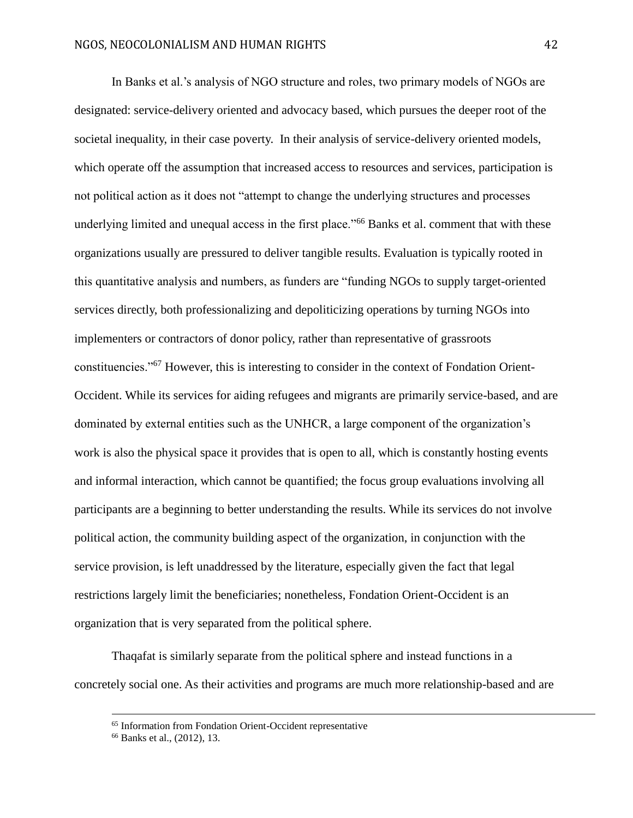In Banks et al.'s analysis of NGO structure and roles, two primary models of NGOs are designated: service-delivery oriented and advocacy based, which pursues the deeper root of the societal inequality, in their case poverty. In their analysis of service-delivery oriented models, which operate off the assumption that increased access to resources and services, participation is not political action as it does not "attempt to change the underlying structures and processes underlying limited and unequal access in the first place."<sup>66</sup> Banks et al. comment that with these organizations usually are pressured to deliver tangible results. Evaluation is typically rooted in this quantitative analysis and numbers, as funders are "funding NGOs to supply target-oriented services directly, both professionalizing and depoliticizing operations by turning NGOs into implementers or contractors of donor policy, rather than representative of grassroots constituencies."<sup>67</sup> However, this is interesting to consider in the context of Fondation Orient-Occident. While its services for aiding refugees and migrants are primarily service-based, and are dominated by external entities such as the UNHCR, a large component of the organization's work is also the physical space it provides that is open to all, which is constantly hosting events and informal interaction, which cannot be quantified; the focus group evaluations involving all participants are a beginning to better understanding the results. While its services do not involve political action, the community building aspect of the organization, in conjunction with the service provision, is left unaddressed by the literature, especially given the fact that legal restrictions largely limit the beneficiaries; nonetheless, Fondation Orient-Occident is an organization that is very separated from the political sphere.

Thaqafat is similarly separate from the political sphere and instead functions in a concretely social one. As their activities and programs are much more relationship-based and are

<sup>65</sup> Information from Fondation Orient-Occident representative

<sup>66</sup> Banks et al., (2012), 13.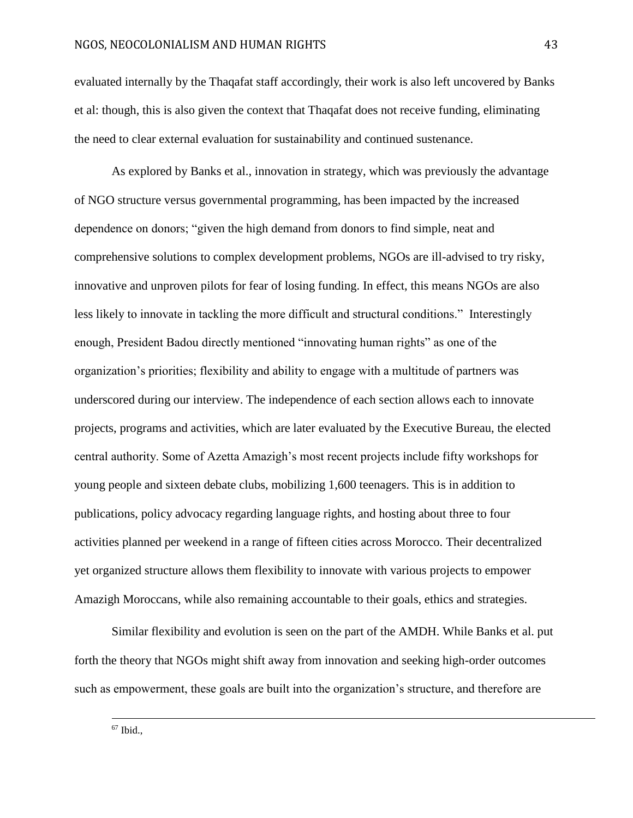evaluated internally by the Thaqafat staff accordingly, their work is also left uncovered by Banks et al: though, this is also given the context that Thaqafat does not receive funding, eliminating the need to clear external evaluation for sustainability and continued sustenance.

As explored by Banks et al., innovation in strategy, which was previously the advantage of NGO structure versus governmental programming, has been impacted by the increased dependence on donors; "given the high demand from donors to find simple, neat and comprehensive solutions to complex development problems, NGOs are ill-advised to try risky, innovative and unproven pilots for fear of losing funding. In effect, this means NGOs are also less likely to innovate in tackling the more difficult and structural conditions." Interestingly enough, President Badou directly mentioned "innovating human rights" as one of the organization's priorities; flexibility and ability to engage with a multitude of partners was underscored during our interview. The independence of each section allows each to innovate projects, programs and activities, which are later evaluated by the Executive Bureau, the elected central authority. Some of Azetta Amazigh's most recent projects include fifty workshops for young people and sixteen debate clubs, mobilizing 1,600 teenagers. This is in addition to publications, policy advocacy regarding language rights, and hosting about three to four activities planned per weekend in a range of fifteen cities across Morocco. Their decentralized yet organized structure allows them flexibility to innovate with various projects to empower Amazigh Moroccans, while also remaining accountable to their goals, ethics and strategies.

Similar flexibility and evolution is seen on the part of the AMDH. While Banks et al. put forth the theory that NGOs might shift away from innovation and seeking high-order outcomes such as empowerment, these goals are built into the organization's structure, and therefore are

<sup>67</sup> Ibid.,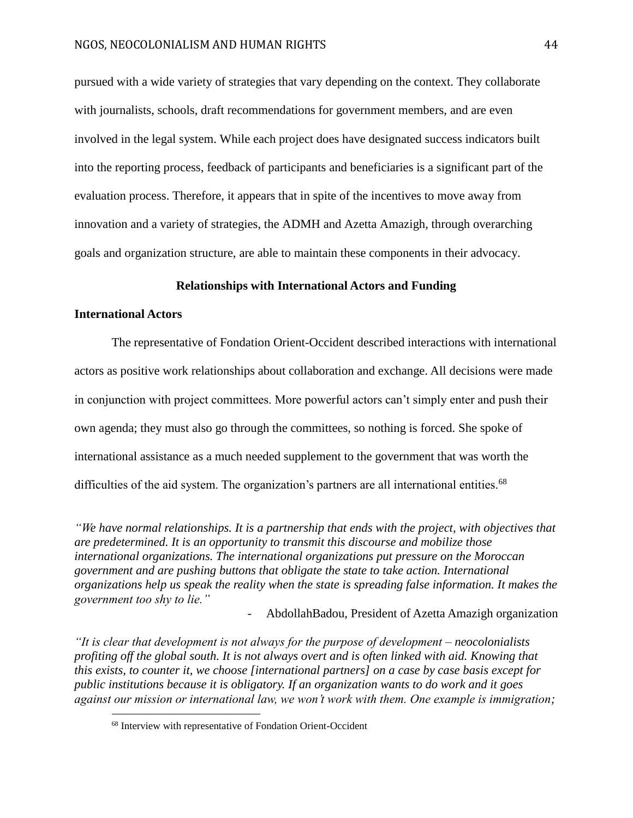pursued with a wide variety of strategies that vary depending on the context. They collaborate with journalists, schools, draft recommendations for government members, and are even involved in the legal system. While each project does have designated success indicators built into the reporting process, feedback of participants and beneficiaries is a significant part of the evaluation process. Therefore, it appears that in spite of the incentives to move away from innovation and a variety of strategies, the ADMH and Azetta Amazigh, through overarching goals and organization structure, are able to maintain these components in their advocacy.

# **Relationships with International Actors and Funding**

## **International Actors**

 $\overline{a}$ 

The representative of Fondation Orient-Occident described interactions with international actors as positive work relationships about collaboration and exchange. All decisions were made in conjunction with project committees. More powerful actors can't simply enter and push their own agenda; they must also go through the committees, so nothing is forced. She spoke of international assistance as a much needed supplement to the government that was worth the difficulties of the aid system. The organization's partners are all international entities.<sup>68</sup>

*"We have normal relationships. It is a partnership that ends with the project, with objectives that are predetermined. It is an opportunity to transmit this discourse and mobilize those international organizations. The international organizations put pressure on the Moroccan government and are pushing buttons that obligate the state to take action. International organizations help us speak the reality when the state is spreading false information. It makes the government too shy to lie."*

- AbdollahBadou, President of Azetta Amazigh organization

*"It is clear that development is not always for the purpose of development – neocolonialists profiting off the global south. It is not always overt and is often linked with aid. Knowing that this exists, to counter it, we choose [international partners] on a case by case basis except for public institutions because it is obligatory. If an organization wants to do work and it goes against our mission or international law, we won't work with them. One example is immigration;* 

<sup>&</sup>lt;sup>68</sup> Interview with representative of Fondation Orient-Occident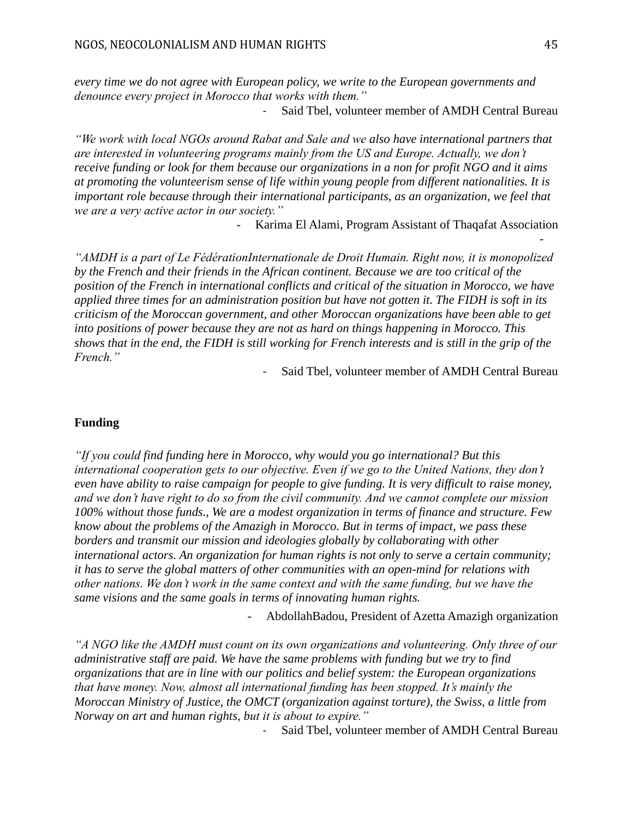*every time we do not agree with European policy, we write to the European governments and denounce every project in Morocco that works with them."* 

- Said Tbel, volunteer member of AMDH Central Bureau

*"We work with local NGOs around Rabat and Sale and we also have international partners that are interested in volunteering programs mainly from the US and Europe. Actually, we don't receive funding or look for them because our organizations in a non for profit NGO and it aims at promoting the volunteerism sense of life within young people from different nationalities. It is important role because through their international participants, as an organization, we feel that we are a very active actor in our society."*

- Karima El Alami, Program Assistant of Thaqafat Association

*"AMDH is a part of Le FédérationInternationale de Droit Humain. Right now, it is monopolized by the French and their friends in the African continent. Because we are too critical of the position of the French in international conflicts and critical of the situation in Morocco, we have applied three times for an administration position but have not gotten it. The FIDH is soft in its criticism of the Moroccan government, and other Moroccan organizations have been able to get into positions of power because they are not as hard on things happening in Morocco. This shows that in the end, the FIDH is still working for French interests and is still in the grip of the French."*

- Said Tbel, volunteer member of AMDH Central Bureau

# **Funding**

*"If you could find funding here in Morocco, why would you go international? But this international cooperation gets to our objective. Even if we go to the United Nations, they don't even have ability to raise campaign for people to give funding. It is very difficult to raise money, and we don't have right to do so from the civil community. And we cannot complete our mission 100% without those funds., We are a modest organization in terms of finance and structure. Few know about the problems of the Amazigh in Morocco. But in terms of impact, we pass these borders and transmit our mission and ideologies globally by collaborating with other international actors. An organization for human rights is not only to serve a certain community; it has to serve the global matters of other communities with an open-mind for relations with other nations. We don't work in the same context and with the same funding, but we have the same visions and the same goals in terms of innovating human rights.* 

- AbdollahBadou, President of Azetta Amazigh organization

*"A NGO like the AMDH must count on its own organizations and volunteering. Only three of our administrative staff are paid. We have the same problems with funding but we try to find organizations that are in line with our politics and belief system: the European organizations that have money. Now, almost all international funding has been stopped. It's mainly the Moroccan Ministry of Justice, the OMCT (organization against torture), the Swiss, a little from Norway on art and human rights, but it is about to expire."*

Said Tbel, volunteer member of AMDH Central Bureau

-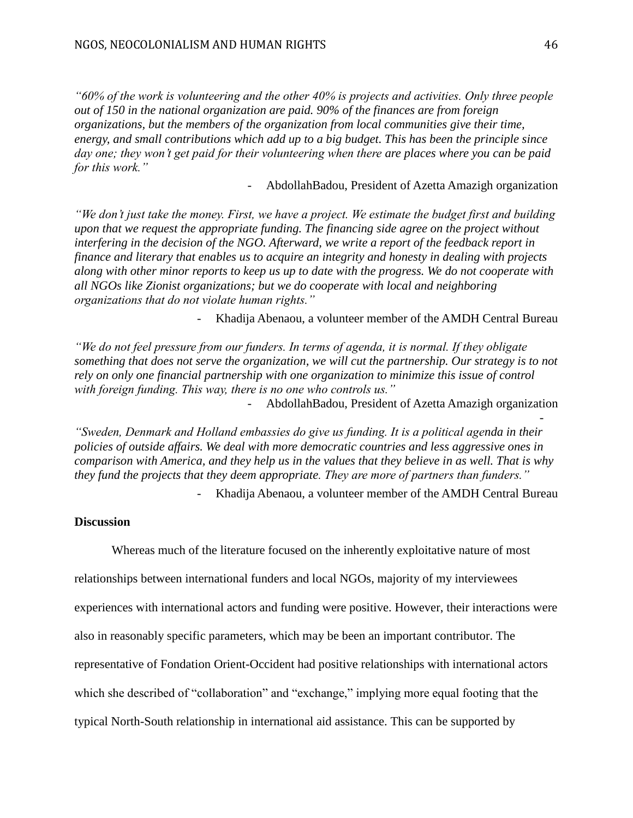*"60% of the work is volunteering and the other 40% is projects and activities. Only three people out of 150 in the national organization are paid. 90% of the finances are from foreign organizations, but the members of the organization from local communities give their time, energy, and small contributions which add up to a big budget. This has been the principle since day one; they won't get paid for their volunteering when there are places where you can be paid for this work."*

- AbdollahBadou, President of Azetta Amazigh organization

*"We don't just take the money. First, we have a project. We estimate the budget first and building upon that we request the appropriate funding. The financing side agree on the project without interfering in the decision of the NGO. Afterward, we write a report of the feedback report in finance and literary that enables us to acquire an integrity and honesty in dealing with projects along with other minor reports to keep us up to date with the progress. We do not cooperate with all NGOs like Zionist organizations; but we do cooperate with local and neighboring organizations that do not violate human rights."* 

- Khadija Abenaou, a volunteer member of the AMDH Central Bureau

*"We do not feel pressure from our funders. In terms of agenda, it is normal. If they obligate something that does not serve the organization, we will cut the partnership. Our strategy is to not rely on only one financial partnership with one organization to minimize this issue of control with foreign funding. This way, there is no one who controls us."*

- AbdollahBadou, President of Azetta Amazigh organization

*"Sweden, Denmark and Holland embassies do give us funding. It is a political agenda in their policies of outside affairs. We deal with more democratic countries and less aggressive ones in comparison with America, and they help us in the values that they believe in as well. That is why they fund the projects that they deem appropriate. They are more of partners than funders."* 

- Khadija Abenaou, a volunteer member of the AMDH Central Bureau

# **Discussion**

Whereas much of the literature focused on the inherently exploitative nature of most relationships between international funders and local NGOs, majority of my interviewees experiences with international actors and funding were positive. However, their interactions were also in reasonably specific parameters, which may be been an important contributor. The representative of Fondation Orient-Occident had positive relationships with international actors which she described of "collaboration" and "exchange," implying more equal footing that the typical North-South relationship in international aid assistance. This can be supported by

-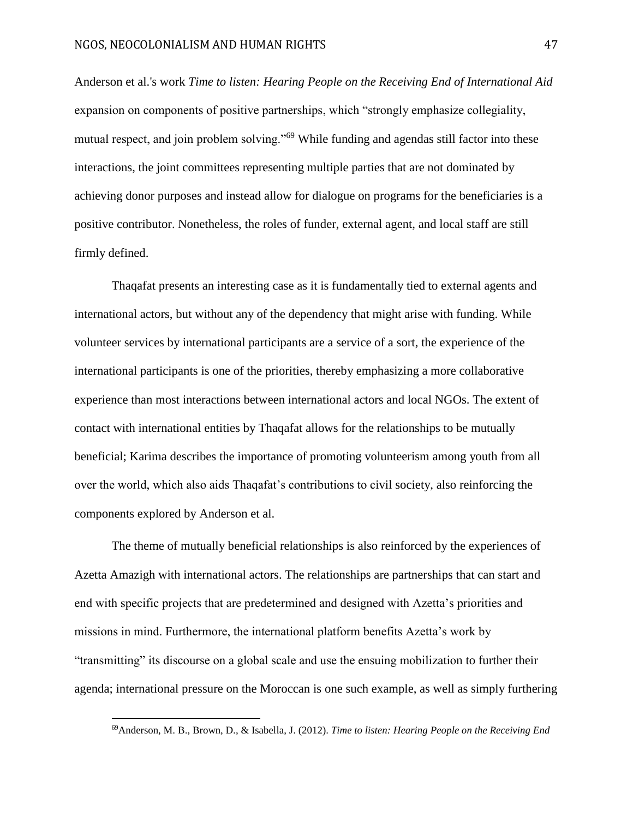Anderson et al.'s work *Time to listen: Hearing People on the Receiving End of International Aid* expansion on components of positive partnerships, which "strongly emphasize collegiality, mutual respect, and join problem solving."<sup>69</sup> While funding and agendas still factor into these interactions, the joint committees representing multiple parties that are not dominated by achieving donor purposes and instead allow for dialogue on programs for the beneficiaries is a positive contributor. Nonetheless, the roles of funder, external agent, and local staff are still firmly defined.

Thaqafat presents an interesting case as it is fundamentally tied to external agents and international actors, but without any of the dependency that might arise with funding. While volunteer services by international participants are a service of a sort, the experience of the international participants is one of the priorities, thereby emphasizing a more collaborative experience than most interactions between international actors and local NGOs. The extent of contact with international entities by Thaqafat allows for the relationships to be mutually beneficial; Karima describes the importance of promoting volunteerism among youth from all over the world, which also aids Thaqafat's contributions to civil society, also reinforcing the components explored by Anderson et al.

The theme of mutually beneficial relationships is also reinforced by the experiences of Azetta Amazigh with international actors. The relationships are partnerships that can start and end with specific projects that are predetermined and designed with Azetta's priorities and missions in mind. Furthermore, the international platform benefits Azetta's work by "transmitting" its discourse on a global scale and use the ensuing mobilization to further their agenda; international pressure on the Moroccan is one such example, as well as simply furthering

<sup>69</sup>Anderson, M. B., Brown, D., & Isabella, J. (2012). *Time to listen: Hearing People on the Receiving End*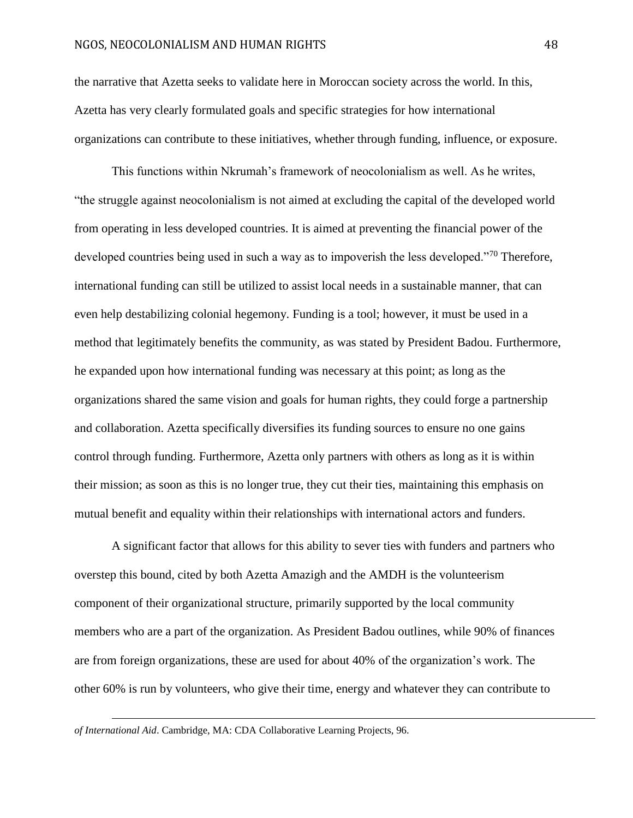the narrative that Azetta seeks to validate here in Moroccan society across the world. In this, Azetta has very clearly formulated goals and specific strategies for how international organizations can contribute to these initiatives, whether through funding, influence, or exposure.

This functions within Nkrumah's framework of neocolonialism as well. As he writes, "the struggle against neocolonialism is not aimed at excluding the capital of the developed world from operating in less developed countries. It is aimed at preventing the financial power of the developed countries being used in such a way as to impoverish the less developed."<sup>70</sup> Therefore, international funding can still be utilized to assist local needs in a sustainable manner, that can even help destabilizing colonial hegemony. Funding is a tool; however, it must be used in a method that legitimately benefits the community, as was stated by President Badou. Furthermore, he expanded upon how international funding was necessary at this point; as long as the organizations shared the same vision and goals for human rights, they could forge a partnership and collaboration. Azetta specifically diversifies its funding sources to ensure no one gains control through funding. Furthermore, Azetta only partners with others as long as it is within their mission; as soon as this is no longer true, they cut their ties, maintaining this emphasis on mutual benefit and equality within their relationships with international actors and funders.

A significant factor that allows for this ability to sever ties with funders and partners who overstep this bound, cited by both Azetta Amazigh and the AMDH is the volunteerism component of their organizational structure, primarily supported by the local community members who are a part of the organization. As President Badou outlines, while 90% of finances are from foreign organizations, these are used for about 40% of the organization's work. The other 60% is run by volunteers, who give their time, energy and whatever they can contribute to

*of International Aid*. Cambridge, MA: CDA Collaborative Learning Projects, 96.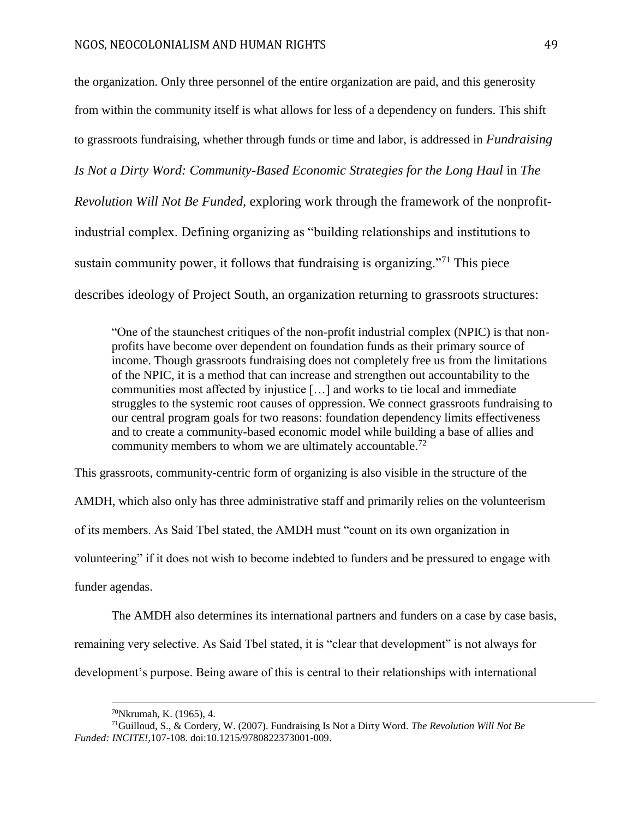the organization. Only three personnel of the entire organization are paid, and this generosity from within the community itself is what allows for less of a dependency on funders. This shift to grassroots fundraising, whether through funds or time and labor, is addressed in *Fundraising Is Not a Dirty Word: Community-Based Economic Strategies for the Long Haul* in *The Revolution Will Not Be Funded,* exploring work through the framework of the nonprofitindustrial complex. Defining organizing as "building relationships and institutions to sustain community power, it follows that fundraising is organizing."<sup>71</sup> This piece describes ideology of Project South, an organization returning to grassroots structures:

"One of the staunchest critiques of the non-profit industrial complex (NPIC) is that nonprofits have become over dependent on foundation funds as their primary source of income. Though grassroots fundraising does not completely free us from the limitations of the NPIC, it is a method that can increase and strengthen out accountability to the communities most affected by injustice […] and works to tie local and immediate struggles to the systemic root causes of oppression. We connect grassroots fundraising to our central program goals for two reasons: foundation dependency limits effectiveness and to create a community-based economic model while building a base of allies and community members to whom we are ultimately accountable.<sup>72</sup>

This grassroots, community-centric form of organizing is also visible in the structure of the AMDH, which also only has three administrative staff and primarily relies on the volunteerism of its members. As Said Tbel stated, the AMDH must "count on its own organization in volunteering" if it does not wish to become indebted to funders and be pressured to engage with funder agendas.

The AMDH also determines its international partners and funders on a case by case basis, remaining very selective. As Said Tbel stated, it is "clear that development" is not always for development's purpose. Being aware of this is central to their relationships with international

<sup>70</sup>Nkrumah, K. (1965), 4.

<sup>71</sup>Guilloud, S., & Cordery, W. (2007). Fundraising Is Not a Dirty Word. *The Revolution Will Not Be Funded: INCITE!,*107-108. doi:10.1215/9780822373001-009.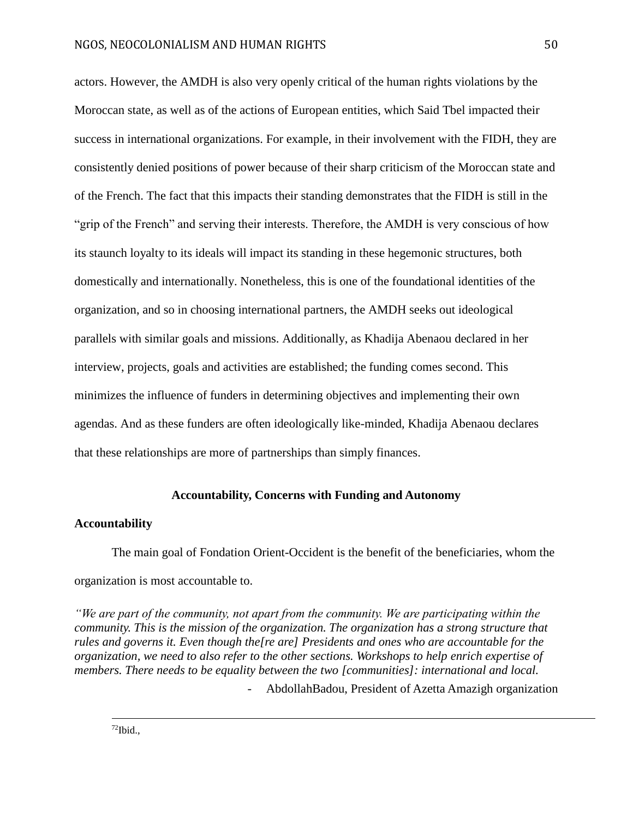actors. However, the AMDH is also very openly critical of the human rights violations by the Moroccan state, as well as of the actions of European entities, which Said Tbel impacted their success in international organizations. For example, in their involvement with the FIDH, they are consistently denied positions of power because of their sharp criticism of the Moroccan state and of the French. The fact that this impacts their standing demonstrates that the FIDH is still in the "grip of the French" and serving their interests. Therefore, the AMDH is very conscious of how its staunch loyalty to its ideals will impact its standing in these hegemonic structures, both domestically and internationally. Nonetheless, this is one of the foundational identities of the organization, and so in choosing international partners, the AMDH seeks out ideological parallels with similar goals and missions. Additionally, as Khadija Abenaou declared in her interview, projects, goals and activities are established; the funding comes second. This minimizes the influence of funders in determining objectives and implementing their own agendas. And as these funders are often ideologically like-minded, Khadija Abenaou declares that these relationships are more of partnerships than simply finances.

# **Accountability, Concerns with Funding and Autonomy**

#### **Accountability**

The main goal of Fondation Orient-Occident is the benefit of the beneficiaries, whom the organization is most accountable to.

*"We are part of the community, not apart from the community. We are participating within the community. This is the mission of the organization. The organization has a strong structure that rules and governs it. Even though the[re are] Presidents and ones who are accountable for the organization, we need to also refer to the other sections. Workshops to help enrich expertise of members. There needs to be equality between the two [communities]: international and local.*  - AbdollahBadou, President of Azetta Amazigh organization

 $72$ Ibid.,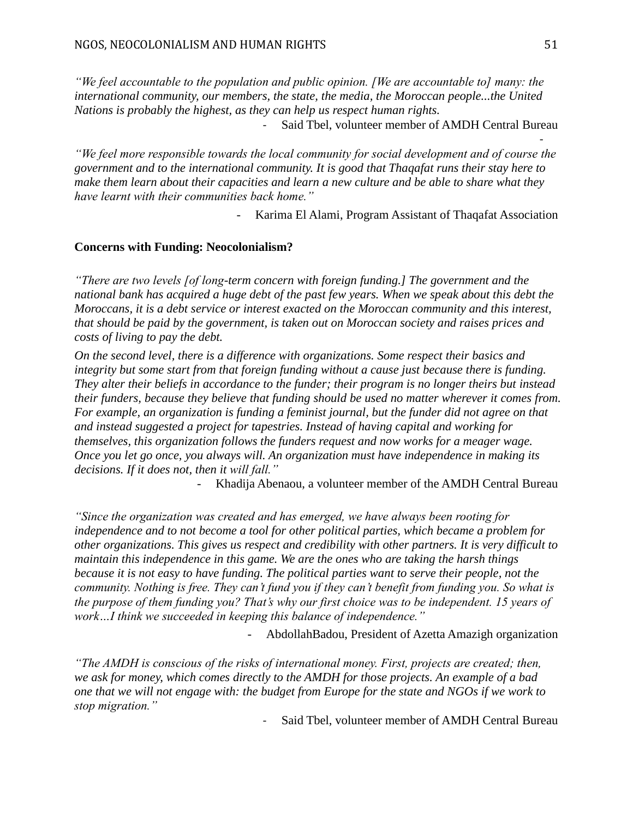*"We feel accountable to the population and public opinion. [We are accountable to] many: the international community, our members, the state, the media, the Moroccan people...the United Nations is probably the highest, as they can help us respect human rights.*

Said Tbel, volunteer member of AMDH Central Bureau

*"We feel more responsible towards the local community for social development and of course the government and to the international community. It is good that Thaqafat runs their stay here to make them learn about their capacities and learn a new culture and be able to share what they have learnt with their communities back home."*

- Karima El Alami, Program Assistant of Thaqafat Association

## **Concerns with Funding: Neocolonialism?**

*"There are two levels [of long-term concern with foreign funding.] The government and the national bank has acquired a huge debt of the past few years. When we speak about this debt the Moroccans, it is a debt service or interest exacted on the Moroccan community and this interest, that should be paid by the government, is taken out on Moroccan society and raises prices and costs of living to pay the debt.*

*On the second level, there is a difference with organizations. Some respect their basics and integrity but some start from that foreign funding without a cause just because there is funding. They alter their beliefs in accordance to the funder; their program is no longer theirs but instead their funders, because they believe that funding should be used no matter wherever it comes from. For example, an organization is funding a feminist journal, but the funder did not agree on that and instead suggested a project for tapestries. Instead of having capital and working for themselves, this organization follows the funders request and now works for a meager wage. Once you let go once, you always will. An organization must have independence in making its decisions. If it does not, then it will fall."*

Khadija Abenaou, a volunteer member of the AMDH Central Bureau

*"Since the organization was created and has emerged, we have always been rooting for independence and to not become a tool for other political parties, which became a problem for other organizations. This gives us respect and credibility with other partners. It is very difficult to maintain this independence in this game. We are the ones who are taking the harsh things because it is not easy to have funding. The political parties want to serve their people, not the community. Nothing is free. They can't fund you if they can't benefit from funding you. So what is the purpose of them funding you? That's why our first choice was to be independent. 15 years of work…I think we succeeded in keeping this balance of independence."*

- AbdollahBadou, President of Azetta Amazigh organization

*"The AMDH is conscious of the risks of international money. First, projects are created; then, we ask for money, which comes directly to the AMDH for those projects. An example of a bad one that we will not engage with: the budget from Europe for the state and NGOs if we work to stop migration."*

- Said Tbel, volunteer member of AMDH Central Bureau

-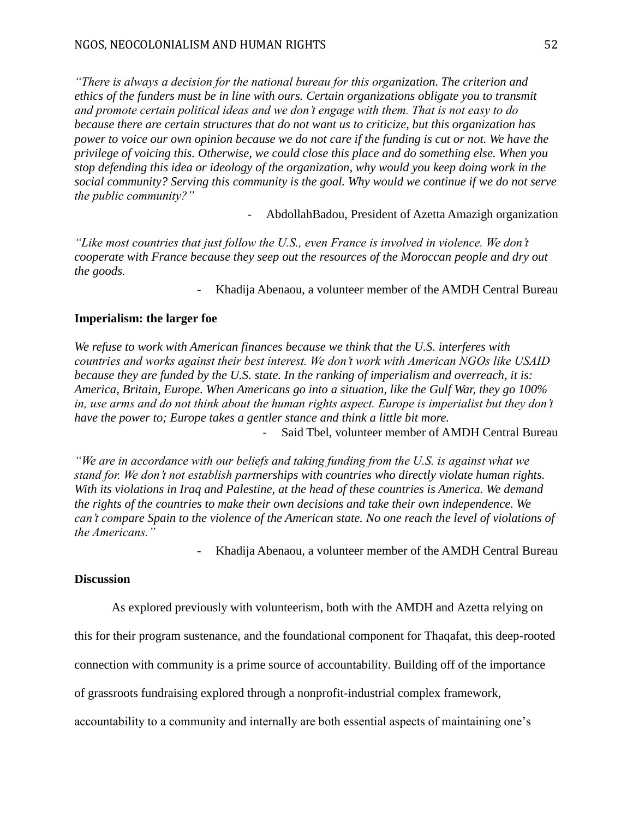*"There is always a decision for the national bureau for this organization. The criterion and ethics of the funders must be in line with ours. Certain organizations obligate you to transmit and promote certain political ideas and we don't engage with them. That is not easy to do because there are certain structures that do not want us to criticize, but this organization has power to voice our own opinion because we do not care if the funding is cut or not. We have the privilege of voicing this. Otherwise, we could close this place and do something else. When you stop defending this idea or ideology of the organization, why would you keep doing work in the social community? Serving this community is the goal. Why would we continue if we do not serve the public community?"* 

- AbdollahBadou, President of Azetta Amazigh organization

*"Like most countries that just follow the U.S., even France is involved in violence. We don't cooperate with France because they seep out the resources of the Moroccan people and dry out the goods.* 

- Khadija Abenaou, a volunteer member of the AMDH Central Bureau

# **Imperialism: the larger foe**

*We refuse to work with American finances because we think that the U.S. interferes with countries and works against their best interest. We don't work with American NGOs like USAID because they are funded by the U.S. state. In the ranking of imperialism and overreach, it is: America, Britain, Europe. When Americans go into a situation, like the Gulf War, they go 100% in, use arms and do not think about the human rights aspect. Europe is imperialist but they don't have the power to; Europe takes a gentler stance and think a little bit more.* - Said Tbel, volunteer member of AMDH Central Bureau

*"We are in accordance with our beliefs and taking funding from the U.S. is against what we stand for. We don't not establish partnerships with countries who directly violate human rights. With its violations in Iraq and Palestine, at the head of these countries is America. We demand the rights of the countries to make their own decisions and take their own independence. We can't compare Spain to the violence of the American state. No one reach the level of violations of the Americans."*

- Khadija Abenaou, a volunteer member of the AMDH Central Bureau

# **Discussion**

As explored previously with volunteerism, both with the AMDH and Azetta relying on

this for their program sustenance, and the foundational component for Thaqafat, this deep-rooted

connection with community is a prime source of accountability. Building off of the importance

of grassroots fundraising explored through a nonprofit-industrial complex framework,

accountability to a community and internally are both essential aspects of maintaining one's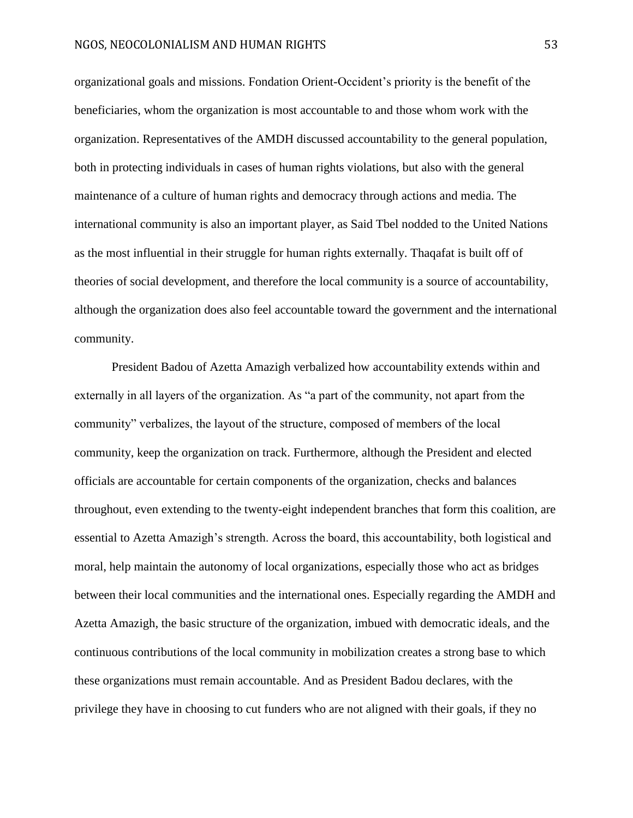organizational goals and missions. Fondation Orient-Occident's priority is the benefit of the beneficiaries, whom the organization is most accountable to and those whom work with the organization. Representatives of the AMDH discussed accountability to the general population, both in protecting individuals in cases of human rights violations, but also with the general maintenance of a culture of human rights and democracy through actions and media. The international community is also an important player, as Said Tbel nodded to the United Nations as the most influential in their struggle for human rights externally. Thaqafat is built off of theories of social development, and therefore the local community is a source of accountability, although the organization does also feel accountable toward the government and the international community.

President Badou of Azetta Amazigh verbalized how accountability extends within and externally in all layers of the organization. As "a part of the community, not apart from the community" verbalizes, the layout of the structure, composed of members of the local community, keep the organization on track. Furthermore, although the President and elected officials are accountable for certain components of the organization, checks and balances throughout, even extending to the twenty-eight independent branches that form this coalition, are essential to Azetta Amazigh's strength. Across the board, this accountability, both logistical and moral, help maintain the autonomy of local organizations, especially those who act as bridges between their local communities and the international ones. Especially regarding the AMDH and Azetta Amazigh, the basic structure of the organization, imbued with democratic ideals, and the continuous contributions of the local community in mobilization creates a strong base to which these organizations must remain accountable. And as President Badou declares, with the privilege they have in choosing to cut funders who are not aligned with their goals, if they no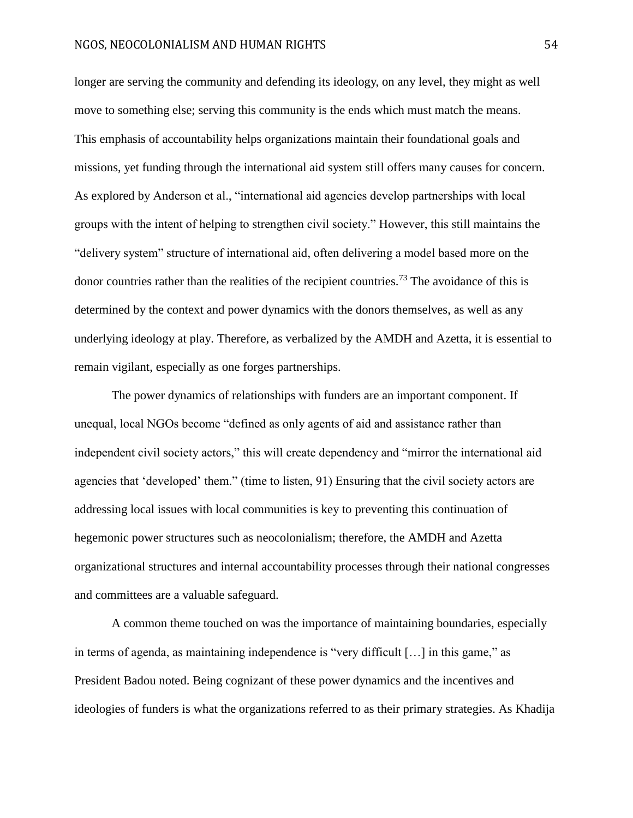longer are serving the community and defending its ideology, on any level, they might as well move to something else; serving this community is the ends which must match the means. This emphasis of accountability helps organizations maintain their foundational goals and missions, yet funding through the international aid system still offers many causes for concern. As explored by Anderson et al., "international aid agencies develop partnerships with local groups with the intent of helping to strengthen civil society." However, this still maintains the "delivery system" structure of international aid, often delivering a model based more on the donor countries rather than the realities of the recipient countries.<sup>73</sup> The avoidance of this is determined by the context and power dynamics with the donors themselves, as well as any underlying ideology at play. Therefore, as verbalized by the AMDH and Azetta, it is essential to remain vigilant, especially as one forges partnerships.

The power dynamics of relationships with funders are an important component. If unequal, local NGOs become "defined as only agents of aid and assistance rather than independent civil society actors," this will create dependency and "mirror the international aid agencies that 'developed' them." (time to listen, 91) Ensuring that the civil society actors are addressing local issues with local communities is key to preventing this continuation of hegemonic power structures such as neocolonialism; therefore, the AMDH and Azetta organizational structures and internal accountability processes through their national congresses and committees are a valuable safeguard.

A common theme touched on was the importance of maintaining boundaries, especially in terms of agenda, as maintaining independence is "very difficult […] in this game," as President Badou noted. Being cognizant of these power dynamics and the incentives and ideologies of funders is what the organizations referred to as their primary strategies. As Khadija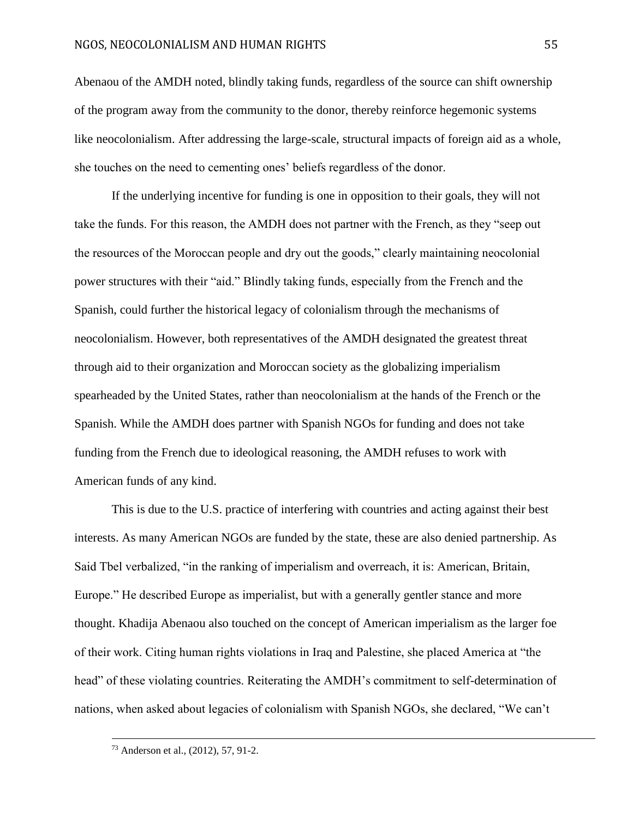Abenaou of the AMDH noted, blindly taking funds, regardless of the source can shift ownership of the program away from the community to the donor, thereby reinforce hegemonic systems like neocolonialism. After addressing the large-scale, structural impacts of foreign aid as a whole, she touches on the need to cementing ones' beliefs regardless of the donor.

If the underlying incentive for funding is one in opposition to their goals, they will not take the funds. For this reason, the AMDH does not partner with the French, as they "seep out the resources of the Moroccan people and dry out the goods," clearly maintaining neocolonial power structures with their "aid." Blindly taking funds, especially from the French and the Spanish, could further the historical legacy of colonialism through the mechanisms of neocolonialism. However, both representatives of the AMDH designated the greatest threat through aid to their organization and Moroccan society as the globalizing imperialism spearheaded by the United States, rather than neocolonialism at the hands of the French or the Spanish. While the AMDH does partner with Spanish NGOs for funding and does not take funding from the French due to ideological reasoning, the AMDH refuses to work with American funds of any kind.

This is due to the U.S. practice of interfering with countries and acting against their best interests. As many American NGOs are funded by the state, these are also denied partnership. As Said Tbel verbalized, "in the ranking of imperialism and overreach, it is: American, Britain, Europe." He described Europe as imperialist, but with a generally gentler stance and more thought. Khadija Abenaou also touched on the concept of American imperialism as the larger foe of their work. Citing human rights violations in Iraq and Palestine, she placed America at "the head" of these violating countries. Reiterating the AMDH's commitment to self-determination of nations, when asked about legacies of colonialism with Spanish NGOs, she declared, "We can't

<sup>73</sup> Anderson et al., (2012), 57, 91-2.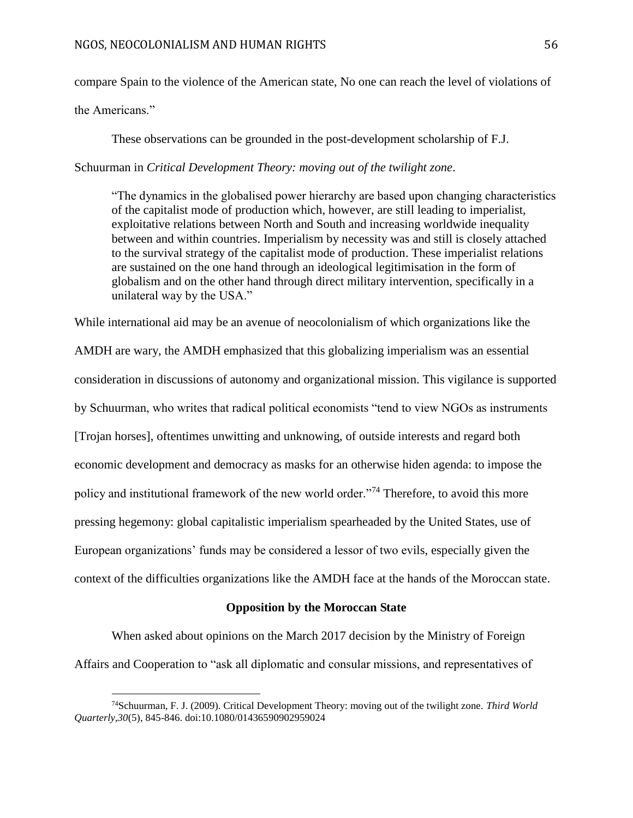compare Spain to the violence of the American state, No one can reach the level of violations of

the Americans."

 $\overline{a}$ 

These observations can be grounded in the post-development scholarship of F.J.

Schuurman in *Critical Development Theory: moving out of the twilight zone*.

"The dynamics in the globalised power hierarchy are based upon changing characteristics of the capitalist mode of production which, however, are still leading to imperialist, exploitative relations between North and South and increasing worldwide inequality between and within countries. Imperialism by necessity was and still is closely attached to the survival strategy of the capitalist mode of production. These imperialist relations are sustained on the one hand through an ideological legitimisation in the form of globalism and on the other hand through direct military intervention, specifically in a unilateral way by the USA."

While international aid may be an avenue of neocolonialism of which organizations like the AMDH are wary, the AMDH emphasized that this globalizing imperialism was an essential consideration in discussions of autonomy and organizational mission. This vigilance is supported by Schuurman, who writes that radical political economists "tend to view NGOs as instruments [Trojan horses], oftentimes unwitting and unknowing, of outside interests and regard both economic development and democracy as masks for an otherwise hiden agenda: to impose the policy and institutional framework of the new world order."<sup>74</sup> Therefore, to avoid this more pressing hegemony: global capitalistic imperialism spearheaded by the United States, use of European organizations' funds may be considered a lessor of two evils, especially given the context of the difficulties organizations like the AMDH face at the hands of the Moroccan state.

## **Opposition by the Moroccan State**

When asked about opinions on the March 2017 decision by the Ministry of Foreign Affairs and Cooperation to "ask all diplomatic and consular missions, and representatives of

<sup>74</sup>Schuurman, F. J. (2009). Critical Development Theory: moving out of the twilight zone. *Third World Quarterly,30*(5), 845-846. doi:10.1080/01436590902959024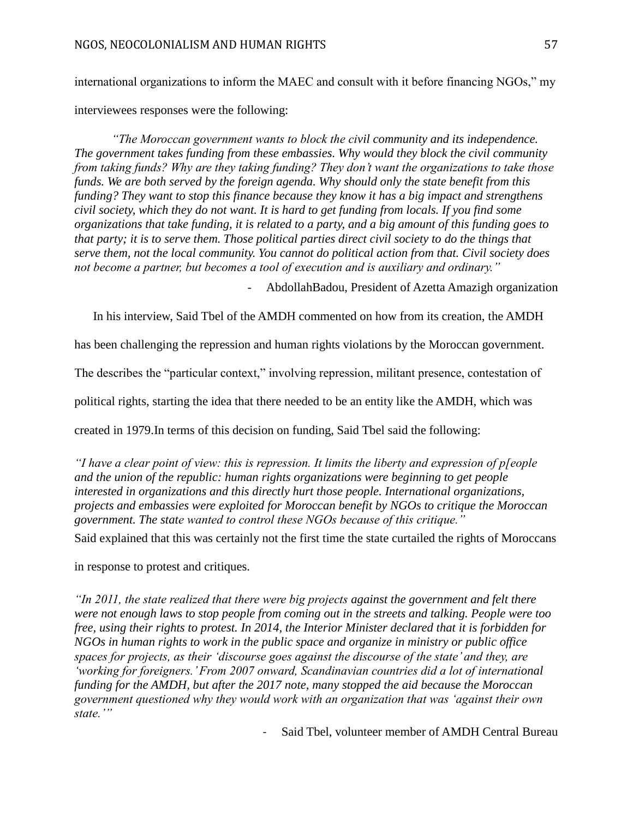international organizations to inform the MAEC and consult with it before financing NGOs," my interviewees responses were the following:

*"The Moroccan government wants to block the civil community and its independence. The government takes funding from these embassies. Why would they block the civil community from taking funds? Why are they taking funding? They don't want the organizations to take those funds. We are both served by the foreign agenda. Why should only the state benefit from this funding? They want to stop this finance because they know it has a big impact and strengthens civil society, which they do not want. It is hard to get funding from locals. If you find some organizations that take funding, it is related to a party, and a big amount of this funding goes to that party; it is to serve them. Those political parties direct civil society to do the things that serve them, not the local community. You cannot do political action from that. Civil society does not become a partner, but becomes a tool of execution and is auxiliary and ordinary."*

- AbdollahBadou, President of Azetta Amazigh organization

In his interview, Said Tbel of the AMDH commented on how from its creation, the AMDH

has been challenging the repression and human rights violations by the Moroccan government.

The describes the "particular context," involving repression, militant presence, contestation of

political rights, starting the idea that there needed to be an entity like the AMDH, which was

created in 1979.In terms of this decision on funding, Said Tbel said the following:

*"I have a clear point of view: this is repression. It limits the liberty and expression of p[eople and the union of the republic: human rights organizations were beginning to get people interested in organizations and this directly hurt those people. International organizations, projects and embassies were exploited for Moroccan benefit by NGOs to critique the Moroccan government. The state wanted to control these NGOs because of this critique."*

Said explained that this was certainly not the first time the state curtailed the rights of Moroccans

in response to protest and critiques.

*"In 2011, the state realized that there were big projects against the government and felt there were not enough laws to stop people from coming out in the streets and talking. People were too free, using their rights to protest. In 2014, the Interior Minister declared that it is forbidden for NGOs in human rights to work in the public space and organize in ministry or public office spaces for projects, as their 'discourse goes against the discourse of the state' and they, are 'working for foreigners.' From 2007 onward, Scandinavian countries did a lot of international funding for the AMDH, but after the 2017 note, many stopped the aid because the Moroccan government questioned why they would work with an organization that was 'against their own state.'"*

- Said Tbel, volunteer member of AMDH Central Bureau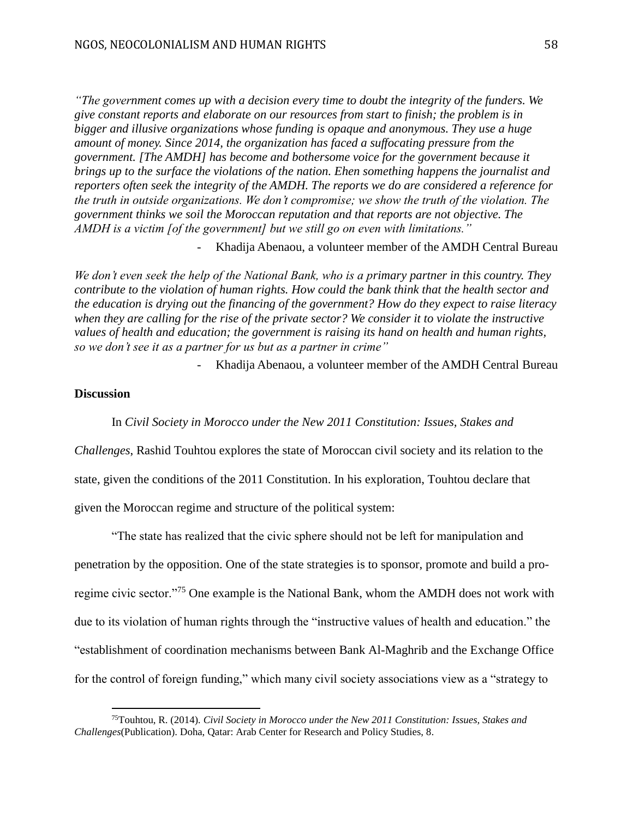*"The government comes up with a decision every time to doubt the integrity of the funders. We give constant reports and elaborate on our resources from start to finish; the problem is in bigger and illusive organizations whose funding is opaque and anonymous. They use a huge amount of money. Since 2014, the organization has faced a suffocating pressure from the government. [The AMDH] has become and bothersome voice for the government because it brings up to the surface the violations of the nation. Ehen something happens the journalist and reporters often seek the integrity of the AMDH. The reports we do are considered a reference for the truth in outside organizations. We don't compromise; we show the truth of the violation. The government thinks we soil the Moroccan reputation and that reports are not objective. The AMDH is a victim [of the government] but we still go on even with limitations."*

- Khadija Abenaou, a volunteer member of the AMDH Central Bureau

*We don't even seek the help of the National Bank, who is a primary partner in this country. They contribute to the violation of human rights. How could the bank think that the health sector and the education is drying out the financing of the government? How do they expect to raise literacy when they are calling for the rise of the private sector? We consider it to violate the instructive values of health and education; the government is raising its hand on health and human rights, so we don't see it as a partner for us but as a partner in crime"*

- Khadija Abenaou, a volunteer member of the AMDH Central Bureau

# **Discussion**

 $\overline{a}$ 

In *Civil Society in Morocco under the New 2011 Constitution: Issues, Stakes and* 

*Challenges*, Rashid Touhtou explores the state of Moroccan civil society and its relation to the state, given the conditions of the 2011 Constitution. In his exploration, Touhtou declare that given the Moroccan regime and structure of the political system:

"The state has realized that the civic sphere should not be left for manipulation and penetration by the opposition. One of the state strategies is to sponsor, promote and build a proregime civic sector."<sup>75</sup> One example is the National Bank, whom the AMDH does not work with due to its violation of human rights through the "instructive values of health and education." the "establishment of coordination mechanisms between Bank Al-Maghrib and the Exchange Office for the control of foreign funding," which many civil society associations view as a "strategy to

<sup>75</sup>Touhtou, R. (2014). *Civil Society in Morocco under the New 2011 Constitution: Issues, Stakes and Challenges*(Publication). Doha, Qatar: Arab Center for Research and Policy Studies, 8.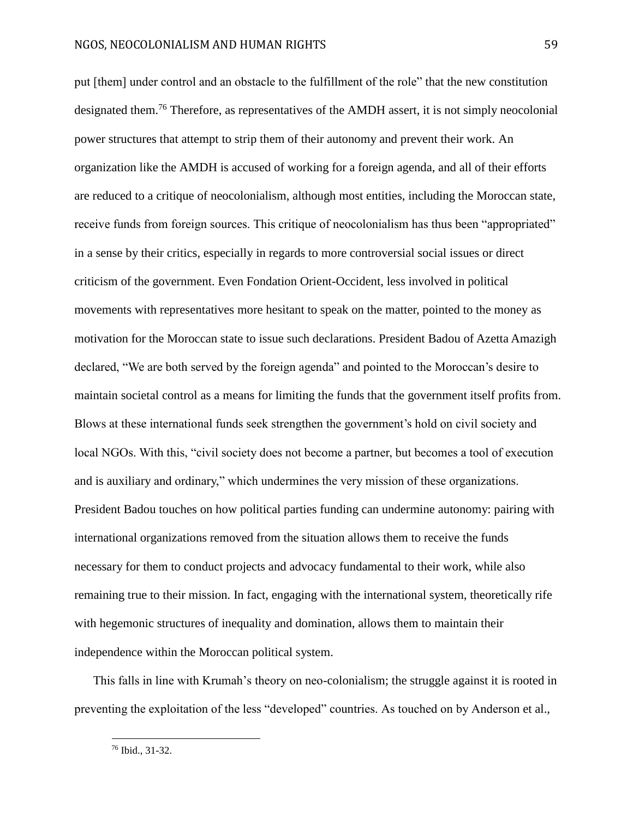put [them] under control and an obstacle to the fulfillment of the role" that the new constitution designated them.<sup>76</sup> Therefore, as representatives of the AMDH assert, it is not simply neocolonial power structures that attempt to strip them of their autonomy and prevent their work. An organization like the AMDH is accused of working for a foreign agenda, and all of their efforts are reduced to a critique of neocolonialism, although most entities, including the Moroccan state, receive funds from foreign sources. This critique of neocolonialism has thus been "appropriated" in a sense by their critics, especially in regards to more controversial social issues or direct criticism of the government. Even Fondation Orient-Occident, less involved in political movements with representatives more hesitant to speak on the matter, pointed to the money as motivation for the Moroccan state to issue such declarations. President Badou of Azetta Amazigh declared, "We are both served by the foreign agenda" and pointed to the Moroccan's desire to maintain societal control as a means for limiting the funds that the government itself profits from. Blows at these international funds seek strengthen the government's hold on civil society and local NGOs. With this, "civil society does not become a partner, but becomes a tool of execution and is auxiliary and ordinary," which undermines the very mission of these organizations. President Badou touches on how political parties funding can undermine autonomy: pairing with international organizations removed from the situation allows them to receive the funds necessary for them to conduct projects and advocacy fundamental to their work, while also remaining true to their mission. In fact, engaging with the international system, theoretically rife with hegemonic structures of inequality and domination, allows them to maintain their independence within the Moroccan political system.

This falls in line with Krumah's theory on neo-colonialism; the struggle against it is rooted in preventing the exploitation of the less "developed" countries. As touched on by Anderson et al.,

<sup>76</sup> Ibid., 31-32.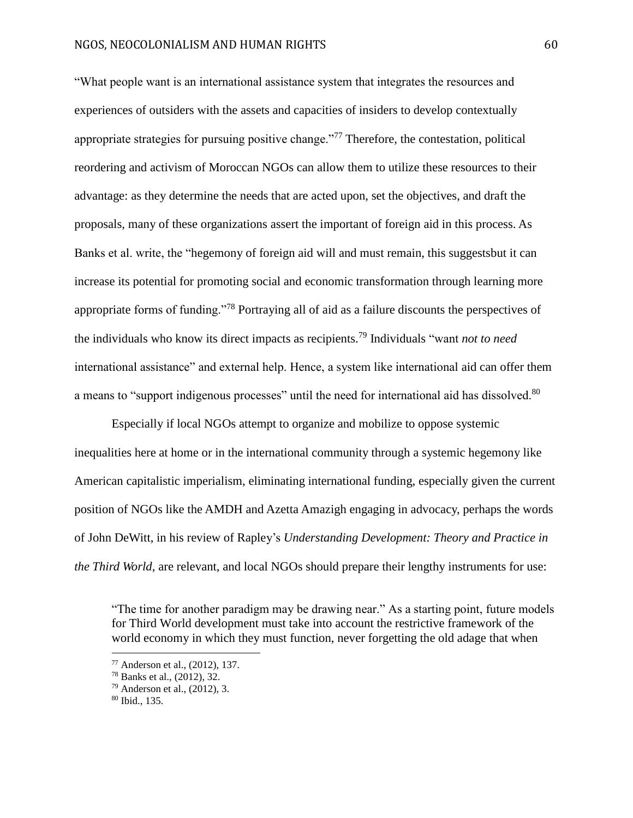"What people want is an international assistance system that integrates the resources and experiences of outsiders with the assets and capacities of insiders to develop contextually appropriate strategies for pursuing positive change."<sup>77</sup> Therefore, the contestation, political reordering and activism of Moroccan NGOs can allow them to utilize these resources to their advantage: as they determine the needs that are acted upon, set the objectives, and draft the proposals, many of these organizations assert the important of foreign aid in this process. As Banks et al. write, the "hegemony of foreign aid will and must remain, this suggestsbut it can increase its potential for promoting social and economic transformation through learning more appropriate forms of funding."<sup>78</sup> Portraying all of aid as a failure discounts the perspectives of the individuals who know its direct impacts as recipients.<sup>79</sup> Individuals "want *not to need* international assistance" and external help. Hence, a system like international aid can offer them a means to "support indigenous processes" until the need for international aid has dissolved.<sup>80</sup>

Especially if local NGOs attempt to organize and mobilize to oppose systemic inequalities here at home or in the international community through a systemic hegemony like American capitalistic imperialism, eliminating international funding, especially given the current position of NGOs like the AMDH and Azetta Amazigh engaging in advocacy, perhaps the words of John DeWitt, in his review of Rapley's *Understanding Development: Theory and Practice in the Third World*, are relevant, and local NGOs should prepare their lengthy instruments for use:

"The time for another paradigm may be drawing near." As a starting point, future models for Third World development must take into account the restrictive framework of the world economy in which they must function, never forgetting the old adage that when

<sup>77</sup> Anderson et al., (2012), 137.

<sup>78</sup> Banks et al., (2012), 32.

<sup>79</sup> Anderson et al., (2012), 3.

<sup>80</sup> Ibid., 135.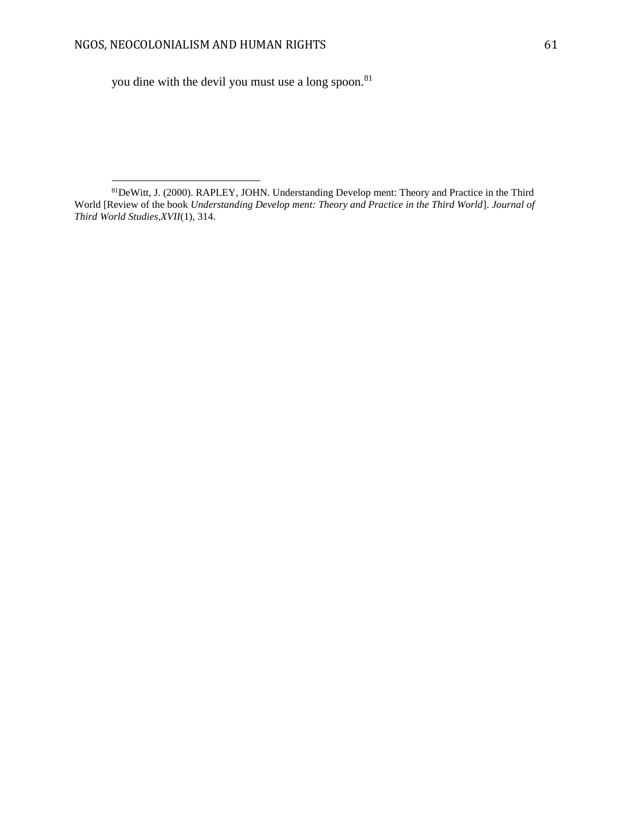$\overline{a}$ 

you dine with the devil you must use a long spoon.<sup>81</sup>

<sup>81</sup>DeWitt, J. (2000). RAPLEY, JOHN. Understanding Develop ment: Theory and Practice in the Third World [Review of the book *Understanding Develop ment: Theory and Practice in the Third World*]. *Journal of Third World Studies,XVII*(1), 314.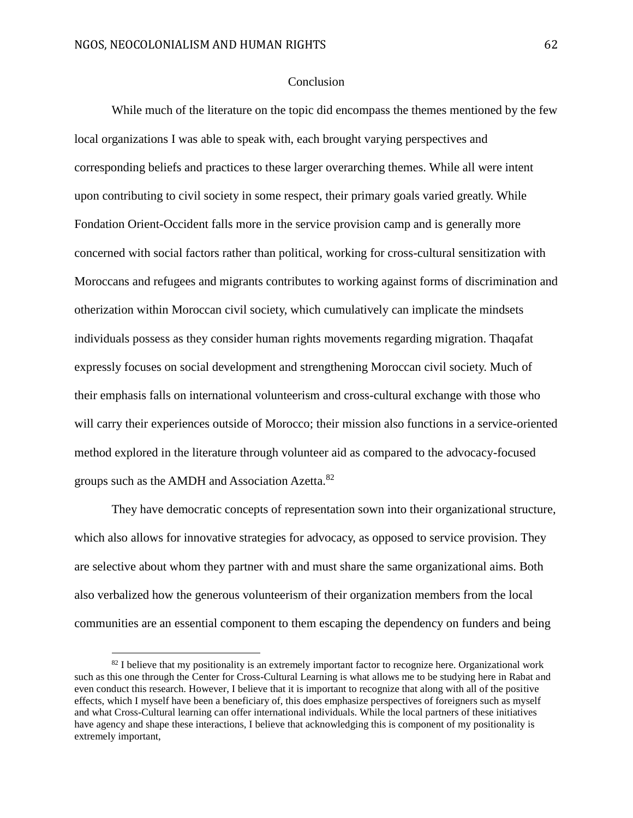$\overline{a}$ 

# Conclusion

While much of the literature on the topic did encompass the themes mentioned by the few local organizations I was able to speak with, each brought varying perspectives and corresponding beliefs and practices to these larger overarching themes. While all were intent upon contributing to civil society in some respect, their primary goals varied greatly. While Fondation Orient-Occident falls more in the service provision camp and is generally more concerned with social factors rather than political, working for cross-cultural sensitization with Moroccans and refugees and migrants contributes to working against forms of discrimination and otherization within Moroccan civil society, which cumulatively can implicate the mindsets individuals possess as they consider human rights movements regarding migration. Thaqafat expressly focuses on social development and strengthening Moroccan civil society. Much of their emphasis falls on international volunteerism and cross-cultural exchange with those who will carry their experiences outside of Morocco; their mission also functions in a service-oriented method explored in the literature through volunteer aid as compared to the advocacy-focused groups such as the AMDH and Association Azetta.<sup>82</sup>

They have democratic concepts of representation sown into their organizational structure, which also allows for innovative strategies for advocacy, as opposed to service provision. They are selective about whom they partner with and must share the same organizational aims. Both also verbalized how the generous volunteerism of their organization members from the local communities are an essential component to them escaping the dependency on funders and being

 $82$  I believe that my positionality is an extremely important factor to recognize here. Organizational work such as this one through the Center for Cross-Cultural Learning is what allows me to be studying here in Rabat and even conduct this research. However, I believe that it is important to recognize that along with all of the positive effects, which I myself have been a beneficiary of, this does emphasize perspectives of foreigners such as myself and what Cross-Cultural learning can offer international individuals. While the local partners of these initiatives have agency and shape these interactions, I believe that acknowledging this is component of my positionality is extremely important,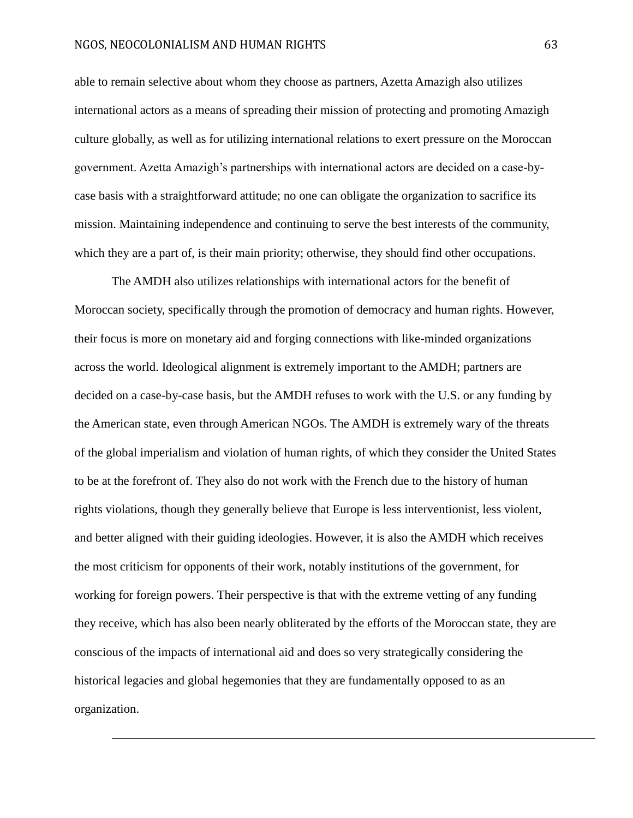$\overline{a}$ 

able to remain selective about whom they choose as partners, Azetta Amazigh also utilizes international actors as a means of spreading their mission of protecting and promoting Amazigh culture globally, as well as for utilizing international relations to exert pressure on the Moroccan government. Azetta Amazigh's partnerships with international actors are decided on a case-bycase basis with a straightforward attitude; no one can obligate the organization to sacrifice its mission. Maintaining independence and continuing to serve the best interests of the community, which they are a part of, is their main priority; otherwise, they should find other occupations.

The AMDH also utilizes relationships with international actors for the benefit of Moroccan society, specifically through the promotion of democracy and human rights. However, their focus is more on monetary aid and forging connections with like-minded organizations across the world. Ideological alignment is extremely important to the AMDH; partners are decided on a case-by-case basis, but the AMDH refuses to work with the U.S. or any funding by the American state, even through American NGOs. The AMDH is extremely wary of the threats of the global imperialism and violation of human rights, of which they consider the United States to be at the forefront of. They also do not work with the French due to the history of human rights violations, though they generally believe that Europe is less interventionist, less violent, and better aligned with their guiding ideologies. However, it is also the AMDH which receives the most criticism for opponents of their work, notably institutions of the government, for working for foreign powers. Their perspective is that with the extreme vetting of any funding they receive, which has also been nearly obliterated by the efforts of the Moroccan state, they are conscious of the impacts of international aid and does so very strategically considering the historical legacies and global hegemonies that they are fundamentally opposed to as an organization.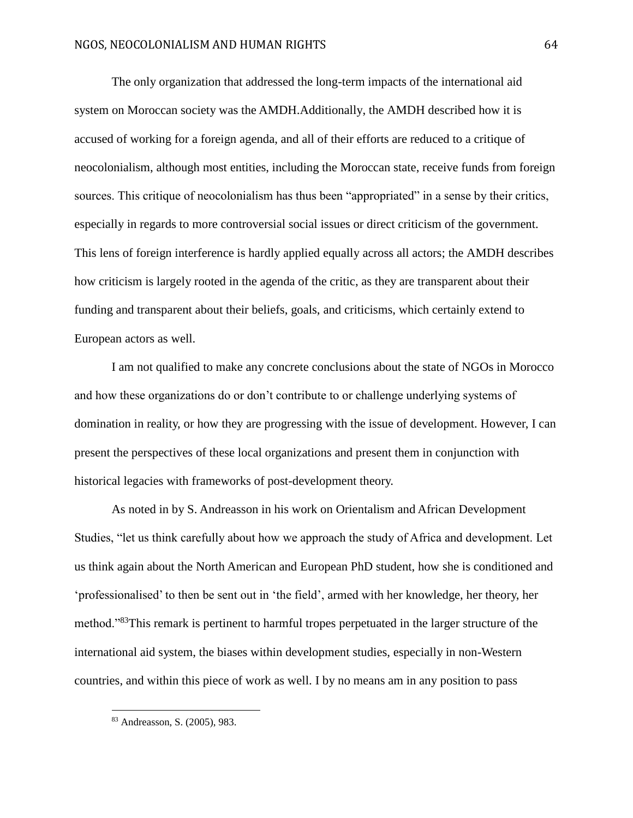The only organization that addressed the long-term impacts of the international aid system on Moroccan society was the AMDH.Additionally, the AMDH described how it is accused of working for a foreign agenda, and all of their efforts are reduced to a critique of neocolonialism, although most entities, including the Moroccan state, receive funds from foreign sources. This critique of neocolonialism has thus been "appropriated" in a sense by their critics, especially in regards to more controversial social issues or direct criticism of the government. This lens of foreign interference is hardly applied equally across all actors; the AMDH describes how criticism is largely rooted in the agenda of the critic, as they are transparent about their funding and transparent about their beliefs, goals, and criticisms, which certainly extend to European actors as well.

I am not qualified to make any concrete conclusions about the state of NGOs in Morocco and how these organizations do or don't contribute to or challenge underlying systems of domination in reality, or how they are progressing with the issue of development. However, I can present the perspectives of these local organizations and present them in conjunction with historical legacies with frameworks of post-development theory.

As noted in by S. Andreasson in his work on Orientalism and African Development Studies, "let us think carefully about how we approach the study of Africa and development. Let us think again about the North American and European PhD student, how she is conditioned and 'professionalised' to then be sent out in 'the field', armed with her knowledge, her theory, her method."<sup>83</sup>This remark is pertinent to harmful tropes perpetuated in the larger structure of the international aid system, the biases within development studies, especially in non-Western countries, and within this piece of work as well. I by no means am in any position to pass

<sup>83</sup> Andreasson, S. (2005), 983.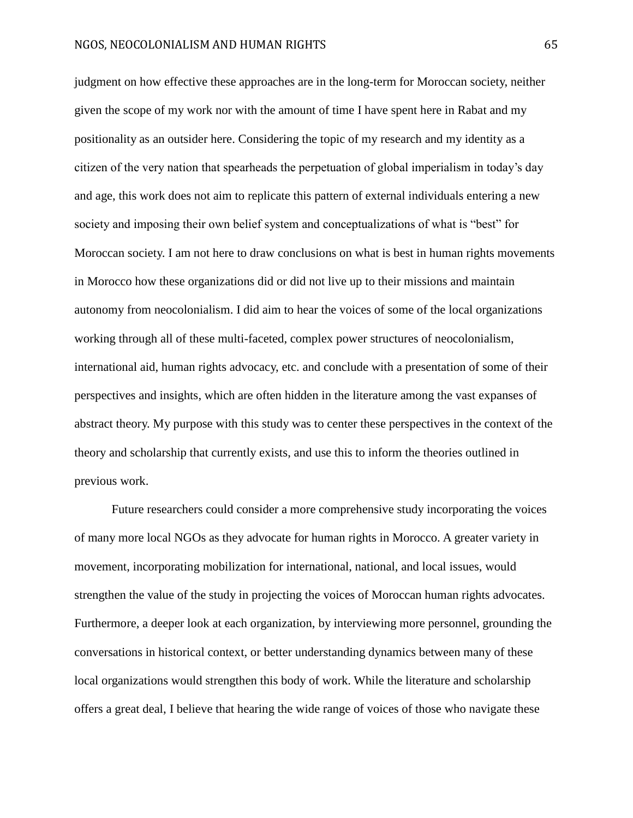judgment on how effective these approaches are in the long-term for Moroccan society, neither given the scope of my work nor with the amount of time I have spent here in Rabat and my positionality as an outsider here. Considering the topic of my research and my identity as a citizen of the very nation that spearheads the perpetuation of global imperialism in today's day and age, this work does not aim to replicate this pattern of external individuals entering a new society and imposing their own belief system and conceptualizations of what is "best" for Moroccan society. I am not here to draw conclusions on what is best in human rights movements in Morocco how these organizations did or did not live up to their missions and maintain autonomy from neocolonialism. I did aim to hear the voices of some of the local organizations working through all of these multi-faceted, complex power structures of neocolonialism, international aid, human rights advocacy, etc. and conclude with a presentation of some of their perspectives and insights, which are often hidden in the literature among the vast expanses of abstract theory. My purpose with this study was to center these perspectives in the context of the theory and scholarship that currently exists, and use this to inform the theories outlined in previous work.

Future researchers could consider a more comprehensive study incorporating the voices of many more local NGOs as they advocate for human rights in Morocco. A greater variety in movement, incorporating mobilization for international, national, and local issues, would strengthen the value of the study in projecting the voices of Moroccan human rights advocates. Furthermore, a deeper look at each organization, by interviewing more personnel, grounding the conversations in historical context, or better understanding dynamics between many of these local organizations would strengthen this body of work. While the literature and scholarship offers a great deal, I believe that hearing the wide range of voices of those who navigate these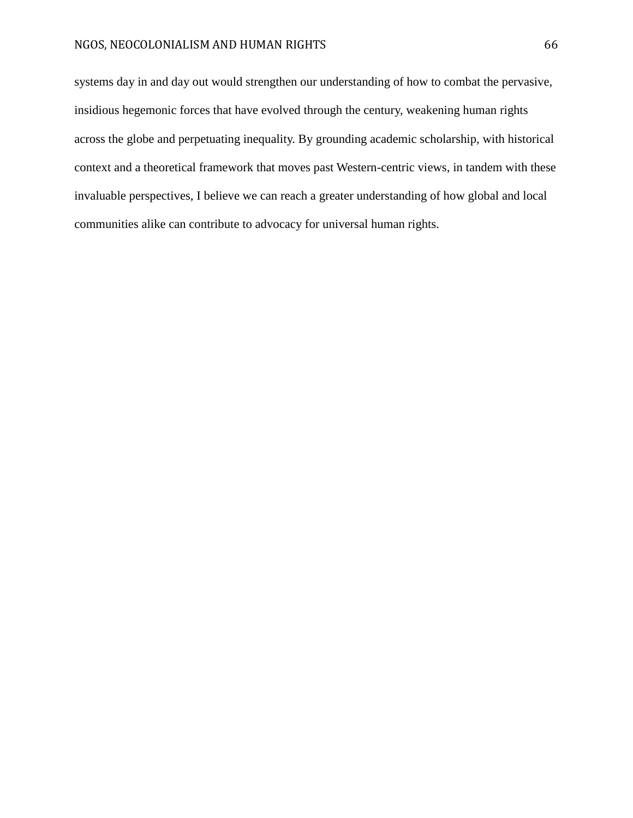## NGOS, NEOCOLONIALISM AND HUMAN RIGHTS 66

systems day in and day out would strengthen our understanding of how to combat the pervasive, insidious hegemonic forces that have evolved through the century, weakening human rights across the globe and perpetuating inequality. By grounding academic scholarship, with historical context and a theoretical framework that moves past Western-centric views, in tandem with these invaluable perspectives, I believe we can reach a greater understanding of how global and local communities alike can contribute to advocacy for universal human rights.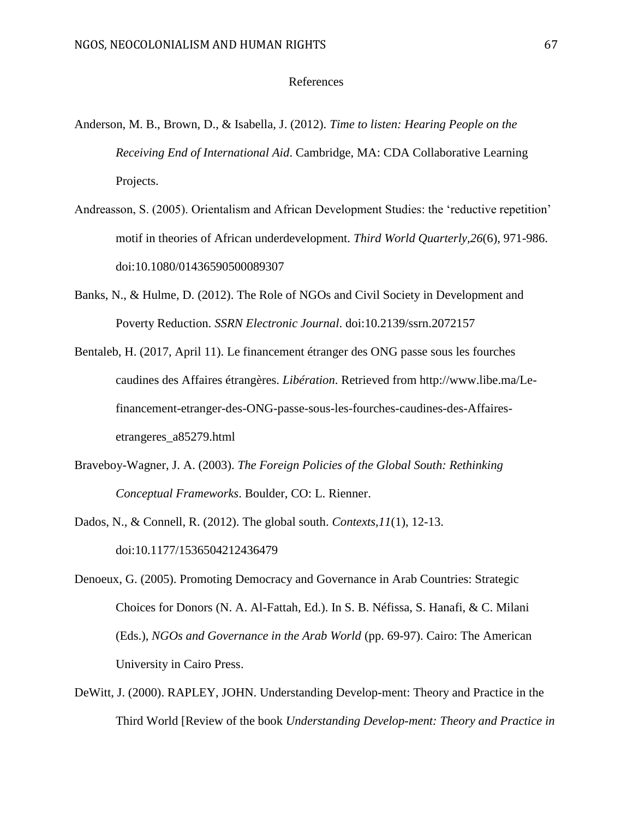# References

- Anderson, M. B., Brown, D., & Isabella, J. (2012). *Time to listen: Hearing People on the Receiving End of International Aid*. Cambridge, MA: CDA Collaborative Learning Projects.
- Andreasson, S. (2005). Orientalism and African Development Studies: the 'reductive repetition' motif in theories of African underdevelopment. *Third World Quarterly,26*(6), 971-986. doi:10.1080/01436590500089307
- Banks, N., & Hulme, D. (2012). The Role of NGOs and Civil Society in Development and Poverty Reduction. *SSRN Electronic Journal*. doi:10.2139/ssrn.2072157
- Bentaleb, H. (2017, April 11). Le financement étranger des ONG passe sous les fourches caudines des Affaires étrangères. *Libération*. Retrieved from http://www.libe.ma/Lefinancement-etranger-des-ONG-passe-sous-les-fourches-caudines-des-Affairesetrangeres\_a85279.html
- Braveboy-Wagner, J. A. (2003). *The Foreign Policies of the Global South: Rethinking Conceptual Frameworks*. Boulder, CO: L. Rienner.
- Dados, N., & Connell, R. (2012). The global south. *Contexts,11*(1), 12-13. doi:10.1177/1536504212436479
- Denoeux, G. (2005). Promoting Democracy and Governance in Arab Countries: Strategic Choices for Donors (N. A. Al-Fattah, Ed.). In S. B. Néfissa, S. Hanafi, & C. Milani (Eds.), *NGOs and Governance in the Arab World* (pp. 69-97). Cairo: The American University in Cairo Press.
- DeWitt, J. (2000). RAPLEY, JOHN. Understanding Develop-ment: Theory and Practice in the Third World [Review of the book *Understanding Develop-ment: Theory and Practice in*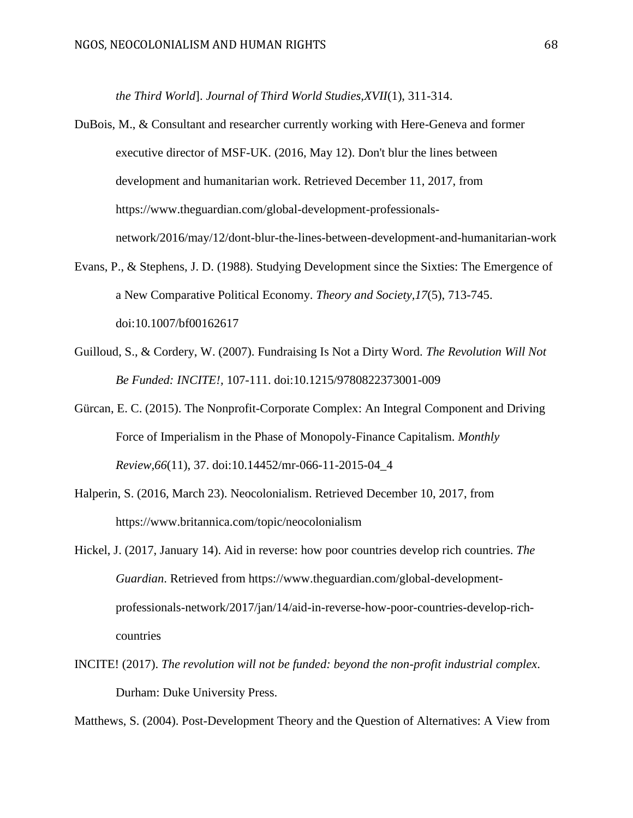*the Third World*]. *Journal of Third World Studies,XVII*(1), 311-314.

- DuBois, M., & Consultant and researcher currently working with Here-Geneva and former executive director of MSF-UK. (2016, May 12). Don't blur the lines between development and humanitarian work. Retrieved December 11, 2017, from https://www.theguardian.com/global-development-professionalsnetwork/2016/may/12/dont-blur-the-lines-between-development-and-humanitarian-work
- Evans, P., & Stephens, J. D. (1988). Studying Development since the Sixties: The Emergence of a New Comparative Political Economy. *Theory and Society,17*(5), 713-745. doi:10.1007/bf00162617
- Guilloud, S., & Cordery, W. (2007). Fundraising Is Not a Dirty Word. *The Revolution Will Not Be Funded: INCITE!,* 107-111. doi:10.1215/9780822373001-009
- Gürcan, E. C. (2015). The Nonprofit-Corporate Complex: An Integral Component and Driving Force of Imperialism in the Phase of Monopoly-Finance Capitalism. *Monthly Review,66*(11), 37. doi:10.14452/mr-066-11-2015-04\_4
- Halperin, S. (2016, March 23). Neocolonialism. Retrieved December 10, 2017, from https://www.britannica.com/topic/neocolonialism
- Hickel, J. (2017, January 14). Aid in reverse: how poor countries develop rich countries. *The Guardian*. Retrieved from https://www.theguardian.com/global-developmentprofessionals-network/2017/jan/14/aid-in-reverse-how-poor-countries-develop-richcountries
- INCITE! (2017). *The revolution will not be funded: beyond the non-profit industrial complex*. Durham: Duke University Press.

Matthews, S. (2004). Post-Development Theory and the Question of Alternatives: A View from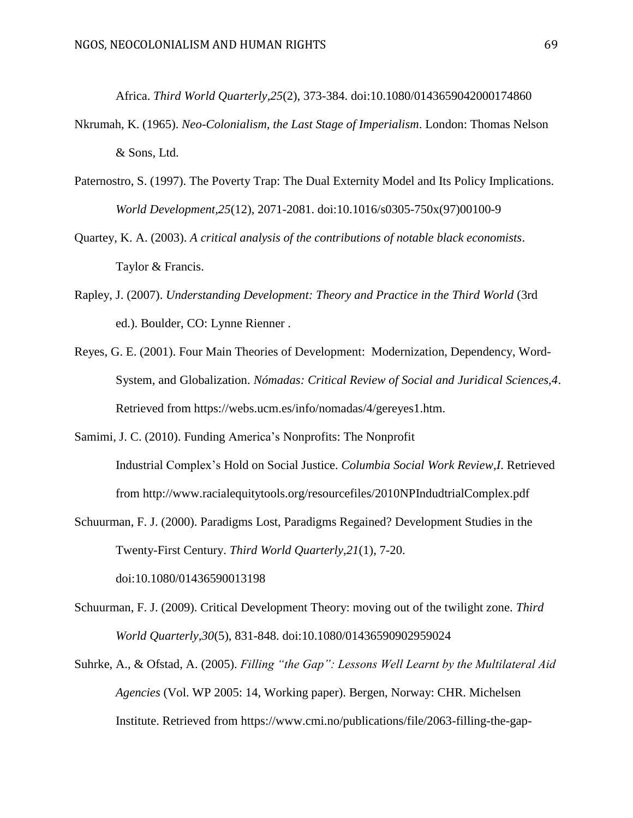Africa. *Third World Quarterly,25*(2), 373-384. doi:10.1080/0143659042000174860

- Nkrumah, K. (1965). *Neo-Colonialism, the Last Stage of Imperialism*. London: Thomas Nelson & Sons, Ltd.
- Paternostro, S. (1997). The Poverty Trap: The Dual Externity Model and Its Policy Implications. *World Development,25*(12), 2071-2081. doi:10.1016/s0305-750x(97)00100-9
- Quartey, K. A. (2003). *A critical analysis of the contributions of notable black economists*. Taylor & Francis.
- Rapley, J. (2007). *Understanding Development: Theory and Practice in the Third World* (3rd ed.). Boulder, CO: Lynne Rienner .
- Reyes, G. E. (2001). Four Main Theories of Development: Modernization, Dependency, Word-System, and Globalization. *Nómadas: Critical Review of Social and Juridical Sciences,4*. Retrieved from https://webs.ucm.es/info/nomadas/4/gereyes1.htm.
- Samimi, J. C. (2010). Funding America's Nonprofits: The Nonprofit Industrial Complex's Hold on Social Justice. *Columbia Social Work Review,I*. Retrieved from http://www.racialequitytools.org/resourcefiles/2010NPIndudtrialComplex.pdf
- Schuurman, F. J. (2000). Paradigms Lost, Paradigms Regained? Development Studies in the Twenty-First Century. *Third World Quarterly,21*(1), 7-20. doi:10.1080/01436590013198
- Schuurman, F. J. (2009). Critical Development Theory: moving out of the twilight zone. *Third World Quarterly,30*(5), 831-848. doi:10.1080/01436590902959024
- Suhrke, A., & Ofstad, A. (2005). *Filling "the Gap": Lessons Well Learnt by the Multilateral Aid Agencies* (Vol. WP 2005: 14, Working paper). Bergen, Norway: CHR. Michelsen Institute. Retrieved from https://www.cmi.no/publications/file/2063-filling-the-gap-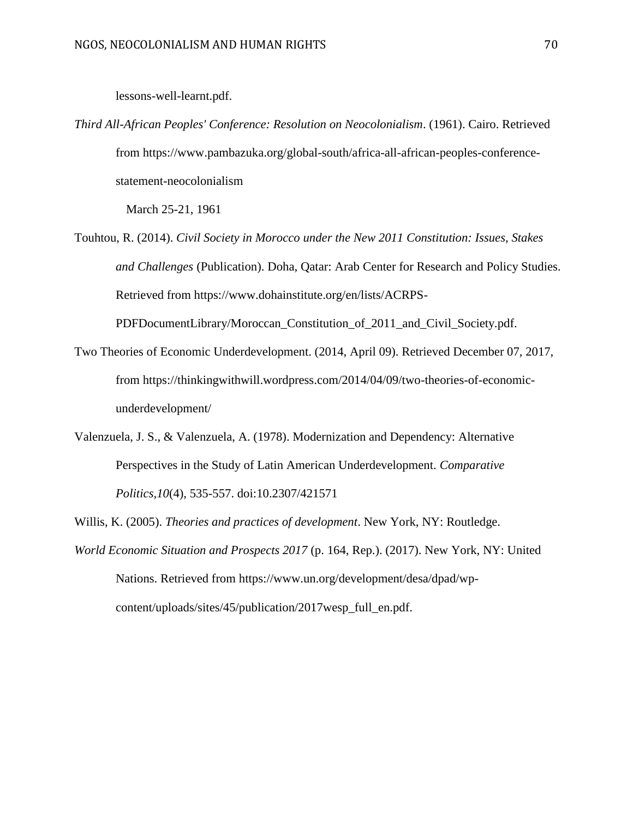#### lessons-well-learnt.pdf.

*Third All-African Peoples' Conference: Resolution on Neocolonialism*. (1961). Cairo. Retrieved from https://www.pambazuka.org/global-south/africa-all-african-peoples-conferencestatement-neocolonialism

March 25-21, 1961

Touhtou, R. (2014). *Civil Society in Morocco under the New 2011 Constitution: Issues, Stakes and Challenges* (Publication). Doha, Qatar: Arab Center for Research and Policy Studies. Retrieved from https://www.dohainstitute.org/en/lists/ACRPS-

PDFDocumentLibrary/Moroccan\_Constitution\_of\_2011\_and\_Civil\_Society.pdf.

- Two Theories of Economic Underdevelopment. (2014, April 09). Retrieved December 07, 2017, from https://thinkingwithwill.wordpress.com/2014/04/09/two-theories-of-economicunderdevelopment/
- Valenzuela, J. S., & Valenzuela, A. (1978). Modernization and Dependency: Alternative Perspectives in the Study of Latin American Underdevelopment. *Comparative Politics,10*(4), 535-557. doi:10.2307/421571
- Willis, K. (2005). *Theories and practices of development*. New York, NY: Routledge.
- *World Economic Situation and Prospects 2017* (p. 164, Rep.). (2017). New York, NY: United Nations. Retrieved from https://www.un.org/development/desa/dpad/wpcontent/uploads/sites/45/publication/2017wesp\_full\_en.pdf.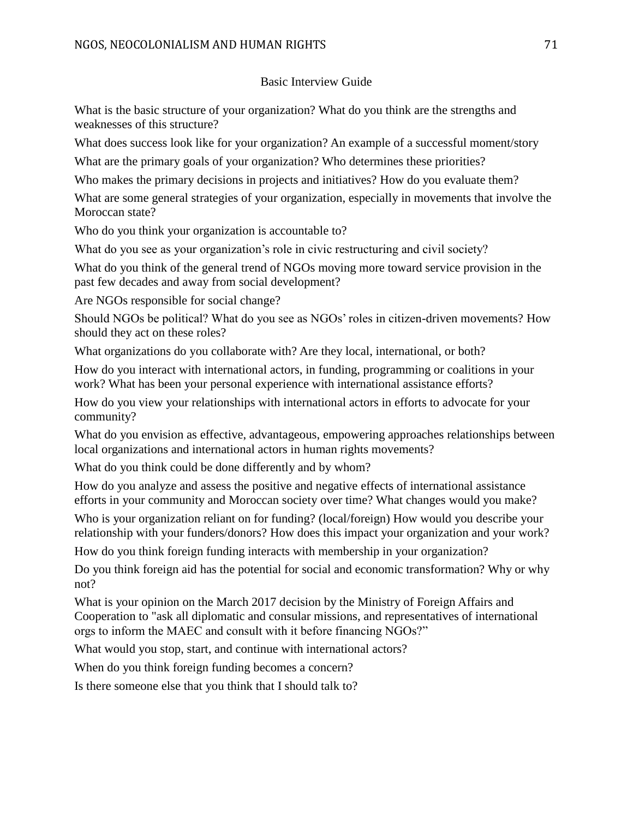# Basic Interview Guide

What is the basic structure of your organization? What do you think are the strengths and weaknesses of this structure?

What does success look like for your organization? An example of a successful moment/story

What are the primary goals of your organization? Who determines these priorities?

Who makes the primary decisions in projects and initiatives? How do you evaluate them?

What are some general strategies of your organization, especially in movements that involve the Moroccan state?

Who do you think your organization is accountable to?

What do you see as your organization's role in civic restructuring and civil society?

What do you think of the general trend of NGOs moving more toward service provision in the past few decades and away from social development?

Are NGOs responsible for social change?

Should NGOs be political? What do you see as NGOs' roles in citizen-driven movements? How should they act on these roles?

What organizations do you collaborate with? Are they local, international, or both?

How do you interact with international actors, in funding, programming or coalitions in your work? What has been your personal experience with international assistance efforts?

How do you view your relationships with international actors in efforts to advocate for your community?

What do you envision as effective, advantageous, empowering approaches relationships between local organizations and international actors in human rights movements?

What do you think could be done differently and by whom?

How do you analyze and assess the positive and negative effects of international assistance efforts in your community and Moroccan society over time? What changes would you make?

Who is your organization reliant on for funding? (local/foreign) How would you describe your relationship with your funders/donors? How does this impact your organization and your work?

How do you think foreign funding interacts with membership in your organization?

Do you think foreign aid has the potential for social and economic transformation? Why or why not?

What is your opinion on the March 2017 decision by the Ministry of Foreign Affairs and Cooperation to "ask all diplomatic and consular missions, and representatives of international orgs to inform the MAEC and consult with it before financing NGOs?"

What would you stop, start, and continue with international actors?

When do you think foreign funding becomes a concern?

Is there someone else that you think that I should talk to?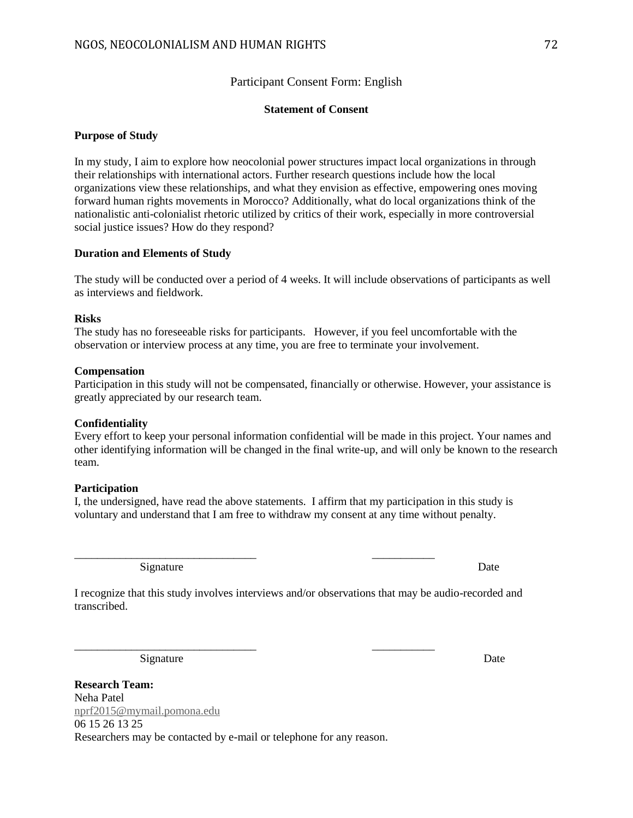# Participant Consent Form: English

## **Statement of Consent**

## **Purpose of Study**

In my study, I aim to explore how neocolonial power structures impact local organizations in through their relationships with international actors. Further research questions include how the local organizations view these relationships, and what they envision as effective, empowering ones moving forward human rights movements in Morocco? Additionally, what do local organizations think of the nationalistic anti-colonialist rhetoric utilized by critics of their work, especially in more controversial social justice issues? How do they respond?

## **Duration and Elements of Study**

The study will be conducted over a period of 4 weeks. It will include observations of participants as well as interviews and fieldwork.

## **Risks**

The study has no foreseeable risks for participants. However, if you feel uncomfortable with the observation or interview process at any time, you are free to terminate your involvement.

### **Compensation**

Participation in this study will not be compensated, financially or otherwise. However, your assistance is greatly appreciated by our research team.

## **Confidentiality**

Every effort to keep your personal information confidential will be made in this project. Your names and other identifying information will be changed in the final write-up, and will only be known to the research team.

## **Participation**

I, the undersigned, have read the above statements. I affirm that my participation in this study is voluntary and understand that I am free to withdraw my consent at any time without penalty.

\_\_\_\_\_\_\_\_\_\_\_\_\_\_\_\_\_\_\_\_\_\_\_\_\_\_\_\_\_\_\_\_ \_\_\_\_\_\_\_\_\_\_\_

\_\_\_\_\_\_\_\_\_\_\_\_\_\_\_\_\_\_\_\_\_\_\_\_\_\_\_\_\_\_\_\_ \_\_\_\_\_\_\_\_\_\_\_

Signature Date

I recognize that this study involves interviews and/or observations that may be audio-recorded and transcribed.

Signature Date

**Research Team:** Neha Patel [nprf2015@mymail.pomona.edu](mailto:nprf2015@mymail.pomona.edu) 06 15 26 13 25 Researchers may be contacted by e-mail or telephone for any reason.